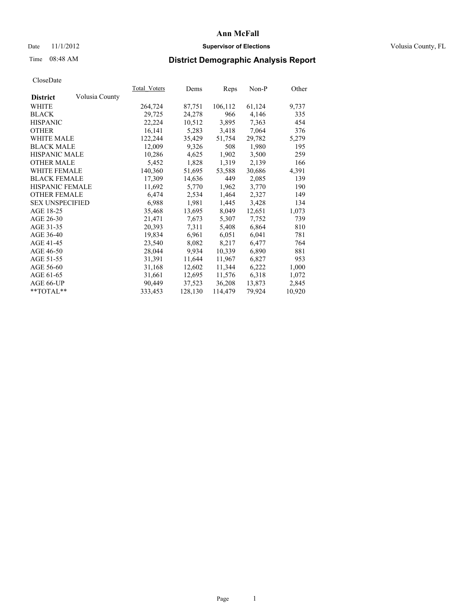## Date 11/1/2012 **Supervisor of Elections Supervisor of Elections** Volusia County, FL

# Time 08:48 AM **District Demographic Analysis Report**

|                        |                | Total Voters | Dems    | <b>Reps</b> | Non-P  | Other  |
|------------------------|----------------|--------------|---------|-------------|--------|--------|
| <b>District</b>        | Volusia County |              |         |             |        |        |
| WHITE                  |                | 264,724      | 87,751  | 106,112     | 61,124 | 9,737  |
| <b>BLACK</b>           |                | 29,725       | 24,278  | 966         | 4,146  | 335    |
| <b>HISPANIC</b>        |                | 22,224       | 10,512  | 3,895       | 7,363  | 454    |
| <b>OTHER</b>           |                | 16,141       | 5,283   | 3,418       | 7,064  | 376    |
| <b>WHITE MALE</b>      |                | 122,244      | 35,429  | 51,754      | 29,782 | 5,279  |
| <b>BLACK MALE</b>      |                | 12,009       | 9,326   | 508         | 1,980  | 195    |
| <b>HISPANIC MALE</b>   |                | 10,286       | 4,625   | 1,902       | 3,500  | 259    |
| <b>OTHER MALE</b>      |                | 5,452        | 1,828   | 1,319       | 2,139  | 166    |
| <b>WHITE FEMALE</b>    |                | 140,360      | 51,695  | 53,588      | 30,686 | 4,391  |
| <b>BLACK FEMALE</b>    |                | 17,309       | 14,636  | 449         | 2,085  | 139    |
| HISPANIC FEMALE        |                | 11,692       | 5,770   | 1,962       | 3,770  | 190    |
| <b>OTHER FEMALE</b>    |                | 6,474        | 2,534   | 1,464       | 2,327  | 149    |
| <b>SEX UNSPECIFIED</b> |                | 6,988        | 1,981   | 1,445       | 3,428  | 134    |
| AGE 18-25              |                | 35,468       | 13,695  | 8,049       | 12,651 | 1,073  |
| AGE 26-30              |                | 21,471       | 7,673   | 5,307       | 7,752  | 739    |
| AGE 31-35              |                | 20,393       | 7,311   | 5,408       | 6,864  | 810    |
| AGE 36-40              |                | 19,834       | 6,961   | 6,051       | 6,041  | 781    |
| AGE 41-45              |                | 23,540       | 8,082   | 8,217       | 6,477  | 764    |
| AGE 46-50              |                | 28,044       | 9,934   | 10,339      | 6,890  | 881    |
| AGE 51-55              |                | 31,391       | 11,644  | 11,967      | 6,827  | 953    |
| AGE 56-60              |                | 31,168       | 12,602  | 11,344      | 6,222  | 1,000  |
| AGE 61-65              |                | 31,661       | 12,695  | 11,576      | 6,318  | 1,072  |
| AGE 66-UP              |                | 90,449       | 37,523  | 36,208      | 13,873 | 2,845  |
| $*$ TOTAL $*$          |                | 333,453      | 128,130 | 114,479     | 79,924 | 10,920 |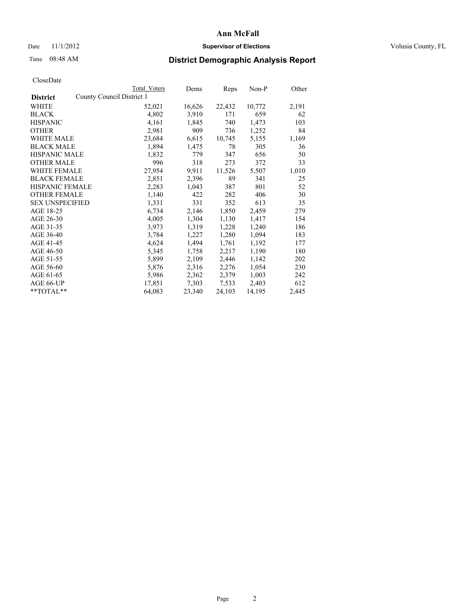## Date 11/1/2012 **Supervisor of Elections Supervisor of Elections** Volusia County, FL

# Time 08:48 AM **District Demographic Analysis Report**

|                        |                           | <b>Total Voters</b> | Dems   | <b>Reps</b> | Non-P  | Other |
|------------------------|---------------------------|---------------------|--------|-------------|--------|-------|
| <b>District</b>        | County Council District 1 |                     |        |             |        |       |
| WHITE                  |                           | 52,021              | 16,626 | 22,432      | 10,772 | 2,191 |
| <b>BLACK</b>           |                           | 4,802               | 3,910  | 171         | 659    | 62    |
| <b>HISPANIC</b>        |                           | 4,161               | 1,845  | 740         | 1,473  | 103   |
| <b>OTHER</b>           |                           | 2,981               | 909    | 736         | 1,252  | 84    |
| WHITE MALE             |                           | 23,684              | 6,615  | 10,745      | 5,155  | 1,169 |
| <b>BLACK MALE</b>      |                           | 1,894               | 1,475  | 78          | 305    | 36    |
| <b>HISPANIC MALE</b>   |                           | 1,832               | 779    | 347         | 656    | 50    |
| <b>OTHER MALE</b>      |                           | 996                 | 318    | 273         | 372    | 33    |
| <b>WHITE FEMALE</b>    |                           | 27,954              | 9.911  | 11,526      | 5,507  | 1,010 |
| <b>BLACK FEMALE</b>    |                           | 2,851               | 2,396  | 89          | 341    | 25    |
| HISPANIC FEMALE        |                           | 2,283               | 1,043  | 387         | 801    | 52    |
| <b>OTHER FEMALE</b>    |                           | 1,140               | 422    | 282         | 406    | 30    |
| <b>SEX UNSPECIFIED</b> |                           | 1,331               | 331    | 352         | 613    | 35    |
| AGE 18-25              |                           | 6,734               | 2,146  | 1,850       | 2,459  | 279   |
| AGE 26-30              |                           | 4,005               | 1,304  | 1,130       | 1,417  | 154   |
| AGE 31-35              |                           | 3,973               | 1,319  | 1,228       | 1,240  | 186   |
| AGE 36-40              |                           | 3,784               | 1,227  | 1,280       | 1,094  | 183   |
| AGE 41-45              |                           | 4,624               | 1,494  | 1,761       | 1,192  | 177   |
| AGE 46-50              |                           | 5,345               | 1,758  | 2,217       | 1,190  | 180   |
| AGE 51-55              |                           | 5,899               | 2,109  | 2,446       | 1,142  | 202   |
| AGE 56-60              |                           | 5,876               | 2,316  | 2,276       | 1,054  | 230   |
| AGE 61-65              |                           | 5,986               | 2,362  | 2,379       | 1,003  | 242   |
| AGE 66-UP              |                           | 17,851              | 7,303  | 7.533       | 2,403  | 612   |
| **TOTAL**              |                           | 64,083              | 23,340 | 24,103      | 14,195 | 2,445 |
|                        |                           |                     |        |             |        |       |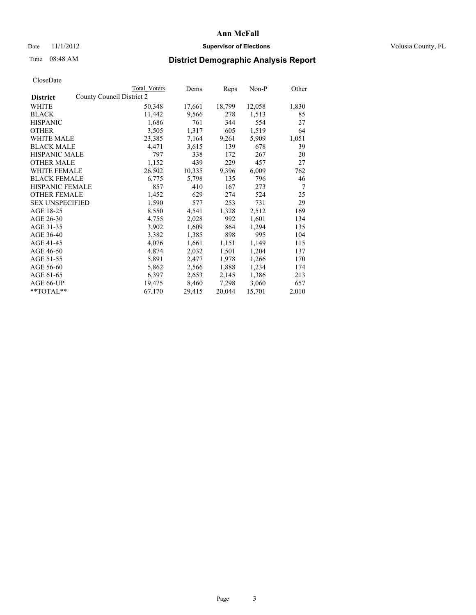## Date 11/1/2012 **Supervisor of Elections Supervisor of Elections** Volusia County, FL

# Time 08:48 AM **District Demographic Analysis Report**

|                                              | Total Voters | Dems   | <b>Reps</b> | $Non-P$ | Other |
|----------------------------------------------|--------------|--------|-------------|---------|-------|
| County Council District 2<br><b>District</b> |              |        |             |         |       |
| WHITE                                        | 50,348       | 17,661 | 18,799      | 12,058  | 1,830 |
| <b>BLACK</b>                                 | 11,442       | 9,566  | 278         | 1,513   | 85    |
| <b>HISPANIC</b>                              | 1,686        | 761    | 344         | 554     | 27    |
| <b>OTHER</b>                                 | 3,505        | 1,317  | 605         | 1,519   | 64    |
| WHITE MALE                                   | 23,385       | 7,164  | 9,261       | 5,909   | 1,051 |
| <b>BLACK MALE</b>                            | 4,471        | 3,615  | 139         | 678     | 39    |
| <b>HISPANIC MALE</b>                         | 797          | 338    | 172         | 267     | 20    |
| <b>OTHER MALE</b>                            | 1,152        | 439    | 229         | 457     | 27    |
| <b>WHITE FEMALE</b>                          | 26,502       | 10,335 | 9,396       | 6,009   | 762   |
| <b>BLACK FEMALE</b>                          | 6,775        | 5,798  | 135         | 796     | 46    |
| <b>HISPANIC FEMALE</b>                       | 857          | 410    | 167         | 273     | 7     |
| <b>OTHER FEMALE</b>                          | 1,452        | 629    | 274         | 524     | 25    |
| <b>SEX UNSPECIFIED</b>                       | 1,590        | 577    | 253         | 731     | 29    |
| AGE 18-25                                    | 8,550        | 4,541  | 1,328       | 2,512   | 169   |
| AGE 26-30                                    | 4,755        | 2,028  | 992         | 1,601   | 134   |
| AGE 31-35                                    | 3,902        | 1,609  | 864         | 1,294   | 135   |
| AGE 36-40                                    | 3,382        | 1,385  | 898         | 995     | 104   |
| AGE 41-45                                    | 4,076        | 1,661  | 1,151       | 1,149   | 115   |
| AGE 46-50                                    | 4,874        | 2,032  | 1,501       | 1,204   | 137   |
| AGE 51-55                                    | 5,891        | 2,477  | 1,978       | 1,266   | 170   |
| AGE 56-60                                    | 5,862        | 2,566  | 1,888       | 1,234   | 174   |
| AGE 61-65                                    | 6,397        | 2,653  | 2,145       | 1,386   | 213   |
| AGE 66-UP                                    | 19,475       | 8,460  | 7,298       | 3,060   | 657   |
| $*$ $TOTAL**$                                | 67,170       | 29,415 | 20,044      | 15,701  | 2,010 |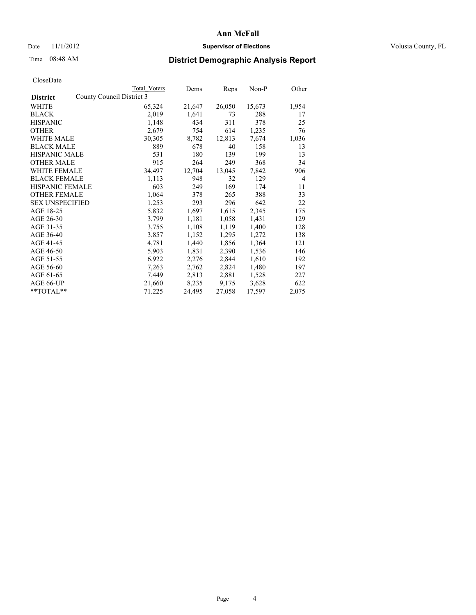## Date 11/1/2012 **Supervisor of Elections Supervisor of Elections** Volusia County, FL

# Time 08:48 AM **District Demographic Analysis Report**

| <b>Total Voters</b>       | Dems   | Reps   | Non-P  | Other          |
|---------------------------|--------|--------|--------|----------------|
| County Council District 3 |        |        |        |                |
| 65,324                    | 21,647 | 26,050 | 15,673 | 1,954          |
| 2,019                     | 1,641  | 73     | 288    | 17             |
| 1,148                     | 434    | 311    | 378    | 25             |
| 2,679                     | 754    | 614    | 1,235  | 76             |
| 30,305                    | 8,782  | 12,813 | 7,674  | 1,036          |
| 889                       | 678    | 40     | 158    | 13             |
| 531                       | 180    | 139    | 199    | 13             |
| 915                       | 264    | 249    | 368    | 34             |
| 34,497                    | 12,704 | 13,045 | 7,842  | 906            |
| 1,113                     | 948    | 32     | 129    | $\overline{4}$ |
| 603                       | 249    | 169    | 174    | 11             |
| 1,064                     | 378    | 265    | 388    | 33             |
| 1,253                     | 293    | 296    | 642    | 22             |
| 5,832                     | 1,697  | 1,615  | 2,345  | 175            |
| 3,799                     | 1,181  | 1,058  | 1,431  | 129            |
| 3,755                     | 1,108  | 1,119  | 1,400  | 128            |
| 3,857                     | 1,152  | 1,295  | 1,272  | 138            |
| 4,781                     | 1,440  | 1,856  | 1,364  | 121            |
| 5,903                     | 1,831  | 2,390  | 1,536  | 146            |
| 6,922                     | 2,276  | 2,844  | 1,610  | 192            |
| 7,263                     | 2,762  | 2,824  | 1,480  | 197            |
| 7,449                     | 2,813  | 2,881  | 1,528  | 227            |
| 21,660                    | 8,235  | 9,175  | 3,628  | 622            |
| 71,225                    | 24,495 | 27,058 | 17,597 | 2,075          |
|                           |        |        |        |                |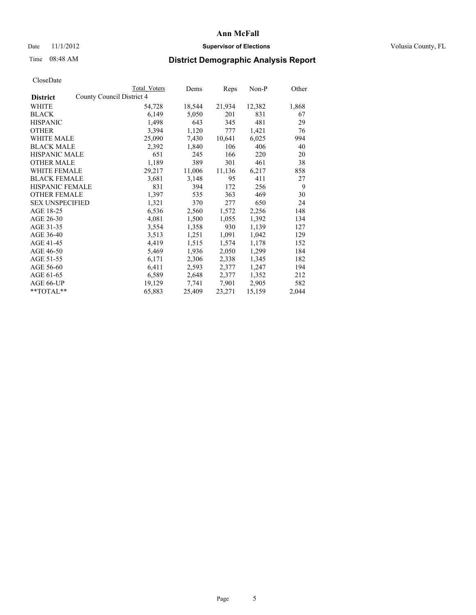## Date 11/1/2012 **Supervisor of Elections Supervisor of Elections** Volusia County, FL

# Time 08:48 AM **District Demographic Analysis Report**

|                        |                           | Total Voters | Dems   | Reps   | Non-P  | Other |
|------------------------|---------------------------|--------------|--------|--------|--------|-------|
| <b>District</b>        | County Council District 4 |              |        |        |        |       |
| WHITE                  |                           | 54,728       | 18,544 | 21,934 | 12,382 | 1,868 |
| <b>BLACK</b>           |                           | 6,149        | 5,050  | 201    | 831    | 67    |
| <b>HISPANIC</b>        |                           | 1,498        | 643    | 345    | 481    | 29    |
| <b>OTHER</b>           |                           | 3,394        | 1,120  | 777    | 1,421  | 76    |
| WHITE MALE             |                           | 25,090       | 7,430  | 10,641 | 6,025  | 994   |
| <b>BLACK MALE</b>      |                           | 2,392        | 1,840  | 106    | 406    | 40    |
| <b>HISPANIC MALE</b>   |                           | 651          | 245    | 166    | 220    | 20    |
| <b>OTHER MALE</b>      |                           | 1,189        | 389    | 301    | 461    | 38    |
| <b>WHITE FEMALE</b>    |                           | 29,217       | 11,006 | 11,136 | 6,217  | 858   |
| <b>BLACK FEMALE</b>    |                           | 3,681        | 3,148  | 95     | 411    | 27    |
| <b>HISPANIC FEMALE</b> |                           | 831          | 394    | 172    | 256    | 9     |
| <b>OTHER FEMALE</b>    |                           | 1,397        | 535    | 363    | 469    | 30    |
| <b>SEX UNSPECIFIED</b> |                           | 1,321        | 370    | 277    | 650    | 24    |
| AGE 18-25              |                           | 6,536        | 2,560  | 1,572  | 2,256  | 148   |
| AGE 26-30              |                           | 4,081        | 1,500  | 1,055  | 1,392  | 134   |
| AGE 31-35              |                           | 3,554        | 1,358  | 930    | 1,139  | 127   |
| AGE 36-40              |                           | 3,513        | 1,251  | 1,091  | 1,042  | 129   |
| AGE 41-45              |                           | 4,419        | 1,515  | 1,574  | 1,178  | 152   |
| AGE 46-50              |                           | 5,469        | 1,936  | 2,050  | 1,299  | 184   |
| AGE 51-55              |                           | 6,171        | 2,306  | 2,338  | 1,345  | 182   |
| AGE 56-60              |                           | 6,411        | 2,593  | 2,377  | 1,247  | 194   |
| AGE 61-65              |                           | 6,589        | 2,648  | 2,377  | 1,352  | 212   |
| AGE 66-UP              |                           | 19,129       | 7.741  | 7,901  | 2,905  | 582   |
| **TOTAL**              |                           | 65,883       | 25,409 | 23,271 | 15,159 | 2,044 |
|                        |                           |              |        |        |        |       |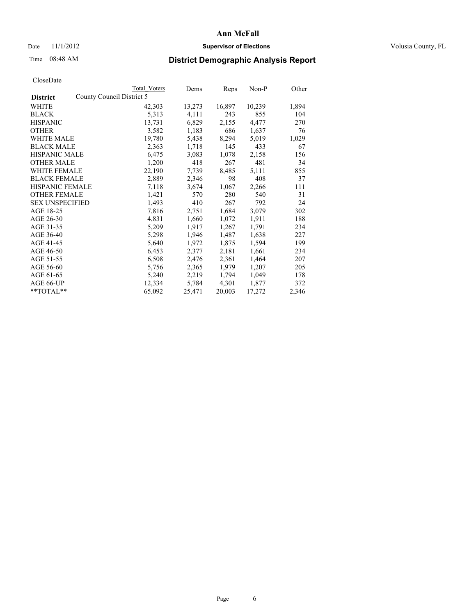## Date 11/1/2012 **Supervisor of Elections Supervisor of Elections** Volusia County, FL

# Time 08:48 AM **District Demographic Analysis Report**

|                        |                           | Total Voters | Dems   | <b>Reps</b> | Non-P  | Other |
|------------------------|---------------------------|--------------|--------|-------------|--------|-------|
| <b>District</b>        | County Council District 5 |              |        |             |        |       |
| <b>WHITE</b>           |                           | 42,303       | 13,273 | 16,897      | 10,239 | 1,894 |
| <b>BLACK</b>           |                           | 5,313        | 4,111  | 243         | 855    | 104   |
| <b>HISPANIC</b>        |                           | 13,731       | 6,829  | 2,155       | 4,477  | 270   |
| <b>OTHER</b>           |                           | 3,582        | 1,183  | 686         | 1,637  | 76    |
| <b>WHITE MALE</b>      |                           | 19,780       | 5,438  | 8,294       | 5,019  | 1,029 |
| <b>BLACK MALE</b>      |                           | 2,363        | 1,718  | 145         | 433    | 67    |
| <b>HISPANIC MALE</b>   |                           | 6,475        | 3,083  | 1,078       | 2,158  | 156   |
| <b>OTHER MALE</b>      |                           | 1,200        | 418    | 267         | 481    | 34    |
| <b>WHITE FEMALE</b>    |                           | 22,190       | 7,739  | 8,485       | 5,111  | 855   |
| <b>BLACK FEMALE</b>    |                           | 2,889        | 2,346  | 98          | 408    | 37    |
| <b>HISPANIC FEMALE</b> |                           | 7,118        | 3,674  | 1,067       | 2,266  | 111   |
| <b>OTHER FEMALE</b>    |                           | 1,421        | 570    | 280         | 540    | 31    |
| <b>SEX UNSPECIFIED</b> |                           | 1,493        | 410    | 267         | 792    | 24    |
| AGE 18-25              |                           | 7,816        | 2,751  | 1,684       | 3,079  | 302   |
| AGE 26-30              |                           | 4,831        | 1,660  | 1,072       | 1,911  | 188   |
| AGE 31-35              |                           | 5,209        | 1,917  | 1,267       | 1,791  | 234   |
| AGE 36-40              |                           | 5,298        | 1,946  | 1,487       | 1,638  | 227   |
| AGE 41-45              |                           | 5,640        | 1,972  | 1,875       | 1,594  | 199   |
| AGE 46-50              |                           | 6,453        | 2,377  | 2,181       | 1,661  | 234   |
| AGE 51-55              |                           | 6,508        | 2,476  | 2,361       | 1,464  | 207   |
| AGE 56-60              |                           | 5,756        | 2,365  | 1,979       | 1,207  | 205   |
| AGE 61-65              |                           | 5,240        | 2,219  | 1,794       | 1,049  | 178   |
| AGE 66-UP              |                           | 12,334       | 5,784  | 4,301       | 1,877  | 372   |
| $*$ $TOTAL**$          |                           | 65,092       | 25,471 | 20,003      | 17,272 | 2,346 |
|                        |                           |              |        |             |        |       |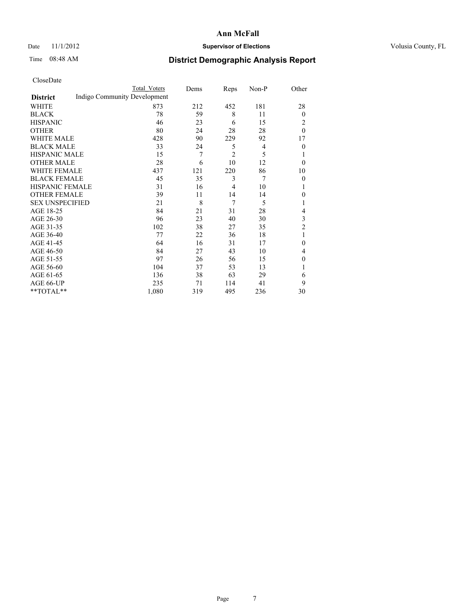## Date 11/1/2012 **Supervisor of Elections Supervisor of Elections** Volusia County, FL

# Time 08:48 AM **District Demographic Analysis Report**

|                        |                              | <b>Total Voters</b> | Dems | Reps           | Non-P | Other          |
|------------------------|------------------------------|---------------------|------|----------------|-------|----------------|
| <b>District</b>        | Indigo Community Development |                     |      |                |       |                |
| WHITE                  |                              | 873                 | 212  | 452            | 181   | 28             |
| <b>BLACK</b>           |                              | 78                  | 59   | 8              | 11    | $\overline{0}$ |
| <b>HISPANIC</b>        |                              | 46                  | 23   | 6              | 15    | 2              |
| <b>OTHER</b>           |                              | 80                  | 24   | 28             | 28    | $\theta$       |
| WHITE MALE             |                              | 428                 | 90   | 229            | 92    | 17             |
| <b>BLACK MALE</b>      |                              | 33                  | 24   | 5              | 4     | $\theta$       |
| <b>HISPANIC MALE</b>   |                              | 15                  | 7    | $\overline{c}$ | 5     | 1              |
| <b>OTHER MALE</b>      |                              | 28                  | 6    | 10             | 12    | $\theta$       |
| WHITE FEMALE           |                              | 437                 | 121  | 220            | 86    | 10             |
| <b>BLACK FEMALE</b>    |                              | 45                  | 35   | 3              | 7     | $\overline{0}$ |
| <b>HISPANIC FEMALE</b> |                              | 31                  | 16   | 4              | 10    | 1              |
| <b>OTHER FEMALE</b>    |                              | 39                  | 11   | 14             | 14    | $\theta$       |
| <b>SEX UNSPECIFIED</b> |                              | 21                  | 8    | 7              | 5     | 1              |
| AGE 18-25              |                              | 84                  | 21   | 31             | 28    | 4              |
| AGE 26-30              |                              | 96                  | 23   | 40             | 30    | 3              |
| AGE 31-35              |                              | 102                 | 38   | 27             | 35    | $\overline{2}$ |
| AGE 36-40              |                              | 77                  | 22   | 36             | 18    | 1              |
| AGE 41-45              |                              | 64                  | 16   | 31             | 17    | $\theta$       |
| AGE 46-50              |                              | 84                  | 27   | 43             | 10    | 4              |
| AGE 51-55              |                              | 97                  | 26   | 56             | 15    | $\theta$       |
| AGE 56-60              |                              | 104                 | 37   | 53             | 13    | 1              |
| AGE 61-65              |                              | 136                 | 38   | 63             | 29    | 6              |
| AGE 66-UP              |                              | 235                 | 71   | 114            | 41    | 9              |
| **TOTAL**              |                              | 1,080               | 319  | 495            | 236   | 30             |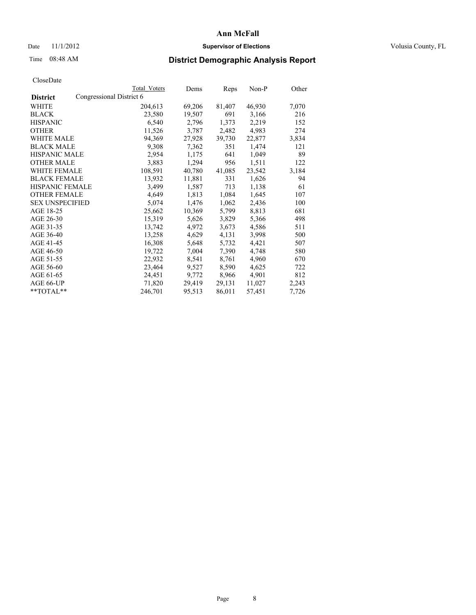## Date 11/1/2012 **Supervisor of Elections Supervisor of Elections** Volusia County, FL

# Time 08:48 AM **District Demographic Analysis Report**

|                                             | Total Voters | Dems   | <b>Reps</b> | Non-P  | Other |
|---------------------------------------------|--------------|--------|-------------|--------|-------|
| Congressional District 6<br><b>District</b> |              |        |             |        |       |
| WHITE                                       | 204,613      | 69,206 | 81,407      | 46,930 | 7,070 |
| <b>BLACK</b>                                | 23,580       | 19,507 | 691         | 3,166  | 216   |
| <b>HISPANIC</b>                             | 6,540        | 2,796  | 1,373       | 2,219  | 152   |
| <b>OTHER</b>                                | 11,526       | 3,787  | 2,482       | 4,983  | 274   |
| WHITE MALE                                  | 94,369       | 27,928 | 39,730      | 22,877 | 3,834 |
| <b>BLACK MALE</b>                           | 9,308        | 7,362  | 351         | 1,474  | 121   |
| <b>HISPANIC MALE</b>                        | 2,954        | 1,175  | 641         | 1,049  | 89    |
| <b>OTHER MALE</b>                           | 3,883        | 1,294  | 956         | 1,511  | 122   |
| WHITE FEMALE                                | 108,591      | 40,780 | 41,085      | 23,542 | 3,184 |
| <b>BLACK FEMALE</b>                         | 13,932       | 11,881 | 331         | 1,626  | 94    |
| <b>HISPANIC FEMALE</b>                      | 3,499        | 1,587  | 713         | 1,138  | 61    |
| <b>OTHER FEMALE</b>                         | 4,649        | 1,813  | 1,084       | 1,645  | 107   |
| <b>SEX UNSPECIFIED</b>                      | 5,074        | 1,476  | 1,062       | 2,436  | 100   |
| AGE 18-25                                   | 25,662       | 10,369 | 5,799       | 8,813  | 681   |
| AGE 26-30                                   | 15,319       | 5,626  | 3,829       | 5,366  | 498   |
| AGE 31-35                                   | 13,742       | 4,972  | 3,673       | 4,586  | 511   |
| AGE 36-40                                   | 13,258       | 4,629  | 4,131       | 3,998  | 500   |
| AGE 41-45                                   | 16,308       | 5,648  | 5,732       | 4,421  | 507   |
| AGE 46-50                                   | 19,722       | 7,004  | 7,390       | 4,748  | 580   |
| AGE 51-55                                   | 22,932       | 8,541  | 8,761       | 4,960  | 670   |
| AGE 56-60                                   | 23,464       | 9,527  | 8,590       | 4,625  | 722   |
| AGE 61-65                                   | 24,451       | 9,772  | 8,966       | 4,901  | 812   |
| AGE 66-UP                                   | 71,820       | 29,419 | 29,131      | 11,027 | 2,243 |
| $*$ TOTAL $*$                               | 246,701      | 95,513 | 86,011      | 57,451 | 7,726 |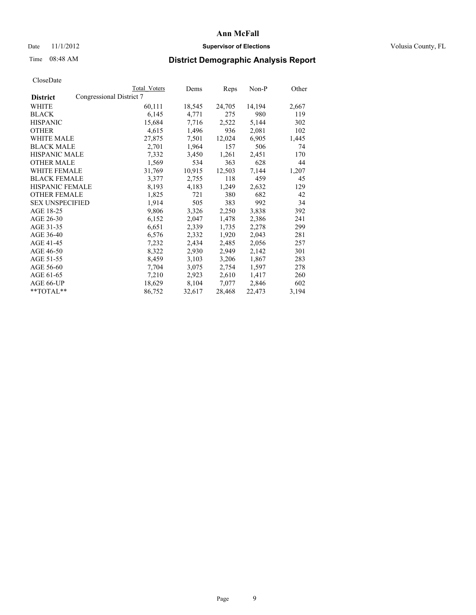## Date 11/1/2012 **Supervisor of Elections Supervisor of Elections** Volusia County, FL

# Time 08:48 AM **District Demographic Analysis Report**

|                        |                          | <b>Total Voters</b> | Dems   | Reps   | Non-P  | Other |
|------------------------|--------------------------|---------------------|--------|--------|--------|-------|
| <b>District</b>        | Congressional District 7 |                     |        |        |        |       |
| <b>WHITE</b>           |                          | 60,111              | 18,545 | 24,705 | 14,194 | 2,667 |
| <b>BLACK</b>           |                          | 6,145               | 4,771  | 275    | 980    | 119   |
| <b>HISPANIC</b>        |                          | 15,684              | 7.716  | 2,522  | 5,144  | 302   |
| <b>OTHER</b>           |                          | 4,615               | 1,496  | 936    | 2,081  | 102   |
| <b>WHITE MALE</b>      |                          | 27,875              | 7,501  | 12,024 | 6,905  | 1,445 |
| <b>BLACK MALE</b>      |                          | 2,701               | 1,964  | 157    | 506    | 74    |
| <b>HISPANIC MALE</b>   |                          | 7,332               | 3,450  | 1,261  | 2,451  | 170   |
| <b>OTHER MALE</b>      |                          | 1,569               | 534    | 363    | 628    | 44    |
| <b>WHITE FEMALE</b>    |                          | 31,769              | 10,915 | 12,503 | 7,144  | 1,207 |
| <b>BLACK FEMALE</b>    |                          | 3,377               | 2,755  | 118    | 459    | 45    |
| <b>HISPANIC FEMALE</b> |                          | 8,193               | 4,183  | 1,249  | 2,632  | 129   |
| <b>OTHER FEMALE</b>    |                          | 1,825               | 721    | 380    | 682    | 42    |
| <b>SEX UNSPECIFIED</b> |                          | 1,914               | 505    | 383    | 992    | 34    |
| AGE 18-25              |                          | 9,806               | 3,326  | 2,250  | 3,838  | 392   |
| AGE 26-30              |                          | 6,152               | 2,047  | 1,478  | 2,386  | 241   |
| AGE 31-35              |                          | 6,651               | 2,339  | 1,735  | 2,278  | 299   |
| AGE 36-40              |                          | 6,576               | 2,332  | 1,920  | 2,043  | 281   |
| AGE 41-45              |                          | 7,232               | 2,434  | 2,485  | 2,056  | 257   |
| AGE 46-50              |                          | 8,322               | 2,930  | 2,949  | 2,142  | 301   |
| AGE 51-55              |                          | 8,459               | 3,103  | 3,206  | 1,867  | 283   |
| AGE 56-60              |                          | 7,704               | 3,075  | 2,754  | 1,597  | 278   |
| AGE 61-65              |                          | 7,210               | 2,923  | 2,610  | 1,417  | 260   |
| AGE 66-UP              |                          | 18,629              | 8,104  | 7,077  | 2,846  | 602   |
| $*$ $TOTAL**$          |                          | 86,752              | 32,617 | 28,468 | 22,473 | 3,194 |
|                        |                          |                     |        |        |        |       |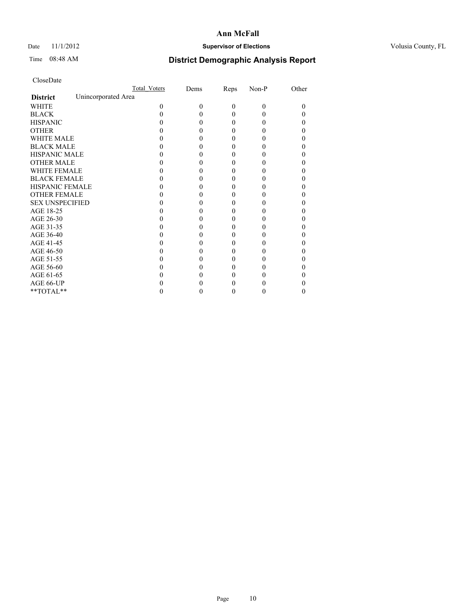## Date 11/1/2012 **Supervisor of Elections Supervisor of Elections** Volusia County, FL

# Time 08:48 AM **District Demographic Analysis Report**

|                        |                     | <b>Total Voters</b> | Dems     | Reps     | Non-P    | Other |
|------------------------|---------------------|---------------------|----------|----------|----------|-------|
| <b>District</b>        | Unincorporated Area |                     |          |          |          |       |
| <b>WHITE</b>           |                     | $\Omega$            | $\theta$ | $\theta$ | $\Omega$ | 0     |
| <b>BLACK</b>           |                     |                     |          | 0        | 0        |       |
| <b>HISPANIC</b>        |                     |                     |          | 0        | 0        |       |
| <b>OTHER</b>           |                     |                     |          |          |          |       |
| <b>WHITE MALE</b>      |                     |                     |          |          |          |       |
| <b>BLACK MALE</b>      |                     |                     |          |          |          |       |
| <b>HISPANIC MALE</b>   |                     |                     |          |          |          |       |
| <b>OTHER MALE</b>      |                     |                     |          |          |          |       |
| <b>WHITE FEMALE</b>    |                     |                     |          |          |          |       |
| <b>BLACK FEMALE</b>    |                     |                     |          | 0        |          | 0     |
| HISPANIC FEMALE        |                     |                     |          |          |          |       |
| <b>OTHER FEMALE</b>    |                     |                     |          |          |          |       |
| <b>SEX UNSPECIFIED</b> |                     |                     |          |          |          |       |
| AGE 18-25              |                     |                     |          |          |          |       |
| AGE 26-30              |                     |                     |          |          |          |       |
| AGE 31-35              |                     |                     |          |          |          |       |
| AGE 36-40              |                     |                     |          | 0        |          |       |
| AGE 41-45              |                     |                     |          |          |          |       |
| AGE 46-50              |                     |                     |          |          |          |       |
| AGE 51-55              |                     |                     |          |          |          |       |
| AGE 56-60              |                     |                     |          |          |          |       |
| AGE 61-65              |                     |                     |          |          |          |       |
| AGE 66-UP              |                     |                     |          |          |          |       |
| **TOTAL**              |                     |                     |          | 0        | 0        | 0     |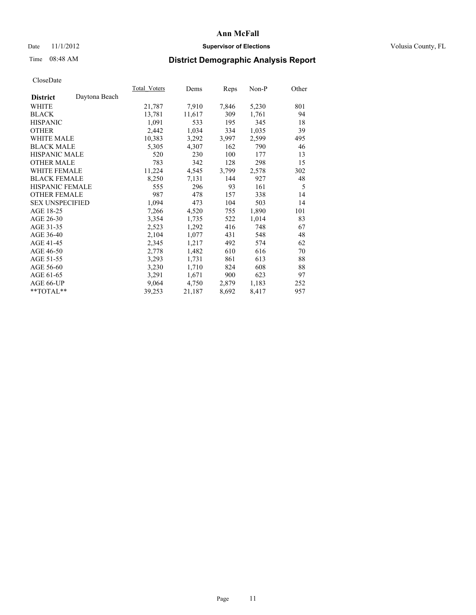## Date 11/1/2012 **Supervisor of Elections Supervisor of Elections** Volusia County, FL

# Time 08:48 AM **District Demographic Analysis Report**

| Total Voters | Dems   | Reps  | Non-P | Other |
|--------------|--------|-------|-------|-------|
|              |        |       |       |       |
| 21,787       | 7,910  | 7,846 | 5,230 | 801   |
| 13,781       | 11,617 | 309   | 1,761 | 94    |
| 1,091        | 533    | 195   | 345   | 18    |
| 2,442        | 1,034  | 334   | 1,035 | 39    |
| 10,383       | 3,292  | 3,997 | 2,599 | 495   |
| 5,305        | 4,307  | 162   | 790   | 46    |
| 520          | 230    | 100   | 177   | 13    |
| 783          | 342    | 128   | 298   | 15    |
| 11,224       | 4,545  | 3,799 | 2,578 | 302   |
| 8,250        | 7,131  | 144   | 927   | 48    |
| 555          | 296    | 93    | 161   | 5     |
| 987          | 478    | 157   | 338   | 14    |
| 1,094        | 473    | 104   | 503   | 14    |
| 7.266        | 4,520  | 755   | 1,890 | 101   |
| 3,354        | 1,735  | 522   | 1,014 | 83    |
| 2,523        | 1,292  | 416   | 748   | 67    |
| 2,104        | 1,077  | 431   | 548   | 48    |
| 2,345        | 1,217  | 492   | 574   | 62    |
| 2,778        | 1,482  | 610   | 616   | 70    |
| 3,293        | 1,731  | 861   | 613   | 88    |
| 3,230        | 1,710  | 824   | 608   | 88    |
| 3,291        | 1,671  | 900   | 623   | 97    |
| 9,064        | 4,750  | 2,879 | 1,183 | 252   |
| 39,253       | 21,187 | 8,692 | 8,417 | 957   |
|              |        |       |       |       |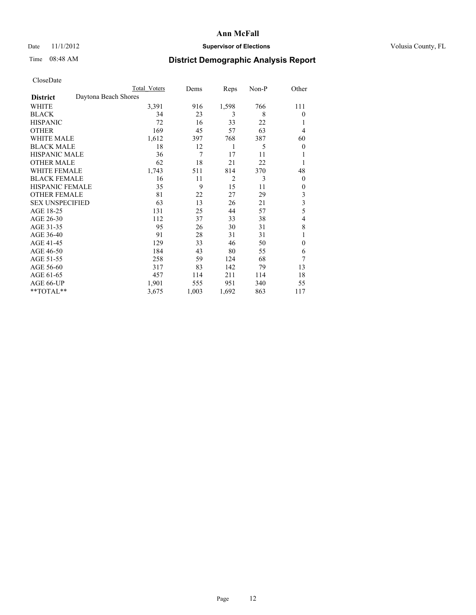# Date 11/1/2012 **Supervisor of Elections Supervisor of Elections** Volusia County, FL

# Time 08:48 AM **District Demographic Analysis Report**

|                        | <b>Total Voters</b>  | Dems  | Reps           | Non-P | Other          |
|------------------------|----------------------|-------|----------------|-------|----------------|
| <b>District</b>        | Daytona Beach Shores |       |                |       |                |
| WHITE                  | 3,391                | 916   | 1,598          | 766   | 111            |
| <b>BLACK</b>           | 34                   | 23    | 3              | 8     | $\theta$       |
| <b>HISPANIC</b>        | 72                   | 16    | 33             | 22    | 1              |
| <b>OTHER</b>           | 169                  | 45    | 57             | 63    | 4              |
| WHITE MALE             | 1,612                | 397   | 768            | 387   | 60             |
| <b>BLACK MALE</b>      | 18                   | 12    | 1              | 5     | $\overline{0}$ |
| <b>HISPANIC MALE</b>   | 36                   | 7     | 17             | 11    | 1              |
| <b>OTHER MALE</b>      | 62                   | 18    | 21             | 22    | 1              |
| WHITE FEMALE           | 1,743                | 511   | 814            | 370   | 48             |
| <b>BLACK FEMALE</b>    | 16                   | 11    | $\overline{2}$ | 3     | $\theta$       |
| <b>HISPANIC FEMALE</b> | 35                   | 9     | 15             | 11    | $\theta$       |
| <b>OTHER FEMALE</b>    | 81                   | 22    | 27             | 29    | 3              |
| <b>SEX UNSPECIFIED</b> | 63                   | 13    | 26             | 21    | $\mathfrak{Z}$ |
| AGE 18-25              | 131                  | 25    | 44             | 57    | 5              |
| AGE 26-30              | 112                  | 37    | 33             | 38    | 4              |
| AGE 31-35              | 95                   | 26    | 30             | 31    | 8              |
| AGE 36-40              | 91                   | 28    | 31             | 31    | 1              |
| AGE 41-45              | 129                  | 33    | 46             | 50    | $\theta$       |
| AGE 46-50              | 184                  | 43    | 80             | 55    | 6              |
| AGE 51-55              | 258                  | 59    | 124            | 68    | 7              |
| AGE 56-60              | 317                  | 83    | 142            | 79    | 13             |
| AGE 61-65              | 457                  | 114   | 211            | 114   | 18             |
| AGE 66-UP              | 1,901                | 555   | 951            | 340   | 55             |
| **TOTAL**              | 3,675                | 1,003 | 1,692          | 863   | 117            |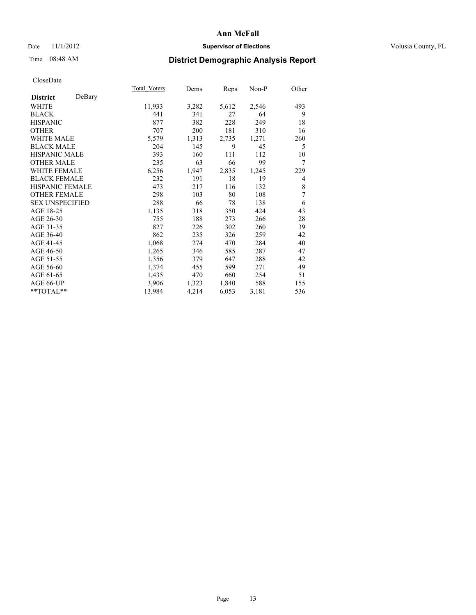# Date 11/1/2012 **Supervisor of Elections Supervisor of Elections** Volusia County, FL

# Time 08:48 AM **District Demographic Analysis Report**

|                        |        | Total Voters | Dems  | Reps  | Non-P | Other |
|------------------------|--------|--------------|-------|-------|-------|-------|
| <b>District</b>        | DeBary |              |       |       |       |       |
| WHITE                  |        | 11,933       | 3,282 | 5,612 | 2,546 | 493   |
| <b>BLACK</b>           |        | 441          | 341   | 27    | 64    | 9     |
| <b>HISPANIC</b>        |        | 877          | 382   | 228   | 249   | 18    |
| <b>OTHER</b>           |        | 707          | 200   | 181   | 310   | 16    |
| WHITE MALE             |        | 5,579        | 1,313 | 2,735 | 1,271 | 260   |
| <b>BLACK MALE</b>      |        | 204          | 145   | 9     | 45    | 5     |
| <b>HISPANIC MALE</b>   |        | 393          | 160   | 111   | 112   | 10    |
| <b>OTHER MALE</b>      |        | 235          | 63    | 66    | 99    | 7     |
| <b>WHITE FEMALE</b>    |        | 6,256        | 1,947 | 2,835 | 1,245 | 229   |
| <b>BLACK FEMALE</b>    |        | 232          | 191   | 18    | 19    | 4     |
| <b>HISPANIC FEMALE</b> |        | 473          | 217   | 116   | 132   | 8     |
| <b>OTHER FEMALE</b>    |        | 298          | 103   | 80    | 108   | 7     |
| <b>SEX UNSPECIFIED</b> |        | 288          | 66    | 78    | 138   | 6     |
| AGE 18-25              |        | 1,135        | 318   | 350   | 424   | 43    |
| AGE 26-30              |        | 755          | 188   | 273   | 266   | 28    |
| AGE 31-35              |        | 827          | 226   | 302   | 260   | 39    |
| AGE 36-40              |        | 862          | 235   | 326   | 259   | 42    |
| AGE 41-45              |        | 1,068        | 274   | 470   | 284   | 40    |
| AGE 46-50              |        | 1,265        | 346   | 585   | 287   | 47    |
| AGE 51-55              |        | 1,356        | 379   | 647   | 288   | 42    |
| AGE 56-60              |        | 1,374        | 455   | 599   | 271   | 49    |
| AGE 61-65              |        | 1,435        | 470   | 660   | 254   | 51    |
| AGE 66-UP              |        | 3,906        | 1,323 | 1,840 | 588   | 155   |
| **TOTAL**              |        | 13,984       | 4,214 | 6,053 | 3,181 | 536   |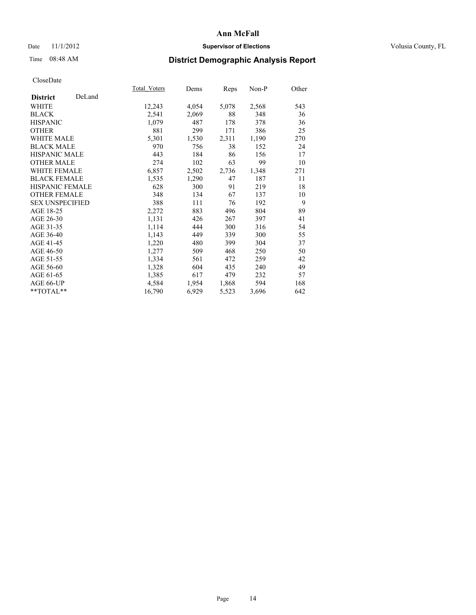# Date 11/1/2012 **Supervisor of Elections Supervisor of Elections** Volusia County, FL

# Time 08:48 AM **District Demographic Analysis Report**

|                        |        | Total Voters | Dems  | <b>Reps</b> | Non-P | Other |
|------------------------|--------|--------------|-------|-------------|-------|-------|
| <b>District</b>        | DeLand |              |       |             |       |       |
| <b>WHITE</b>           |        | 12,243       | 4,054 | 5,078       | 2,568 | 543   |
| <b>BLACK</b>           |        | 2,541        | 2,069 | 88          | 348   | 36    |
| <b>HISPANIC</b>        |        | 1,079        | 487   | 178         | 378   | 36    |
| <b>OTHER</b>           |        | 881          | 299   | 171         | 386   | 25    |
| <b>WHITE MALE</b>      |        | 5,301        | 1,530 | 2,311       | 1,190 | 270   |
| <b>BLACK MALE</b>      |        | 970          | 756   | 38          | 152   | 24    |
| HISPANIC MALE          |        | 443          | 184   | 86          | 156   | 17    |
| <b>OTHER MALE</b>      |        | 274          | 102   | 63          | 99    | 10    |
| <b>WHITE FEMALE</b>    |        | 6,857        | 2,502 | 2,736       | 1,348 | 271   |
| <b>BLACK FEMALE</b>    |        | 1,535        | 1,290 | 47          | 187   | 11    |
| <b>HISPANIC FEMALE</b> |        | 628          | 300   | 91          | 219   | 18    |
| <b>OTHER FEMALE</b>    |        | 348          | 134   | 67          | 137   | 10    |
| <b>SEX UNSPECIFIED</b> |        | 388          | 111   | 76          | 192   | 9     |
| AGE 18-25              |        | 2,272        | 883   | 496         | 804   | 89    |
| AGE 26-30              |        | 1,131        | 426   | 267         | 397   | 41    |
| AGE 31-35              |        | 1,114        | 444   | 300         | 316   | 54    |
| AGE 36-40              |        | 1,143        | 449   | 339         | 300   | 55    |
| AGE 41-45              |        | 1,220        | 480   | 399         | 304   | 37    |
| AGE 46-50              |        | 1,277        | 509   | 468         | 250   | 50    |
| AGE 51-55              |        | 1,334        | 561   | 472         | 259   | 42    |
| AGE 56-60              |        | 1,328        | 604   | 435         | 240   | 49    |
| AGE 61-65              |        | 1,385        | 617   | 479         | 232   | 57    |
| AGE 66-UP              |        | 4,584        | 1,954 | 1,868       | 594   | 168   |
| **TOTAL**              |        | 16,790       | 6,929 | 5,523       | 3,696 | 642   |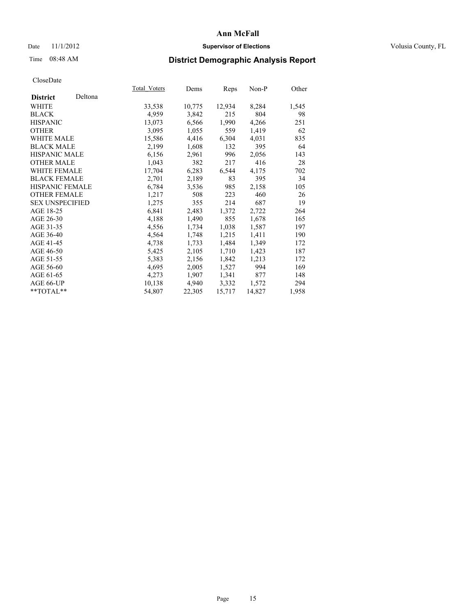## Date 11/1/2012 **Supervisor of Elections Supervisor of Elections** Volusia County, FL

# Time 08:48 AM **District Demographic Analysis Report**

|                        |         | Total Voters | Dems   | <b>Reps</b> | $Non-P$ | Other |
|------------------------|---------|--------------|--------|-------------|---------|-------|
| <b>District</b>        | Deltona |              |        |             |         |       |
| <b>WHITE</b>           |         | 33,538       | 10,775 | 12,934      | 8,284   | 1,545 |
| <b>BLACK</b>           |         | 4,959        | 3,842  | 215         | 804     | 98    |
| <b>HISPANIC</b>        |         | 13,073       | 6,566  | 1,990       | 4,266   | 251   |
| <b>OTHER</b>           |         | 3,095        | 1,055  | 559         | 1,419   | 62    |
| WHITE MALE             |         | 15,586       | 4,416  | 6,304       | 4,031   | 835   |
| <b>BLACK MALE</b>      |         | 2,199        | 1,608  | 132         | 395     | 64    |
| <b>HISPANIC MALE</b>   |         | 6,156        | 2,961  | 996         | 2,056   | 143   |
| <b>OTHER MALE</b>      |         | 1,043        | 382    | 217         | 416     | 28    |
| <b>WHITE FEMALE</b>    |         | 17,704       | 6,283  | 6,544       | 4,175   | 702   |
| <b>BLACK FEMALE</b>    |         | 2,701        | 2,189  | 83          | 395     | 34    |
| HISPANIC FEMALE        |         | 6,784        | 3,536  | 985         | 2,158   | 105   |
| <b>OTHER FEMALE</b>    |         | 1,217        | 508    | 223         | 460     | 26    |
| <b>SEX UNSPECIFIED</b> |         | 1,275        | 355    | 214         | 687     | 19    |
| AGE 18-25              |         | 6,841        | 2,483  | 1,372       | 2,722   | 264   |
| AGE 26-30              |         | 4,188        | 1,490  | 855         | 1,678   | 165   |
| AGE 31-35              |         | 4,556        | 1,734  | 1,038       | 1,587   | 197   |
| AGE 36-40              |         | 4,564        | 1,748  | 1,215       | 1,411   | 190   |
| AGE 41-45              |         | 4,738        | 1,733  | 1,484       | 1,349   | 172   |
| AGE 46-50              |         | 5,425        | 2,105  | 1,710       | 1,423   | 187   |
| AGE 51-55              |         | 5,383        | 2,156  | 1,842       | 1,213   | 172   |
| AGE 56-60              |         | 4,695        | 2,005  | 1,527       | 994     | 169   |
| AGE 61-65              |         | 4,273        | 1,907  | 1,341       | 877     | 148   |
| AGE 66-UP              |         | 10,138       | 4,940  | 3,332       | 1,572   | 294   |
| $*$ TOTAL $*$          |         | 54,807       | 22,305 | 15,717      | 14,827  | 1,958 |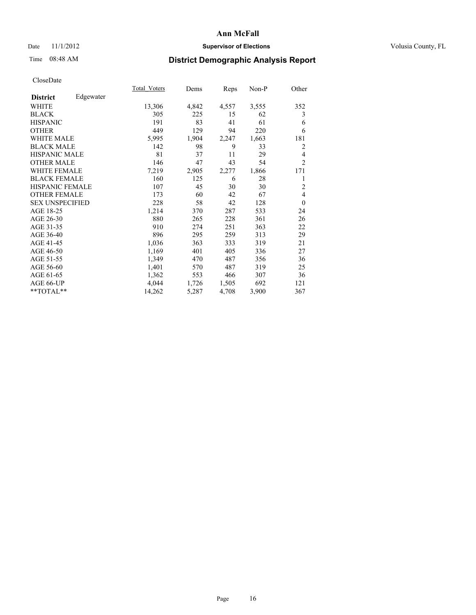## Date 11/1/2012 **Supervisor of Elections Supervisor of Elections** Volusia County, FL

# Time 08:48 AM **District Demographic Analysis Report**

|                              | Total Voters | Dems  | Reps  | Non-P | Other          |
|------------------------------|--------------|-------|-------|-------|----------------|
| Edgewater<br><b>District</b> |              |       |       |       |                |
| <b>WHITE</b>                 | 13,306       | 4,842 | 4,557 | 3,555 | 352            |
| <b>BLACK</b>                 | 305          | 225   | 15    | 62    | 3              |
| <b>HISPANIC</b>              | 191          | 83    | 41    | 61    | 6              |
| <b>OTHER</b>                 | 449          | 129   | 94    | 220   | 6              |
| <b>WHITE MALE</b>            | 5,995        | 1,904 | 2,247 | 1,663 | 181            |
| <b>BLACK MALE</b>            | 142          | 98    | 9     | 33    | 2              |
| HISPANIC MALE                | 81           | 37    | 11    | 29    | 4              |
| <b>OTHER MALE</b>            | 146          | 47    | 43    | 54    | $\overline{2}$ |
| <b>WHITE FEMALE</b>          | 7,219        | 2,905 | 2,277 | 1,866 | 171            |
| <b>BLACK FEMALE</b>          | 160          | 125   | 6     | 28    | 1              |
| <b>HISPANIC FEMALE</b>       | 107          | 45    | 30    | 30    | $\overline{2}$ |
| <b>OTHER FEMALE</b>          | 173          | 60    | 42    | 67    | 4              |
| <b>SEX UNSPECIFIED</b>       | 228          | 58    | 42    | 128   | $\theta$       |
| AGE 18-25                    | 1,214        | 370   | 287   | 533   | 24             |
| AGE 26-30                    | 880          | 265   | 228   | 361   | 26             |
| AGE 31-35                    | 910          | 274   | 251   | 363   | 22             |
| AGE 36-40                    | 896          | 295   | 259   | 313   | 29             |
| AGE 41-45                    | 1,036        | 363   | 333   | 319   | 21             |
| AGE 46-50                    | 1,169        | 401   | 405   | 336   | 27             |
| AGE 51-55                    | 1,349        | 470   | 487   | 356   | 36             |
| AGE 56-60                    | 1,401        | 570   | 487   | 319   | 25             |
| AGE 61-65                    | 1,362        | 553   | 466   | 307   | 36             |
| AGE 66-UP                    | 4,044        | 1,726 | 1,505 | 692   | 121            |
| **TOTAL**                    | 14,262       | 5,287 | 4,708 | 3,900 | 367            |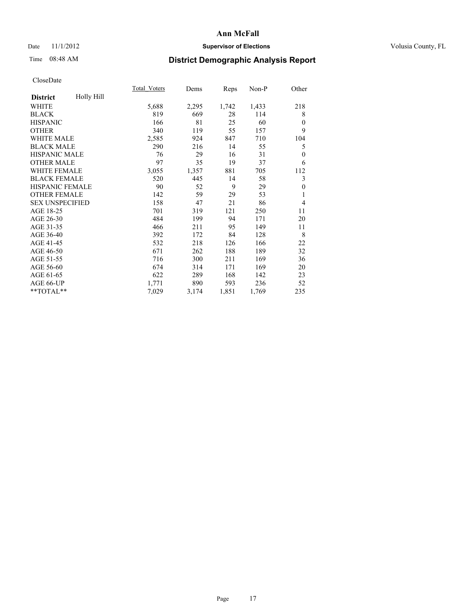## Date 11/1/2012 **Supervisor of Elections Supervisor of Elections** Volusia County, FL

# Time 08:48 AM **District Demographic Analysis Report**

|                        |            | <b>Total Voters</b> | Dems  | Reps  | Non-P | Other          |
|------------------------|------------|---------------------|-------|-------|-------|----------------|
| <b>District</b>        | Holly Hill |                     |       |       |       |                |
| WHITE                  |            | 5,688               | 2,295 | 1,742 | 1,433 | 218            |
| <b>BLACK</b>           |            | 819                 | 669   | 28    | 114   | 8              |
| <b>HISPANIC</b>        |            | 166                 | 81    | 25    | 60    | $\theta$       |
| <b>OTHER</b>           |            | 340                 | 119   | 55    | 157   | 9              |
| <b>WHITE MALE</b>      |            | 2,585               | 924   | 847   | 710   | 104            |
| <b>BLACK MALE</b>      |            | 290                 | 216   | 14    | 55    | 5              |
| <b>HISPANIC MALE</b>   |            | 76                  | 29    | 16    | 31    | $\theta$       |
| <b>OTHER MALE</b>      |            | 97                  | 35    | 19    | 37    | 6              |
| <b>WHITE FEMALE</b>    |            | 3,055               | 1,357 | 881   | 705   | 112            |
| <b>BLACK FEMALE</b>    |            | 520                 | 445   | 14    | 58    | 3              |
| <b>HISPANIC FEMALE</b> |            | 90                  | 52    | 9     | 29    | $\theta$       |
| <b>OTHER FEMALE</b>    |            | 142                 | 59    | 29    | 53    | 1              |
| <b>SEX UNSPECIFIED</b> |            | 158                 | 47    | 21    | 86    | $\overline{4}$ |
| AGE 18-25              |            | 701                 | 319   | 121   | 250   | 11             |
| AGE 26-30              |            | 484                 | 199   | 94    | 171   | 20             |
| AGE 31-35              |            | 466                 | 211   | 95    | 149   | 11             |
| AGE 36-40              |            | 392                 | 172   | 84    | 128   | 8              |
| AGE 41-45              |            | 532                 | 218   | 126   | 166   | 22             |
| AGE 46-50              |            | 671                 | 262   | 188   | 189   | 32             |
| AGE 51-55              |            | 716                 | 300   | 211   | 169   | 36             |
| AGE 56-60              |            | 674                 | 314   | 171   | 169   | 20             |
| AGE 61-65              |            | 622                 | 289   | 168   | 142   | 23             |
| AGE 66-UP              |            | 1,771               | 890   | 593   | 236   | 52             |
| **TOTAL**              |            | 7,029               | 3,174 | 1,851 | 1,769 | 235            |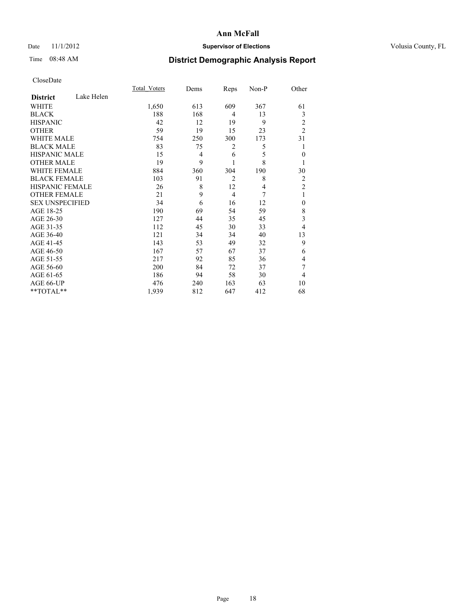# Date 11/1/2012 **Supervisor of Elections Supervisor of Elections** Volusia County, FL

# Time 08:48 AM **District Demographic Analysis Report**

|                        |            | <b>Total Voters</b> | Dems           | Reps           | Non-P          | Other          |
|------------------------|------------|---------------------|----------------|----------------|----------------|----------------|
| <b>District</b>        | Lake Helen |                     |                |                |                |                |
| <b>WHITE</b>           |            | 1,650               | 613            | 609            | 367            | 61             |
| <b>BLACK</b>           |            | 188                 | 168            | 4              | 13             | 3              |
| <b>HISPANIC</b>        |            | 42                  | 12             | 19             | 9              | 2              |
| <b>OTHER</b>           |            | 59                  | 19             | 15             | 23             | $\overline{2}$ |
| <b>WHITE MALE</b>      |            | 754                 | 250            | 300            | 173            | 31             |
| <b>BLACK MALE</b>      |            | 83                  | 75             | 2              | 5              | 1              |
| <b>HISPANIC MALE</b>   |            | 15                  | $\overline{4}$ | 6              | 5              | $\theta$       |
| <b>OTHER MALE</b>      |            | 19                  | 9              | 1              | 8              | 1              |
| <b>WHITE FEMALE</b>    |            | 884                 | 360            | 304            | 190            | 30             |
| <b>BLACK FEMALE</b>    |            | 103                 | 91             | $\overline{2}$ | 8              | $\overline{2}$ |
| HISPANIC FEMALE        |            | 26                  | 8              | 12             | $\overline{4}$ | $\overline{2}$ |
| <b>OTHER FEMALE</b>    |            | 21                  | 9              | $\overline{4}$ | 7              | 1              |
| <b>SEX UNSPECIFIED</b> |            | 34                  | 6              | 16             | 12             | $\mathbf{0}$   |
| AGE 18-25              |            | 190                 | 69             | 54             | 59             | 8              |
| AGE 26-30              |            | 127                 | 44             | 35             | 45             | 3              |
| AGE 31-35              |            | 112                 | 45             | 30             | 33             | 4              |
| AGE 36-40              |            | 121                 | 34             | 34             | 40             | 13             |
| AGE 41-45              |            | 143                 | 53             | 49             | 32             | 9              |
| AGE 46-50              |            | 167                 | 57             | 67             | 37             | 6              |
| AGE 51-55              |            | 217                 | 92             | 85             | 36             | 4              |
| AGE 56-60              |            | 200                 | 84             | 72             | 37             | 7              |
| AGE 61-65              |            | 186                 | 94             | 58             | 30             | $\overline{4}$ |
| AGE 66-UP              |            | 476                 | 240            | 163            | 63             | 10             |
| **TOTAL**              |            | 1,939               | 812            | 647            | 412            | 68             |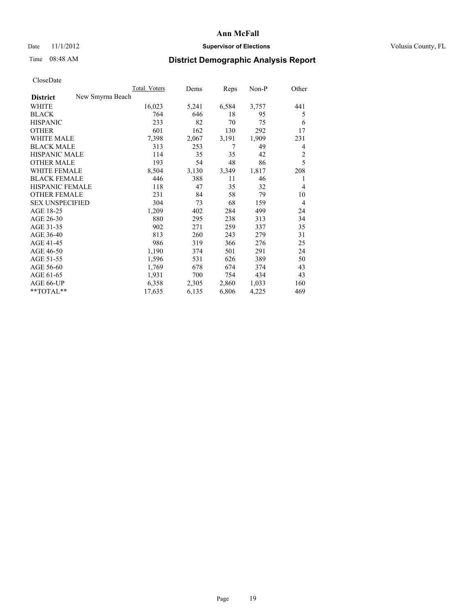## Date 11/1/2012 **Supervisor of Elections Supervisor of Elections** Volusia County, FL

# Time 08:48 AM **District Demographic Analysis Report**

|                                     | <b>Total Voters</b> | Dems  | Reps  | Non-P | Other          |
|-------------------------------------|---------------------|-------|-------|-------|----------------|
| New Smyrna Beach<br><b>District</b> |                     |       |       |       |                |
| WHITE                               | 16,023              | 5,241 | 6,584 | 3,757 | 441            |
| <b>BLACK</b>                        | 764                 | 646   | 18    | 95    | 5              |
| <b>HISPANIC</b>                     | 233                 | 82    | 70    | 75    | 6              |
| <b>OTHER</b>                        | 601                 | 162   | 130   | 292   | 17             |
| <b>WHITE MALE</b>                   | 7,398               | 2,067 | 3,191 | 1,909 | 231            |
| <b>BLACK MALE</b>                   | 313                 | 253   | 7     | 49    | 4              |
| <b>HISPANIC MALE</b>                | 114                 | 35    | 35    | 42    | $\overline{c}$ |
| <b>OTHER MALE</b>                   | 193                 | 54    | 48    | 86    | 5              |
| <b>WHITE FEMALE</b>                 | 8,504               | 3,130 | 3,349 | 1,817 | 208            |
| <b>BLACK FEMALE</b>                 | 446                 | 388   | 11    | 46    | 1              |
| HISPANIC FEMALE                     | 118                 | 47    | 35    | 32    | $\overline{4}$ |
| <b>OTHER FEMALE</b>                 | 231                 | 84    | 58    | 79    | 10             |
| <b>SEX UNSPECIFIED</b>              | 304                 | 73    | 68    | 159   | 4              |
| AGE 18-25                           | 1,209               | 402   | 284   | 499   | 24             |
| AGE 26-30                           | 880                 | 295   | 238   | 313   | 34             |
| AGE 31-35                           | 902                 | 271   | 259   | 337   | 35             |
| AGE 36-40                           | 813                 | 260   | 243   | 279   | 31             |
| AGE 41-45                           | 986                 | 319   | 366   | 276   | 25             |
| AGE 46-50                           | 1,190               | 374   | 501   | 291   | 24             |
| AGE 51-55                           | 1,596               | 531   | 626   | 389   | 50             |
| AGE 56-60                           | 1,769               | 678   | 674   | 374   | 43             |
| AGE 61-65                           | 1,931               | 700   | 754   | 434   | 43             |
| AGE 66-UP                           | 6,358               | 2,305 | 2,860 | 1,033 | 160            |
| $*$ $TOTAL**$                       | 17,635              | 6,135 | 6,806 | 4,225 | 469            |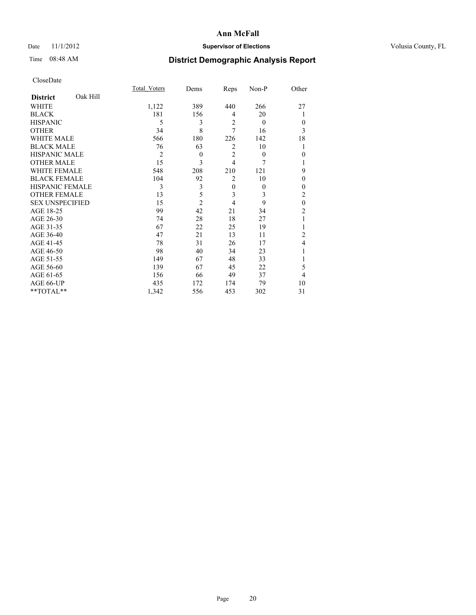# Date 11/1/2012 **Supervisor of Elections Supervisor of Elections** Volusia County, FL

# Time 08:48 AM **District Demographic Analysis Report**

|                        |          | Total Voters   | Dems           | Reps           | Non-P    | Other          |
|------------------------|----------|----------------|----------------|----------------|----------|----------------|
| <b>District</b>        | Oak Hill |                |                |                |          |                |
| WHITE                  |          | 1,122          | 389            | 440            | 266      | 27             |
| <b>BLACK</b>           |          | 181            | 156            | 4              | 20       | 1              |
| <b>HISPANIC</b>        |          | 5              | 3              | $\overline{2}$ | $\theta$ | $\Omega$       |
| <b>OTHER</b>           |          | 34             | 8              | 7              | 16       | 3              |
| WHITE MALE             |          | 566            | 180            | 226            | 142      | 18             |
| <b>BLACK MALE</b>      |          | 76             | 63             | 2              | 10       | 1              |
| <b>HISPANIC MALE</b>   |          | $\overline{2}$ | $\theta$       | $\overline{2}$ | $\theta$ | $\Omega$       |
| <b>OTHER MALE</b>      |          | 15             | 3              | $\overline{4}$ | 7        | 1              |
| <b>WHITE FEMALE</b>    |          | 548            | 208            | 210            | 121      | 9              |
| <b>BLACK FEMALE</b>    |          | 104            | 92             | $\overline{2}$ | 10       | $\theta$       |
| <b>HISPANIC FEMALE</b> |          | 3              | 3              | $\mathbf{0}$   | $\theta$ | $\Omega$       |
| <b>OTHER FEMALE</b>    |          | 13             | 5              | 3              | 3        | $\overline{c}$ |
| <b>SEX UNSPECIFIED</b> |          | 15             | $\overline{2}$ | 4              | 9        | $\mathbf{0}$   |
| AGE 18-25              |          | 99             | 42             | 21             | 34       | $\overline{c}$ |
| AGE 26-30              |          | 74             | 28             | 18             | 27       | 1              |
| AGE 31-35              |          | 67             | 22             | 25             | 19       |                |
| AGE 36-40              |          | 47             | 21             | 13             | 11       | $\overline{c}$ |
| AGE 41-45              |          | 78             | 31             | 26             | 17       | 4              |
| AGE 46-50              |          | 98             | 40             | 34             | 23       | 1              |
| AGE 51-55              |          | 149            | 67             | 48             | 33       |                |
| AGE 56-60              |          | 139            | 67             | 45             | 22       | 5              |
| AGE 61-65              |          | 156            | 66             | 49             | 37       | $\overline{4}$ |
| AGE 66-UP              |          | 435            | 172            | 174            | 79       | 10             |
| **TOTAL**              |          | 1,342          | 556            | 453            | 302      | 31             |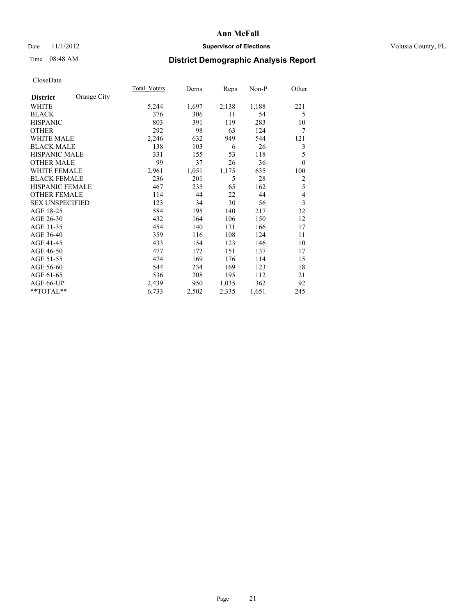## Date 11/1/2012 **Supervisor of Elections Supervisor of Elections** Volusia County, FL

# Time 08:48 AM **District Demographic Analysis Report**

|                                | Total Voters | Dems  | Reps  | $Non-P$ | Other          |
|--------------------------------|--------------|-------|-------|---------|----------------|
| Orange City<br><b>District</b> |              |       |       |         |                |
| <b>WHITE</b>                   | 5,244        | 1,697 | 2,138 | 1,188   | 221            |
| <b>BLACK</b>                   | 376          | 306   | 11    | 54      | 5              |
| <b>HISPANIC</b>                | 803          | 391   | 119   | 283     | 10             |
| <b>OTHER</b>                   | 292          | 98    | 63    | 124     | 7              |
| <b>WHITE MALE</b>              | 2,246        | 632   | 949   | 544     | 121            |
| <b>BLACK MALE</b>              | 138          | 103   | 6     | 26      | 3              |
| HISPANIC MALE                  | 331          | 155   | 53    | 118     | 5              |
| <b>OTHER MALE</b>              | 99           | 37    | 26    | 36      | $\theta$       |
| <b>WHITE FEMALE</b>            | 2,961        | 1,051 | 1,175 | 635     | 100            |
| <b>BLACK FEMALE</b>            | 236          | 201   | 5     | 28      | $\overline{c}$ |
| <b>HISPANIC FEMALE</b>         | 467          | 235   | 65    | 162     | 5              |
| <b>OTHER FEMALE</b>            | 114          | 44    | 22    | 44      | $\overline{4}$ |
| <b>SEX UNSPECIFIED</b>         | 123          | 34    | 30    | 56      | $\overline{3}$ |
| AGE 18-25                      | 584          | 195   | 140   | 217     | 32             |
| AGE 26-30                      | 432          | 164   | 106   | 150     | 12             |
| AGE 31-35                      | 454          | 140   | 131   | 166     | 17             |
| AGE 36-40                      | 359          | 116   | 108   | 124     | 11             |
| AGE 41-45                      | 433          | 154   | 123   | 146     | 10             |
| AGE 46-50                      | 477          | 172   | 151   | 137     | 17             |
| AGE 51-55                      | 474          | 169   | 176   | 114     | 15             |
| AGE 56-60                      | 544          | 234   | 169   | 123     | 18             |
| AGE 61-65                      | 536          | 208   | 195   | 112     | 21             |
| AGE 66-UP                      | 2,439        | 950   | 1,035 | 362     | 92             |
| **TOTAL**                      | 6,733        | 2,502 | 2,335 | 1,651   | 245            |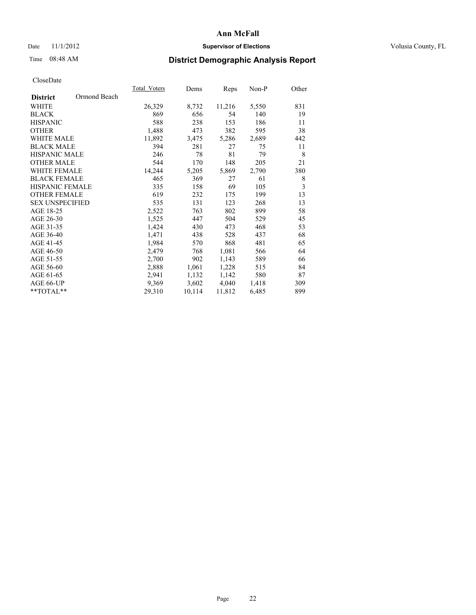# Date 11/1/2012 **Supervisor of Elections Supervisor of Elections** Volusia County, FL

# Time 08:48 AM **District Demographic Analysis Report**

|                        |              | <b>Total Voters</b> | Dems   | <b>Reps</b> | Non-P | Other |
|------------------------|--------------|---------------------|--------|-------------|-------|-------|
| <b>District</b>        | Ormond Beach |                     |        |             |       |       |
| WHITE                  |              | 26,329              | 8,732  | 11,216      | 5,550 | 831   |
| <b>BLACK</b>           |              | 869                 | 656    | 54          | 140   | 19    |
| <b>HISPANIC</b>        |              | 588                 | 238    | 153         | 186   | 11    |
| <b>OTHER</b>           |              | 1,488               | 473    | 382         | 595   | 38    |
| <b>WHITE MALE</b>      |              | 11,892              | 3,475  | 5,286       | 2,689 | 442   |
| <b>BLACK MALE</b>      |              | 394                 | 281    | 27          | 75    | 11    |
| <b>HISPANIC MALE</b>   |              | 246                 | 78     | 81          | 79    | 8     |
| <b>OTHER MALE</b>      |              | 544                 | 170    | 148         | 205   | 21    |
| <b>WHITE FEMALE</b>    |              | 14,244              | 5,205  | 5,869       | 2,790 | 380   |
| <b>BLACK FEMALE</b>    |              | 465                 | 369    | 27          | 61    | 8     |
| HISPANIC FEMALE        |              | 335                 | 158    | 69          | 105   | 3     |
| <b>OTHER FEMALE</b>    |              | 619                 | 232    | 175         | 199   | 13    |
| <b>SEX UNSPECIFIED</b> |              | 535                 | 131    | 123         | 268   | 13    |
| AGE 18-25              |              | 2,522               | 763    | 802         | 899   | 58    |
| AGE 26-30              |              | 1,525               | 447    | 504         | 529   | 45    |
| AGE 31-35              |              | 1,424               | 430    | 473         | 468   | 53    |
| AGE 36-40              |              | 1,471               | 438    | 528         | 437   | 68    |
| AGE 41-45              |              | 1,984               | 570    | 868         | 481   | 65    |
| AGE 46-50              |              | 2,479               | 768    | 1,081       | 566   | 64    |
| AGE 51-55              |              | 2,700               | 902    | 1,143       | 589   | 66    |
| AGE 56-60              |              | 2,888               | 1,061  | 1,228       | 515   | 84    |
| AGE 61-65              |              | 2,941               | 1,132  | 1,142       | 580   | 87    |
| AGE 66-UP              |              | 9,369               | 3,602  | 4,040       | 1,418 | 309   |
| $*$ $TOTAL**$          |              | 29,310              | 10,114 | 11,812      | 6,485 | 899   |
|                        |              |                     |        |             |       |       |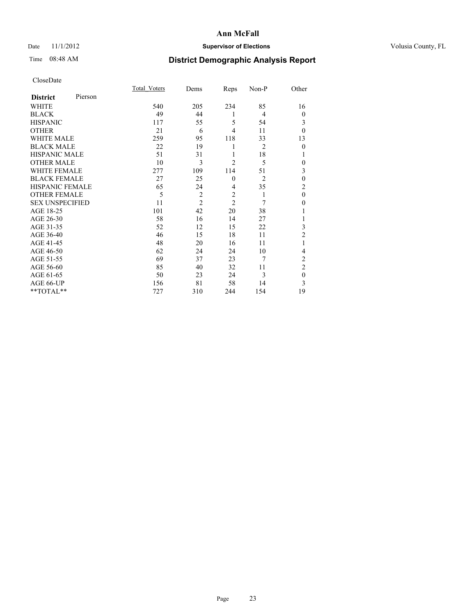# Date 11/1/2012 **Supervisor of Elections Supervisor of Elections** Volusia County, FL

# Time 08:48 AM **District Demographic Analysis Report**

|                        |         | Total Voters | Dems           | Reps           | Non-P          | Other            |
|------------------------|---------|--------------|----------------|----------------|----------------|------------------|
| <b>District</b>        | Pierson |              |                |                |                |                  |
| WHITE                  |         | 540          | 205            | 234            | 85             | 16               |
| <b>BLACK</b>           |         | 49           | 44             | 1              | $\overline{4}$ | $\overline{0}$   |
| <b>HISPANIC</b>        |         | 117          | 55             | 5              | 54             | 3                |
| <b>OTHER</b>           |         | 21           | 6              | 4              | 11             | $\theta$         |
| WHITE MALE             |         | 259          | 95             | 118            | 33             | 13               |
| <b>BLACK MALE</b>      |         | 22           | 19             | 1              | $\overline{2}$ | $\mathbf{0}$     |
| <b>HISPANIC MALE</b>   |         | 51           | 31             | 1              | 18             | 1                |
| <b>OTHER MALE</b>      |         | 10           | 3              | $\overline{c}$ | 5              | 0                |
| <b>WHITE FEMALE</b>    |         | 277          | 109            | 114            | 51             | 3                |
| <b>BLACK FEMALE</b>    |         | 27           | 25             | $\mathbf{0}$   | $\overline{2}$ | $\mathbf{0}$     |
| <b>HISPANIC FEMALE</b> |         | 65           | 24             | 4              | 35             | $\overline{c}$   |
| <b>OTHER FEMALE</b>    |         | 5            | $\overline{c}$ | $\overline{c}$ | 1              | $\theta$         |
| <b>SEX UNSPECIFIED</b> |         | 11           | $\overline{2}$ | $\overline{2}$ | 7              | $\boldsymbol{0}$ |
| AGE 18-25              |         | 101          | 42             | 20             | 38             |                  |
| AGE 26-30              |         | 58           | 16             | 14             | 27             | 1                |
| AGE 31-35              |         | 52           | 12             | 15             | 22             | 3                |
| AGE 36-40              |         | 46           | 15             | 18             | 11             | $\overline{2}$   |
| AGE 41-45              |         | 48           | 20             | 16             | 11             |                  |
| AGE 46-50              |         | 62           | 24             | 24             | 10             | 4                |
| AGE 51-55              |         | 69           | 37             | 23             | 7              | $\overline{c}$   |
| AGE 56-60              |         | 85           | 40             | 32             | 11             | $\overline{c}$   |
| AGE 61-65              |         | 50           | 23             | 24             | 3              | $\mathbf{0}$     |
| AGE 66-UP              |         | 156          | 81             | 58             | 14             | 3                |
| **TOTAL**              |         | 727          | 310            | 244            | 154            | 19               |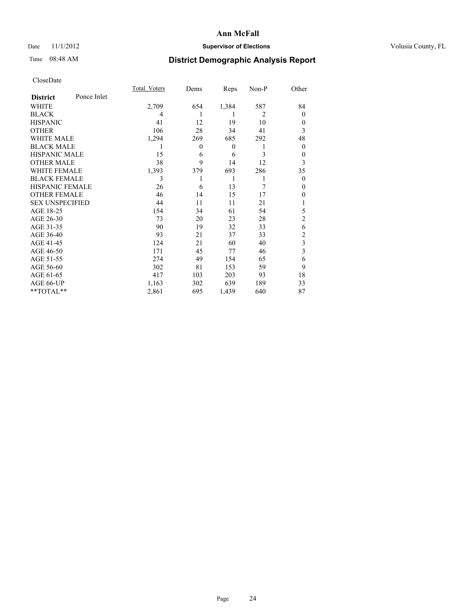# Date 11/1/2012 **Supervisor of Elections Supervisor of Elections** Volusia County, FL

# Time 08:48 AM **District Demographic Analysis Report**

|                        |             | <b>Total Voters</b> | Dems           | Reps             | Non-P          | Other          |
|------------------------|-------------|---------------------|----------------|------------------|----------------|----------------|
| <b>District</b>        | Ponce Inlet |                     |                |                  |                |                |
| WHITE                  |             | 2,709               | 654            | 1,384            | 587            | 84             |
| <b>BLACK</b>           |             | 4                   |                | 1                | $\overline{2}$ | $\Omega$       |
| <b>HISPANIC</b>        |             | 41                  | 12             | 19               | 10             | $\Omega$       |
| <b>OTHER</b>           |             | 106                 | 28             | 34               | 41             | 3              |
| WHITE MALE             |             | 1,294               | 269            | 685              | 292            | 48             |
| <b>BLACK MALE</b>      |             | 1                   | $\overline{0}$ | $\boldsymbol{0}$ | 1              | $\overline{0}$ |
| <b>HISPANIC MALE</b>   |             | 15                  | 6              | 6                | 3              | 0              |
| <b>OTHER MALE</b>      |             | 38                  | 9              | 14               | 12             | 3              |
| WHITE FEMALE           |             | 1,393               | 379            | 693              | 286            | 35             |
| <b>BLACK FEMALE</b>    |             | 3                   |                | 1                | 1              | $\overline{0}$ |
| <b>HISPANIC FEMALE</b> |             | 26                  | 6              | 13               | 7              | $\Omega$       |
| <b>OTHER FEMALE</b>    |             | 46                  | 14             | 15               | 17             | $\theta$       |
| <b>SEX UNSPECIFIED</b> |             | 44                  | 11             | 11               | 21             |                |
| AGE 18-25              |             | 154                 | 34             | 61               | 54             | 5              |
| AGE 26-30              |             | 73                  | 20             | 23               | 28             | $\overline{2}$ |
| AGE 31-35              |             | 90                  | 19             | 32               | 33             | 6              |
| AGE 36-40              |             | 93                  | 21             | 37               | 33             | $\overline{c}$ |
| AGE 41-45              |             | 124                 | 21             | 60               | 40             | 3              |
| AGE 46-50              |             | 171                 | 45             | 77               | 46             | 3              |
| AGE 51-55              |             | 274                 | 49             | 154              | 65             | 6              |
| AGE 56-60              |             | 302                 | 81             | 153              | 59             | 9              |
| AGE 61-65              |             | 417                 | 103            | 203              | 93             | 18             |
| AGE 66-UP              |             | 1,163               | 302            | 639              | 189            | 33             |
| **TOTAL**              |             | 2,861               | 695            | 1,439            | 640            | 87             |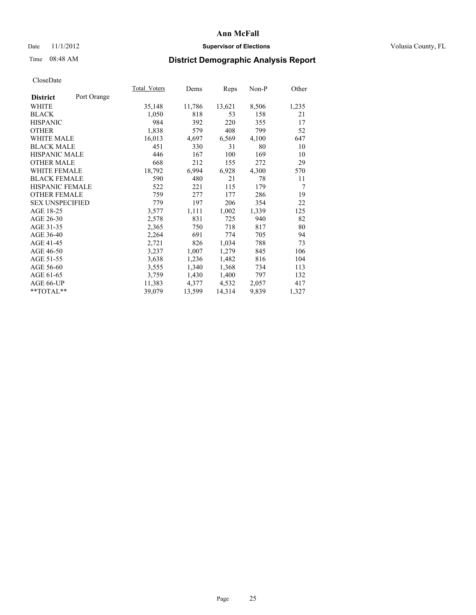## Date 11/1/2012 **Supervisor of Elections Supervisor of Elections** Volusia County, FL

# Time 08:48 AM **District Demographic Analysis Report**

| Total Voters | Dems   | Reps   | Non-P | Other          |
|--------------|--------|--------|-------|----------------|
|              |        |        |       |                |
| 35,148       | 11,786 | 13,621 | 8,506 | 1,235          |
| 1,050        | 818    | 53     | 158   | 21             |
| 984          | 392    | 220    | 355   | 17             |
| 1,838        | 579    | 408    | 799   | 52             |
| 16,013       | 4,697  | 6,569  | 4,100 | 647            |
| 451          | 330    | 31     | 80    | 10             |
| 446          | 167    | 100    | 169   | 10             |
| 668          | 212    | 155    | 272   | 29             |
| 18,792       | 6,994  | 6,928  | 4,300 | 570            |
| 590          | 480    | 21     | 78    | 11             |
| 522          | 221    | 115    | 179   | $\overline{7}$ |
| 759          | 277    | 177    | 286   | 19             |
| 779          | 197    | 206    | 354   | 22             |
| 3,577        | 1,111  | 1,002  | 1,339 | 125            |
| 2,578        | 831    | 725    | 940   | 82             |
| 2,365        | 750    | 718    | 817   | 80             |
| 2,264        | 691    | 774    | 705   | 94             |
| 2,721        | 826    | 1,034  | 788   | 73             |
| 3,237        | 1,007  | 1,279  | 845   | 106            |
| 3,638        | 1,236  | 1,482  | 816   | 104            |
| 3,555        | 1,340  | 1,368  | 734   | 113            |
| 3,759        | 1,430  | 1,400  | 797   | 132            |
| 11,383       | 4,377  | 4,532  | 2,057 | 417            |
| 39,079       | 13,599 | 14,314 | 9,839 | 1,327          |
|              |        |        |       |                |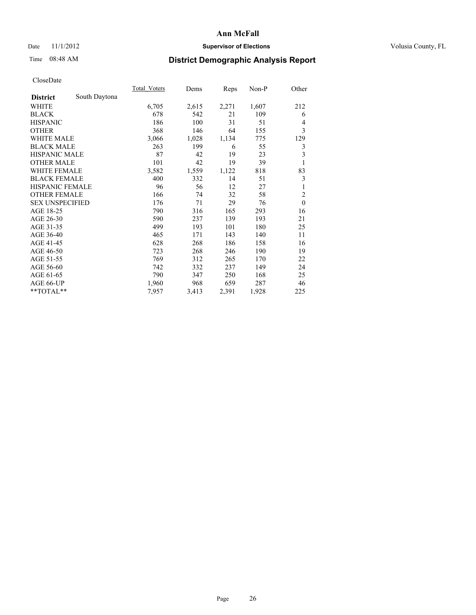# Date 11/1/2012 **Supervisor of Elections Supervisor of Elections** Volusia County, FL

# Time 08:48 AM **District Demographic Analysis Report**

|                        |               | Total Voters | Dems  | Reps  | $Non-P$ | Other                   |
|------------------------|---------------|--------------|-------|-------|---------|-------------------------|
| <b>District</b>        | South Daytona |              |       |       |         |                         |
| WHITE                  |               | 6,705        | 2,615 | 2,271 | 1,607   | 212                     |
| <b>BLACK</b>           |               | 678          | 542   | 21    | 109     | 6                       |
| <b>HISPANIC</b>        |               | 186          | 100   | 31    | 51      | $\overline{4}$          |
| <b>OTHER</b>           |               | 368          | 146   | 64    | 155     | 3                       |
| WHITE MALE             |               | 3,066        | 1,028 | 1,134 | 775     | 129                     |
| <b>BLACK MALE</b>      |               | 263          | 199   | 6     | 55      | 3                       |
| <b>HISPANIC MALE</b>   |               | 87           | 42    | 19    | 23      | $\overline{\mathbf{3}}$ |
| <b>OTHER MALE</b>      |               | 101          | 42    | 19    | 39      | 1                       |
| <b>WHITE FEMALE</b>    |               | 3,582        | 1,559 | 1,122 | 818     | 83                      |
| <b>BLACK FEMALE</b>    |               | 400          | 332   | 14    | 51      | 3                       |
| <b>HISPANIC FEMALE</b> |               | 96           | 56    | 12    | 27      | 1                       |
| <b>OTHER FEMALE</b>    |               | 166          | 74    | 32    | 58      | $\overline{2}$          |
| <b>SEX UNSPECIFIED</b> |               | 176          | 71    | 29    | 76      | $\mathbf{0}$            |
| AGE 18-25              |               | 790          | 316   | 165   | 293     | 16                      |
| AGE 26-30              |               | 590          | 237   | 139   | 193     | 21                      |
| AGE 31-35              |               | 499          | 193   | 101   | 180     | 25                      |
| AGE 36-40              |               | 465          | 171   | 143   | 140     | 11                      |
| AGE 41-45              |               | 628          | 268   | 186   | 158     | 16                      |
| AGE 46-50              |               | 723          | 268   | 246   | 190     | 19                      |
| AGE 51-55              |               | 769          | 312   | 265   | 170     | 22                      |
| AGE 56-60              |               | 742          | 332   | 237   | 149     | 24                      |
| AGE 61-65              |               | 790          | 347   | 250   | 168     | 25                      |
| AGE 66-UP              |               | 1,960        | 968   | 659   | 287     | 46                      |
| **TOTAL**              |               | 7,957        | 3,413 | 2,391 | 1,928   | 225                     |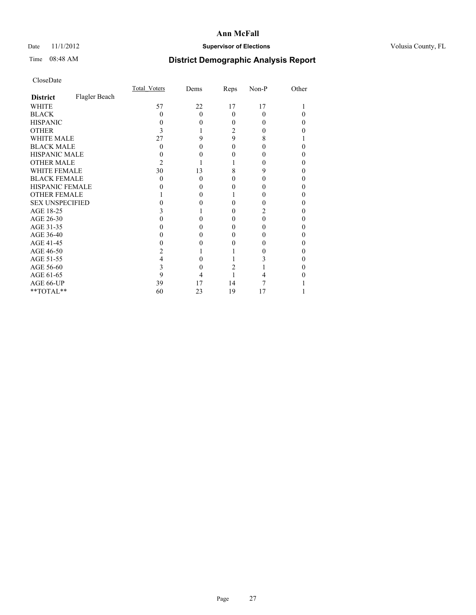# Date 11/1/2012 **Supervisor of Elections Supervisor of Elections** Volusia County, FL

# Time 08:48 AM **District Demographic Analysis Report**

|                        |               | Total Voters | Dems     | Reps     | Non-P    | Other |
|------------------------|---------------|--------------|----------|----------|----------|-------|
| <b>District</b>        | Flagler Beach |              |          |          |          |       |
| <b>WHITE</b>           |               | 57           | 22       | 17       | 17       |       |
| <b>BLACK</b>           |               | 0            | $\Omega$ | $\Omega$ | $\theta$ |       |
| <b>HISPANIC</b>        |               |              | 0        | 0        |          | 0     |
| <b>OTHER</b>           |               |              |          | 2        |          |       |
| <b>WHITE MALE</b>      |               | 27           | 9        | 9        | 8        |       |
| <b>BLACK MALE</b>      |               | 0            | 0        | 0        |          | 0     |
| HISPANIC MALE          |               |              |          |          |          | 0     |
| <b>OTHER MALE</b>      |               | 2            |          |          |          | 0     |
| <b>WHITE FEMALE</b>    |               | 30           | 13       | 8        | 9        |       |
| <b>BLACK FEMALE</b>    |               | 0            | $\Omega$ | 0        |          | 0     |
| <b>HISPANIC FEMALE</b> |               |              | 0        |          |          |       |
| <b>OTHER FEMALE</b>    |               |              | $\theta$ |          |          | 0     |
| <b>SEX UNSPECIFIED</b> |               |              |          |          |          | 0     |
| AGE 18-25              |               |              |          | 0        |          | 0     |
| AGE 26-30              |               |              | 0        | 0        |          | 0     |
| AGE 31-35              |               |              |          | 0        |          |       |
| AGE 36-40              |               |              | 0        | 0        |          | 0     |
| AGE 41-45              |               |              |          |          |          |       |
| AGE 46-50              |               |              |          |          |          | 0     |
| AGE 51-55              |               |              |          |          |          |       |
| AGE 56-60              |               |              |          | 2        |          | 0     |
| AGE 61-65              |               | 9            |          |          |          |       |
| AGE 66-UP              |               | 39           | 17       | 14       |          |       |
| **TOTAL**              |               | 60           | 23       | 19       | 17       |       |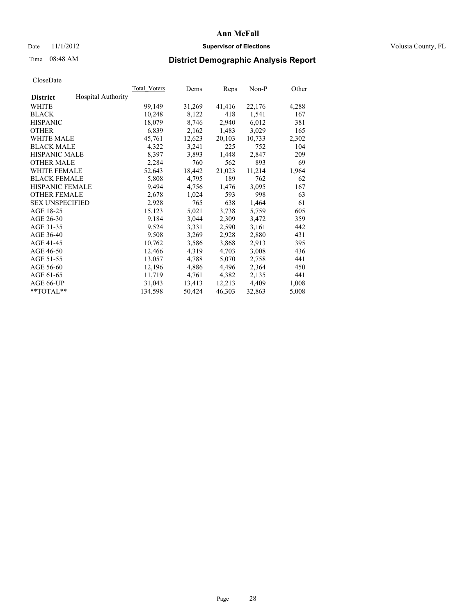## Date 11/1/2012 **Supervisor of Elections Supervisor of Elections** Volusia County, FL

# Time 08:48 AM **District Demographic Analysis Report**

|                        |                           | Total Voters | Dems   | Reps   | Non-P  | Other |
|------------------------|---------------------------|--------------|--------|--------|--------|-------|
| <b>District</b>        | <b>Hospital Authority</b> |              |        |        |        |       |
| WHITE                  |                           | 99,149       | 31,269 | 41,416 | 22,176 | 4,288 |
| <b>BLACK</b>           |                           | 10,248       | 8,122  | 418    | 1,541  | 167   |
| <b>HISPANIC</b>        |                           | 18,079       | 8,746  | 2,940  | 6,012  | 381   |
| <b>OTHER</b>           |                           | 6,839        | 2,162  | 1,483  | 3,029  | 165   |
| <b>WHITE MALE</b>      |                           | 45,761       | 12,623 | 20,103 | 10,733 | 2,302 |
| <b>BLACK MALE</b>      |                           | 4,322        | 3,241  | 225    | 752    | 104   |
| <b>HISPANIC MALE</b>   |                           | 8,397        | 3,893  | 1,448  | 2,847  | 209   |
| <b>OTHER MALE</b>      |                           | 2,284        | 760    | 562    | 893    | 69    |
| WHITE FEMALE           |                           | 52,643       | 18,442 | 21,023 | 11,214 | 1,964 |
| <b>BLACK FEMALE</b>    |                           | 5,808        | 4,795  | 189    | 762    | 62    |
| <b>HISPANIC FEMALE</b> |                           | 9,494        | 4,756  | 1,476  | 3,095  | 167   |
| <b>OTHER FEMALE</b>    |                           | 2,678        | 1,024  | 593    | 998    | 63    |
| <b>SEX UNSPECIFIED</b> |                           | 2,928        | 765    | 638    | 1,464  | 61    |
| AGE 18-25              |                           | 15,123       | 5,021  | 3,738  | 5,759  | 605   |
| AGE 26-30              |                           | 9,184        | 3,044  | 2,309  | 3,472  | 359   |
| AGE 31-35              |                           | 9,524        | 3,331  | 2,590  | 3,161  | 442   |
| AGE 36-40              |                           | 9,508        | 3,269  | 2,928  | 2,880  | 431   |
| AGE 41-45              |                           | 10,762       | 3,586  | 3,868  | 2,913  | 395   |
| AGE 46-50              |                           | 12,466       | 4,319  | 4,703  | 3,008  | 436   |
| AGE 51-55              |                           | 13,057       | 4,788  | 5,070  | 2,758  | 441   |
| AGE 56-60              |                           | 12,196       | 4,886  | 4,496  | 2,364  | 450   |
| AGE 61-65              |                           | 11,719       | 4,761  | 4,382  | 2,135  | 441   |
| AGE 66-UP              |                           | 31,043       | 13,413 | 12,213 | 4,409  | 1,008 |
| $*$ TOTAL $*$          |                           | 134,598      | 50,424 | 46,303 | 32,863 | 5,008 |
|                        |                           |              |        |        |        |       |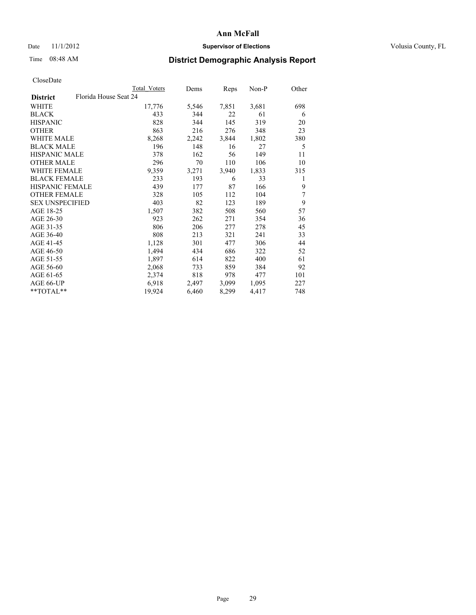## Date 11/1/2012 **Supervisor of Elections Supervisor of Elections** Volusia County, FL

# Time 08:48 AM **District Demographic Analysis Report**

|                        |                       | Total Voters | Dems  | <b>Reps</b> | Non-P | Other |
|------------------------|-----------------------|--------------|-------|-------------|-------|-------|
| <b>District</b>        | Florida House Seat 24 |              |       |             |       |       |
| WHITE                  |                       | 17,776       | 5,546 | 7,851       | 3,681 | 698   |
| <b>BLACK</b>           |                       | 433          | 344   | 22          | 61    | 6     |
| <b>HISPANIC</b>        |                       | 828          | 344   | 145         | 319   | 20    |
| <b>OTHER</b>           |                       | 863          | 216   | 276         | 348   | 23    |
| WHITE MALE             |                       | 8,268        | 2,242 | 3,844       | 1,802 | 380   |
| <b>BLACK MALE</b>      |                       | 196          | 148   | 16          | 27    | 5     |
| <b>HISPANIC MALE</b>   |                       | 378          | 162   | 56          | 149   | 11    |
| <b>OTHER MALE</b>      |                       | 296          | 70    | 110         | 106   | 10    |
| WHITE FEMALE           |                       | 9,359        | 3,271 | 3,940       | 1,833 | 315   |
| <b>BLACK FEMALE</b>    |                       | 233          | 193   | 6           | 33    | 1     |
| <b>HISPANIC FEMALE</b> |                       | 439          | 177   | 87          | 166   | 9     |
| <b>OTHER FEMALE</b>    |                       | 328          | 105   | 112         | 104   | 7     |
| <b>SEX UNSPECIFIED</b> |                       | 403          | 82    | 123         | 189   | 9     |
| AGE 18-25              |                       | 1,507        | 382   | 508         | 560   | 57    |
| AGE 26-30              |                       | 923          | 262   | 271         | 354   | 36    |
| AGE 31-35              |                       | 806          | 206   | 277         | 278   | 45    |
| AGE 36-40              |                       | 808          | 213   | 321         | 241   | 33    |
| AGE 41-45              |                       | 1,128        | 301   | 477         | 306   | 44    |
| AGE 46-50              |                       | 1,494        | 434   | 686         | 322   | 52    |
| AGE 51-55              |                       | 1,897        | 614   | 822         | 400   | 61    |
| AGE 56-60              |                       | 2,068        | 733   | 859         | 384   | 92    |
| AGE 61-65              |                       | 2,374        | 818   | 978         | 477   | 101   |
| AGE 66-UP              |                       | 6,918        | 2,497 | 3,099       | 1,095 | 227   |
| **TOTAL**              |                       | 19,924       | 6,460 | 8,299       | 4,417 | 748   |
|                        |                       |              |       |             |       |       |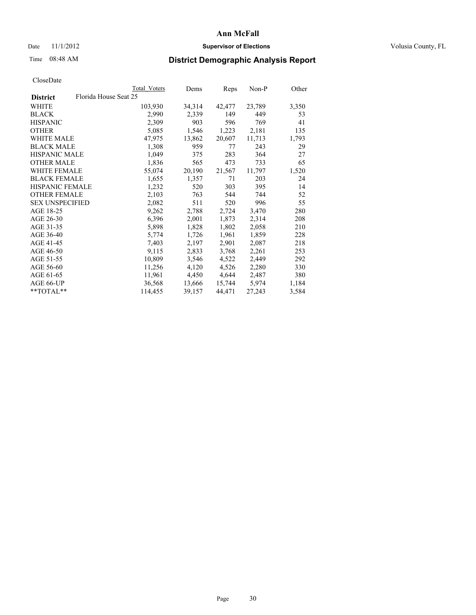## Date 11/1/2012 **Supervisor of Elections Supervisor of Elections** Volusia County, FL

# Time 08:48 AM **District Demographic Analysis Report**

|                                          | Total Voters | Dems   | Reps   | Non-P  | Other |
|------------------------------------------|--------------|--------|--------|--------|-------|
| Florida House Seat 25<br><b>District</b> |              |        |        |        |       |
| WHITE                                    | 103,930      | 34,314 | 42,477 | 23,789 | 3,350 |
| <b>BLACK</b>                             | 2,990        | 2,339  | 149    | 449    | 53    |
| <b>HISPANIC</b>                          | 2,309        | 903    | 596    | 769    | 41    |
| <b>OTHER</b>                             | 5,085        | 1,546  | 1,223  | 2,181  | 135   |
| WHITE MALE                               | 47,975       | 13,862 | 20,607 | 11,713 | 1,793 |
| <b>BLACK MALE</b>                        | 1,308        | 959    | 77     | 243    | 29    |
| <b>HISPANIC MALE</b>                     | 1,049        | 375    | 283    | 364    | 27    |
| <b>OTHER MALE</b>                        | 1,836        | 565    | 473    | 733    | 65    |
| WHITE FEMALE                             | 55,074       | 20,190 | 21,567 | 11,797 | 1,520 |
| <b>BLACK FEMALE</b>                      | 1,655        | 1,357  | 71     | 203    | 24    |
| <b>HISPANIC FEMALE</b>                   | 1,232        | 520    | 303    | 395    | 14    |
| <b>OTHER FEMALE</b>                      | 2,103        | 763    | 544    | 744    | 52    |
| <b>SEX UNSPECIFIED</b>                   | 2,082        | 511    | 520    | 996    | 55    |
| AGE 18-25                                | 9,262        | 2,788  | 2,724  | 3,470  | 280   |
| AGE 26-30                                | 6,396        | 2,001  | 1,873  | 2,314  | 208   |
| AGE 31-35                                | 5,898        | 1,828  | 1,802  | 2,058  | 210   |
| AGE 36-40                                | 5,774        | 1,726  | 1,961  | 1,859  | 228   |
| AGE 41-45                                | 7,403        | 2,197  | 2,901  | 2,087  | 218   |
| AGE 46-50                                | 9,115        | 2,833  | 3,768  | 2,261  | 253   |
| AGE 51-55                                | 10,809       | 3,546  | 4,522  | 2,449  | 292   |
| AGE 56-60                                | 11,256       | 4,120  | 4,526  | 2,280  | 330   |
| AGE 61-65                                | 11,961       | 4,450  | 4,644  | 2,487  | 380   |
| AGE 66-UP                                | 36,568       | 13,666 | 15,744 | 5,974  | 1,184 |
| $*$ TOTAL $*$                            | 114,455      | 39,157 | 44,471 | 27,243 | 3,584 |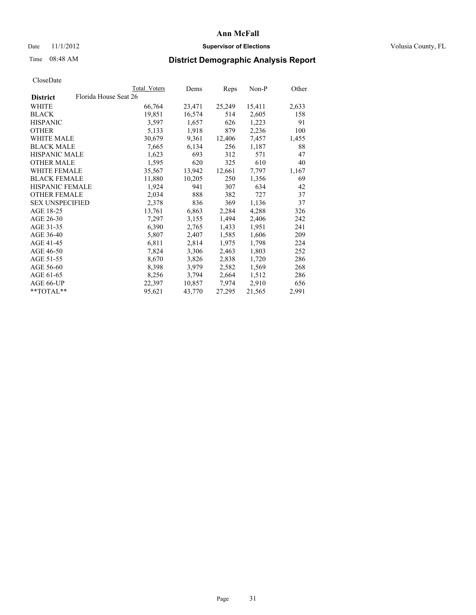## Date 11/1/2012 **Supervisor of Elections Supervisor of Elections** Volusia County, FL

# Time 08:48 AM **District Demographic Analysis Report**

|                        |                       | Total Voters | Dems   | <b>Reps</b> | Non-P  | Other |
|------------------------|-----------------------|--------------|--------|-------------|--------|-------|
| <b>District</b>        | Florida House Seat 26 |              |        |             |        |       |
| WHITE                  |                       | 66,764       | 23,471 | 25,249      | 15,411 | 2,633 |
| <b>BLACK</b>           |                       | 19,851       | 16,574 | 514         | 2,605  | 158   |
| <b>HISPANIC</b>        |                       | 3,597        | 1,657  | 626         | 1,223  | 91    |
| <b>OTHER</b>           |                       | 5,133        | 1,918  | 879         | 2,236  | 100   |
| <b>WHITE MALE</b>      |                       | 30,679       | 9.361  | 12,406      | 7,457  | 1,455 |
| <b>BLACK MALE</b>      |                       | 7,665        | 6,134  | 256         | 1,187  | 88    |
| <b>HISPANIC MALE</b>   |                       | 1,623        | 693    | 312         | 571    | 47    |
| <b>OTHER MALE</b>      |                       | 1,595        | 620    | 325         | 610    | 40    |
| <b>WHITE FEMALE</b>    |                       | 35,567       | 13,942 | 12,661      | 7.797  | 1,167 |
| <b>BLACK FEMALE</b>    |                       | 11,880       | 10,205 | 250         | 1,356  | 69    |
| <b>HISPANIC FEMALE</b> |                       | 1,924        | 941    | 307         | 634    | 42    |
| <b>OTHER FEMALE</b>    |                       | 2,034        | 888    | 382         | 727    | 37    |
| <b>SEX UNSPECIFIED</b> |                       | 2,378        | 836    | 369         | 1,136  | 37    |
| AGE 18-25              |                       | 13,761       | 6,863  | 2,284       | 4,288  | 326   |
| AGE 26-30              |                       | 7,297        | 3,155  | 1,494       | 2,406  | 242   |
| AGE 31-35              |                       | 6,390        | 2,765  | 1,433       | 1,951  | 241   |
| AGE 36-40              |                       | 5,807        | 2,407  | 1,585       | 1,606  | 209   |
| AGE 41-45              |                       | 6,811        | 2,814  | 1,975       | 1,798  | 224   |
| AGE 46-50              |                       | 7,824        | 3,306  | 2,463       | 1,803  | 252   |
| AGE 51-55              |                       | 8,670        | 3,826  | 2,838       | 1,720  | 286   |
| AGE 56-60              |                       | 8,398        | 3,979  | 2,582       | 1,569  | 268   |
| AGE 61-65              |                       | 8,256        | 3,794  | 2,664       | 1,512  | 286   |
| AGE 66-UP              |                       | 22,397       | 10,857 | 7,974       | 2,910  | 656   |
| $*$ $TOTAL**$          |                       | 95,621       | 43,770 | 27,295      | 21,565 | 2,991 |
|                        |                       |              |        |             |        |       |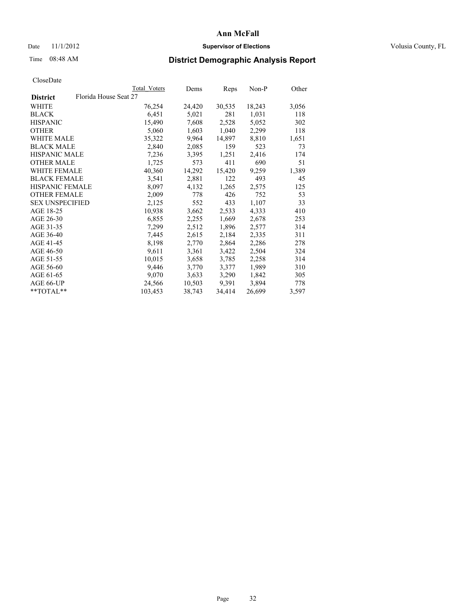## Date 11/1/2012 **Supervisor of Elections Supervisor of Elections** Volusia County, FL

# Time 08:48 AM **District Demographic Analysis Report**

|                        |                       | Total Voters | Dems   | Reps   | Non-P  | Other |
|------------------------|-----------------------|--------------|--------|--------|--------|-------|
| <b>District</b>        | Florida House Seat 27 |              |        |        |        |       |
| <b>WHITE</b>           |                       | 76,254       | 24,420 | 30,535 | 18,243 | 3,056 |
| <b>BLACK</b>           |                       | 6,451        | 5,021  | 281    | 1,031  | 118   |
| <b>HISPANIC</b>        |                       | 15,490       | 7,608  | 2,528  | 5,052  | 302   |
| <b>OTHER</b>           |                       | 5,060        | 1,603  | 1,040  | 2,299  | 118   |
| <b>WHITE MALE</b>      |                       | 35,322       | 9,964  | 14,897 | 8,810  | 1,651 |
| <b>BLACK MALE</b>      |                       | 2,840        | 2,085  | 159    | 523    | 73    |
| <b>HISPANIC MALE</b>   |                       | 7,236        | 3,395  | 1,251  | 2,416  | 174   |
| <b>OTHER MALE</b>      |                       | 1,725        | 573    | 411    | 690    | 51    |
| <b>WHITE FEMALE</b>    |                       | 40,360       | 14,292 | 15,420 | 9,259  | 1,389 |
| <b>BLACK FEMALE</b>    |                       | 3,541        | 2,881  | 122    | 493    | 45    |
| <b>HISPANIC FEMALE</b> |                       | 8,097        | 4,132  | 1,265  | 2,575  | 125   |
| <b>OTHER FEMALE</b>    |                       | 2,009        | 778    | 426    | 752    | 53    |
| <b>SEX UNSPECIFIED</b> |                       | 2,125        | 552    | 433    | 1,107  | 33    |
| AGE 18-25              |                       | 10,938       | 3,662  | 2,533  | 4,333  | 410   |
| AGE 26-30              |                       | 6,855        | 2,255  | 1,669  | 2,678  | 253   |
| AGE 31-35              |                       | 7,299        | 2,512  | 1,896  | 2,577  | 314   |
| AGE 36-40              |                       | 7,445        | 2,615  | 2,184  | 2,335  | 311   |
| AGE 41-45              |                       | 8,198        | 2,770  | 2,864  | 2,286  | 278   |
| AGE 46-50              |                       | 9,611        | 3,361  | 3,422  | 2,504  | 324   |
| AGE 51-55              |                       | 10,015       | 3,658  | 3,785  | 2,258  | 314   |
| AGE 56-60              |                       | 9,446        | 3,770  | 3,377  | 1,989  | 310   |
| AGE 61-65              |                       | 9,070        | 3,633  | 3,290  | 1,842  | 305   |
| AGE 66-UP              |                       | 24,566       | 10,503 | 9,391  | 3,894  | 778   |
| $*$ $TOTAL**$          |                       | 103,453      | 38,743 | 34,414 | 26,699 | 3,597 |
|                        |                       |              |        |        |        |       |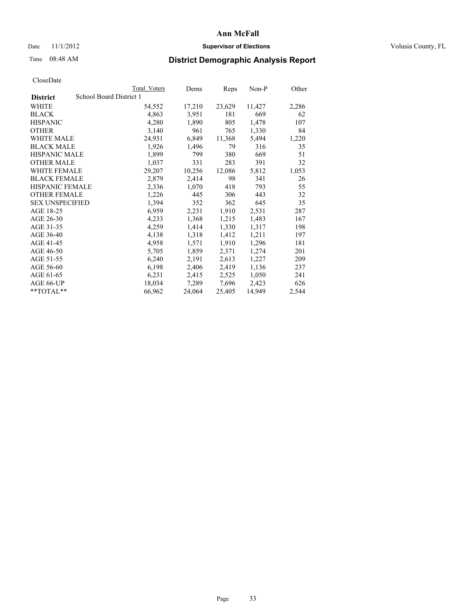## Date 11/1/2012 **Supervisor of Elections Supervisor of Elections** Volusia County, FL

# Time 08:48 AM **District Demographic Analysis Report**

|                        |                         | Total Voters | Dems   | <b>Reps</b> | Non-P  | Other |
|------------------------|-------------------------|--------------|--------|-------------|--------|-------|
| <b>District</b>        | School Board District 1 |              |        |             |        |       |
| WHITE                  |                         | 54,552       | 17,210 | 23,629      | 11,427 | 2,286 |
| <b>BLACK</b>           |                         | 4,863        | 3,951  | 181         | 669    | 62    |
| <b>HISPANIC</b>        |                         | 4,280        | 1,890  | 805         | 1,478  | 107   |
| <b>OTHER</b>           |                         | 3,140        | 961    | 765         | 1,330  | 84    |
| WHITE MALE             |                         | 24,931       | 6,849  | 11,368      | 5,494  | 1,220 |
| <b>BLACK MALE</b>      |                         | 1,926        | 1,496  | 79          | 316    | 35    |
| <b>HISPANIC MALE</b>   |                         | 1,899        | 799    | 380         | 669    | 51    |
| <b>OTHER MALE</b>      |                         | 1,037        | 331    | 283         | 391    | 32    |
| <b>WHITE FEMALE</b>    |                         | 29,207       | 10,256 | 12,086      | 5,812  | 1,053 |
| <b>BLACK FEMALE</b>    |                         | 2,879        | 2,414  | 98          | 341    | 26    |
| <b>HISPANIC FEMALE</b> |                         | 2,336        | 1,070  | 418         | 793    | 55    |
| <b>OTHER FEMALE</b>    |                         | 1,226        | 445    | 306         | 443    | 32    |
| <b>SEX UNSPECIFIED</b> |                         | 1,394        | 352    | 362         | 645    | 35    |
| AGE 18-25              |                         | 6,959        | 2,231  | 1,910       | 2,531  | 287   |
| AGE 26-30              |                         | 4,233        | 1,368  | 1,215       | 1,483  | 167   |
| AGE 31-35              |                         | 4,259        | 1,414  | 1,330       | 1,317  | 198   |
| AGE 36-40              |                         | 4,138        | 1,318  | 1,412       | 1,211  | 197   |
| AGE 41-45              |                         | 4,958        | 1,571  | 1,910       | 1,296  | 181   |
| AGE 46-50              |                         | 5,705        | 1,859  | 2,371       | 1,274  | 201   |
| AGE 51-55              |                         | 6,240        | 2,191  | 2,613       | 1,227  | 209   |
| AGE 56-60              |                         | 6,198        | 2,406  | 2,419       | 1,136  | 237   |
| AGE 61-65              |                         | 6,231        | 2,415  | 2,525       | 1,050  | 241   |
| AGE 66-UP              |                         | 18,034       | 7,289  | 7,696       | 2,423  | 626   |
| **TOTAL**              |                         | 66,962       | 24,064 | 25,405      | 14,949 | 2,544 |
|                        |                         |              |        |             |        |       |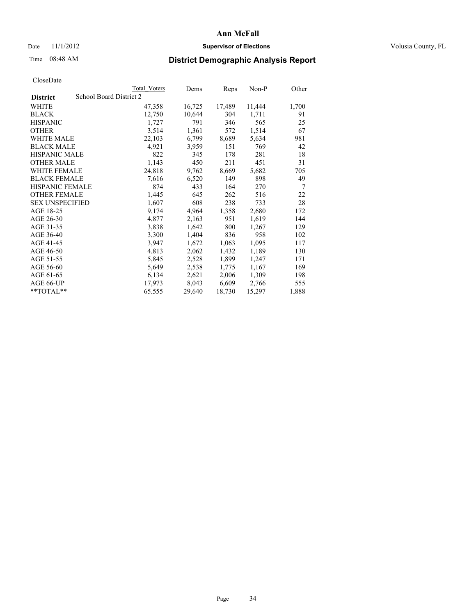## Date 11/1/2012 **Supervisor of Elections Supervisor of Elections** Volusia County, FL

# Time 08:48 AM **District Demographic Analysis Report**

|                        |                         | <b>Total Voters</b> | Dems   | Reps   | Non-P  | Other |
|------------------------|-------------------------|---------------------|--------|--------|--------|-------|
| <b>District</b>        | School Board District 2 |                     |        |        |        |       |
| WHITE                  |                         | 47,358              | 16,725 | 17,489 | 11,444 | 1,700 |
| <b>BLACK</b>           |                         | 12,750              | 10,644 | 304    | 1,711  | 91    |
| <b>HISPANIC</b>        |                         | 1,727               | 791    | 346    | 565    | 25    |
| <b>OTHER</b>           |                         | 3,514               | 1,361  | 572    | 1,514  | 67    |
| WHITE MALE             |                         | 22,103              | 6,799  | 8,689  | 5,634  | 981   |
| <b>BLACK MALE</b>      |                         | 4,921               | 3,959  | 151    | 769    | 42    |
| <b>HISPANIC MALE</b>   |                         | 822                 | 345    | 178    | 281    | 18    |
| <b>OTHER MALE</b>      |                         | 1,143               | 450    | 211    | 451    | 31    |
| <b>WHITE FEMALE</b>    |                         | 24,818              | 9,762  | 8,669  | 5,682  | 705   |
| <b>BLACK FEMALE</b>    |                         | 7,616               | 6,520  | 149    | 898    | 49    |
| <b>HISPANIC FEMALE</b> |                         | 874                 | 433    | 164    | 270    | 7     |
| <b>OTHER FEMALE</b>    |                         | 1,445               | 645    | 262    | 516    | 22    |
| <b>SEX UNSPECIFIED</b> |                         | 1,607               | 608    | 238    | 733    | 28    |
| AGE 18-25              |                         | 9,174               | 4,964  | 1,358  | 2,680  | 172   |
| AGE 26-30              |                         | 4,877               | 2,163  | 951    | 1,619  | 144   |
| AGE 31-35              |                         | 3,838               | 1,642  | 800    | 1,267  | 129   |
| AGE 36-40              |                         | 3,300               | 1,404  | 836    | 958    | 102   |
| AGE 41-45              |                         | 3,947               | 1,672  | 1,063  | 1,095  | 117   |
| AGE 46-50              |                         | 4,813               | 2,062  | 1,432  | 1,189  | 130   |
| AGE 51-55              |                         | 5,845               | 2,528  | 1,899  | 1,247  | 171   |
| AGE 56-60              |                         | 5,649               | 2,538  | 1,775  | 1,167  | 169   |
| AGE 61-65              |                         | 6,134               | 2,621  | 2,006  | 1,309  | 198   |
| AGE 66-UP              |                         | 17,973              | 8,043  | 6,609  | 2,766  | 555   |
| **TOTAL**              |                         | 65,555              | 29,640 | 18,730 | 15,297 | 1,888 |
|                        |                         |                     |        |        |        |       |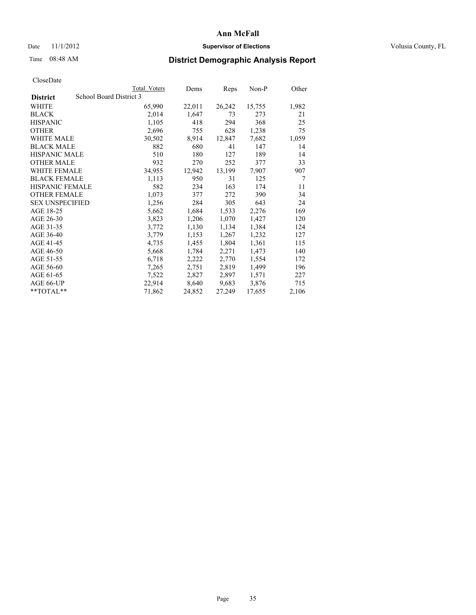# Date 11/1/2012 **Supervisor of Elections Supervisor of Elections** Volusia County, FL

# Time 08:48 AM **District Demographic Analysis Report**

|                        |                         | Total Voters | Dems   | <b>Reps</b> | $Non-P$ | Other |
|------------------------|-------------------------|--------------|--------|-------------|---------|-------|
| <b>District</b>        | School Board District 3 |              |        |             |         |       |
| WHITE                  |                         | 65,990       | 22,011 | 26,242      | 15,755  | 1,982 |
| <b>BLACK</b>           |                         | 2,014        | 1,647  | 73          | 273     | 21    |
| <b>HISPANIC</b>        |                         | 1,105        | 418    | 294         | 368     | 25    |
| <b>OTHER</b>           |                         | 2,696        | 755    | 628         | 1,238   | 75    |
| <b>WHITE MALE</b>      |                         | 30,502       | 8.914  | 12,847      | 7,682   | 1,059 |
| <b>BLACK MALE</b>      |                         | 882          | 680    | 41          | 147     | 14    |
| <b>HISPANIC MALE</b>   |                         | 510          | 180    | 127         | 189     | 14    |
| <b>OTHER MALE</b>      |                         | 932          | 270    | 252         | 377     | 33    |
| <b>WHITE FEMALE</b>    |                         | 34,955       | 12,942 | 13,199      | 7,907   | 907   |
| <b>BLACK FEMALE</b>    |                         | 1,113        | 950    | 31          | 125     | 7     |
| <b>HISPANIC FEMALE</b> |                         | 582          | 234    | 163         | 174     | 11    |
| <b>OTHER FEMALE</b>    |                         | 1,073        | 377    | 272         | 390     | 34    |
| <b>SEX UNSPECIFIED</b> |                         | 1,256        | 284    | 305         | 643     | 24    |
| AGE 18-25              |                         | 5,662        | 1,684  | 1,533       | 2,276   | 169   |
| AGE 26-30              |                         | 3,823        | 1,206  | 1,070       | 1,427   | 120   |
| AGE 31-35              |                         | 3,772        | 1,130  | 1,134       | 1,384   | 124   |
| AGE 36-40              |                         | 3,779        | 1,153  | 1,267       | 1,232   | 127   |
| AGE 41-45              |                         | 4,735        | 1,455  | 1,804       | 1,361   | 115   |
| AGE 46-50              |                         | 5,668        | 1,784  | 2,271       | 1,473   | 140   |
| AGE 51-55              |                         | 6,718        | 2,222  | 2,770       | 1,554   | 172   |
| AGE 56-60              |                         | 7,265        | 2,751  | 2,819       | 1,499   | 196   |
| AGE 61-65              |                         | 7,522        | 2,827  | 2,897       | 1,571   | 227   |
| AGE 66-UP              |                         | 22,914       | 8,640  | 9,683       | 3,876   | 715   |
| $*$ TOTAL $*$          |                         | 71,862       | 24,852 | 27,249      | 17,655  | 2,106 |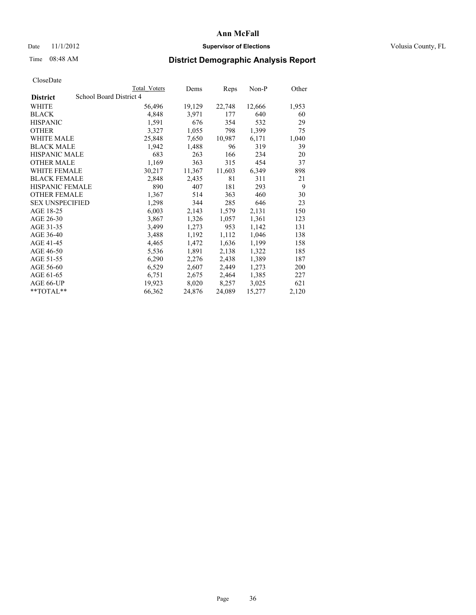## Date 11/1/2012 **Supervisor of Elections Supervisor of Elections** Volusia County, FL

# Time 08:48 AM **District Demographic Analysis Report**

|                                            | Total Voters | Dems   | Reps   | Non-P  | Other |
|--------------------------------------------|--------------|--------|--------|--------|-------|
| School Board District 4<br><b>District</b> |              |        |        |        |       |
| <b>WHITE</b>                               | 56,496       | 19,129 | 22,748 | 12,666 | 1,953 |
| <b>BLACK</b>                               | 4,848        | 3,971  | 177    | 640    | 60    |
| <b>HISPANIC</b>                            | 1,591        | 676    | 354    | 532    | 29    |
| <b>OTHER</b>                               | 3,327        | 1,055  | 798    | 1,399  | 75    |
| <b>WHITE MALE</b>                          | 25,848       | 7,650  | 10,987 | 6,171  | 1,040 |
| <b>BLACK MALE</b>                          | 1,942        | 1,488  | 96     | 319    | 39    |
| <b>HISPANIC MALE</b>                       | 683          | 263    | 166    | 234    | 20    |
| <b>OTHER MALE</b>                          | 1,169        | 363    | 315    | 454    | 37    |
| <b>WHITE FEMALE</b>                        | 30,217       | 11,367 | 11,603 | 6,349  | 898   |
| <b>BLACK FEMALE</b>                        | 2,848        | 2,435  | 81     | 311    | 21    |
| <b>HISPANIC FEMALE</b>                     | 890          | 407    | 181    | 293    | 9     |
| <b>OTHER FEMALE</b>                        | 1,367        | 514    | 363    | 460    | 30    |
| <b>SEX UNSPECIFIED</b>                     | 1,298        | 344    | 285    | 646    | 23    |
| AGE 18-25                                  | 6,003        | 2,143  | 1,579  | 2,131  | 150   |
| AGE 26-30                                  | 3,867        | 1,326  | 1,057  | 1,361  | 123   |
| AGE 31-35                                  | 3,499        | 1,273  | 953    | 1,142  | 131   |
| AGE 36-40                                  | 3,488        | 1,192  | 1,112  | 1,046  | 138   |
| AGE 41-45                                  | 4,465        | 1,472  | 1,636  | 1,199  | 158   |
| AGE 46-50                                  | 5,536        | 1,891  | 2,138  | 1,322  | 185   |
| AGE 51-55                                  | 6,290        | 2,276  | 2,438  | 1,389  | 187   |
| AGE 56-60                                  | 6,529        | 2,607  | 2,449  | 1,273  | 200   |
| AGE 61-65                                  | 6,751        | 2,675  | 2,464  | 1,385  | 227   |
| AGE 66-UP                                  | 19,923       | 8,020  | 8,257  | 3,025  | 621   |
| $*$ $TOTAL**$                              | 66,362       | 24,876 | 24,089 | 15,277 | 2,120 |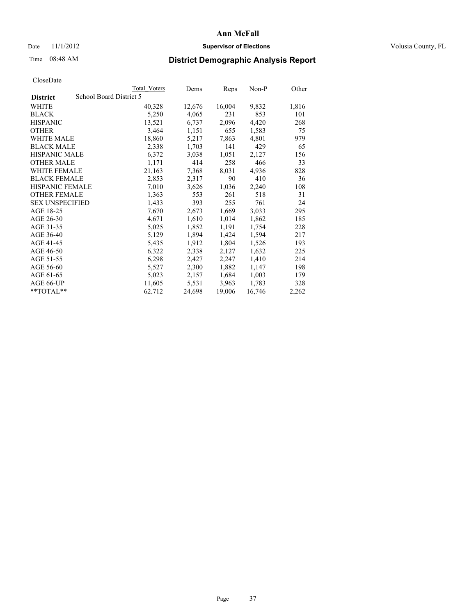## Date 11/1/2012 **Supervisor of Elections Supervisor of Elections** Volusia County, FL

# Time 08:48 AM **District Demographic Analysis Report**

|                        |                         | <b>Total Voters</b> | Dems   | <b>Reps</b> | Non-P  | Other |
|------------------------|-------------------------|---------------------|--------|-------------|--------|-------|
| <b>District</b>        | School Board District 5 |                     |        |             |        |       |
| WHITE                  |                         | 40,328              | 12,676 | 16,004      | 9,832  | 1,816 |
| <b>BLACK</b>           |                         | 5,250               | 4,065  | 231         | 853    | 101   |
| <b>HISPANIC</b>        |                         | 13,521              | 6,737  | 2,096       | 4,420  | 268   |
| <b>OTHER</b>           |                         | 3,464               | 1,151  | 655         | 1,583  | 75    |
| WHITE MALE             |                         | 18,860              | 5,217  | 7,863       | 4,801  | 979   |
| <b>BLACK MALE</b>      |                         | 2,338               | 1,703  | 141         | 429    | 65    |
| <b>HISPANIC MALE</b>   |                         | 6,372               | 3,038  | 1,051       | 2,127  | 156   |
| <b>OTHER MALE</b>      |                         | 1,171               | 414    | 258         | 466    | 33    |
| <b>WHITE FEMALE</b>    |                         | 21,163              | 7,368  | 8,031       | 4,936  | 828   |
| <b>BLACK FEMALE</b>    |                         | 2,853               | 2,317  | 90          | 410    | 36    |
| HISPANIC FEMALE        |                         | 7,010               | 3,626  | 1,036       | 2,240  | 108   |
| <b>OTHER FEMALE</b>    |                         | 1,363               | 553    | 261         | 518    | 31    |
| <b>SEX UNSPECIFIED</b> |                         | 1,433               | 393    | 255         | 761    | 24    |
| AGE 18-25              |                         | 7,670               | 2,673  | 1,669       | 3,033  | 295   |
| AGE 26-30              |                         | 4,671               | 1,610  | 1,014       | 1,862  | 185   |
| AGE 31-35              |                         | 5,025               | 1,852  | 1,191       | 1,754  | 228   |
| AGE 36-40              |                         | 5,129               | 1,894  | 1,424       | 1,594  | 217   |
| AGE 41-45              |                         | 5,435               | 1,912  | 1,804       | 1,526  | 193   |
| AGE 46-50              |                         | 6,322               | 2,338  | 2,127       | 1,632  | 225   |
| AGE 51-55              |                         | 6,298               | 2,427  | 2,247       | 1,410  | 214   |
| AGE 56-60              |                         | 5,527               | 2,300  | 1,882       | 1,147  | 198   |
| AGE 61-65              |                         | 5,023               | 2,157  | 1,684       | 1,003  | 179   |
| AGE 66-UP              |                         | 11,605              | 5,531  | 3,963       | 1,783  | 328   |
| $*$ $TOTAL**$          |                         | 62,712              | 24,698 | 19,006      | 16,746 | 2,262 |
|                        |                         |                     |        |             |        |       |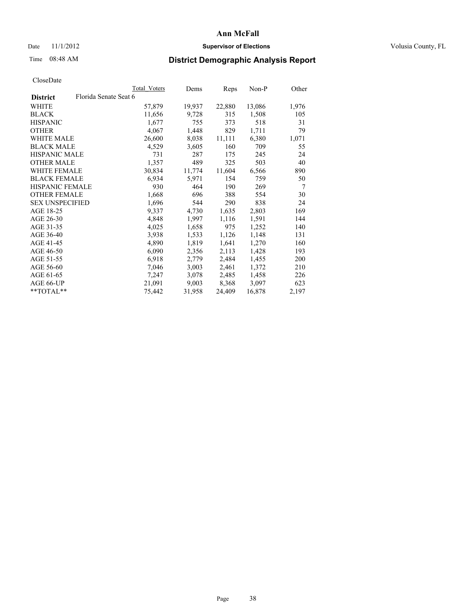## Date 11/1/2012 **Supervisor of Elections Supervisor of Elections** Volusia County, FL

# Time 08:48 AM **District Demographic Analysis Report**

|                                          | Total Voters | Dems   | Reps   | Non-P  | Other |
|------------------------------------------|--------------|--------|--------|--------|-------|
| Florida Senate Seat 6<br><b>District</b> |              |        |        |        |       |
| WHITE                                    | 57,879       | 19,937 | 22,880 | 13,086 | 1,976 |
| <b>BLACK</b>                             | 11,656       | 9,728  | 315    | 1,508  | 105   |
| <b>HISPANIC</b>                          | 1,677        | 755    | 373    | 518    | 31    |
| <b>OTHER</b>                             | 4,067        | 1,448  | 829    | 1,711  | 79    |
| <b>WHITE MALE</b>                        | 26,600       | 8,038  | 11,111 | 6,380  | 1,071 |
| <b>BLACK MALE</b>                        | 4,529        | 3,605  | 160    | 709    | 55    |
| <b>HISPANIC MALE</b>                     | 731          | 287    | 175    | 245    | 24    |
| <b>OTHER MALE</b>                        | 1,357        | 489    | 325    | 503    | 40    |
| <b>WHITE FEMALE</b>                      | 30,834       | 11,774 | 11,604 | 6,566  | 890   |
| <b>BLACK FEMALE</b>                      | 6,934        | 5,971  | 154    | 759    | 50    |
| <b>HISPANIC FEMALE</b>                   | 930          | 464    | 190    | 269    | 7     |
| <b>OTHER FEMALE</b>                      | 1,668        | 696    | 388    | 554    | 30    |
| <b>SEX UNSPECIFIED</b>                   | 1,696        | 544    | 290    | 838    | 24    |
| AGE 18-25                                | 9,337        | 4,730  | 1,635  | 2,803  | 169   |
| AGE 26-30                                | 4,848        | 1,997  | 1,116  | 1,591  | 144   |
| AGE 31-35                                | 4,025        | 1,658  | 975    | 1,252  | 140   |
| AGE 36-40                                | 3,938        | 1,533  | 1,126  | 1,148  | 131   |
| AGE 41-45                                | 4,890        | 1,819  | 1,641  | 1,270  | 160   |
| AGE 46-50                                | 6,090        | 2,356  | 2,113  | 1,428  | 193   |
| AGE 51-55                                | 6.918        | 2,779  | 2,484  | 1,455  | 200   |
| AGE 56-60                                | 7,046        | 3,003  | 2,461  | 1,372  | 210   |
| AGE 61-65                                | 7,247        | 3,078  | 2,485  | 1,458  | 226   |
| AGE 66-UP                                | 21,091       | 9,003  | 8,368  | 3,097  | 623   |
| **TOTAL**                                | 75,442       | 31,958 | 24,409 | 16,878 | 2,197 |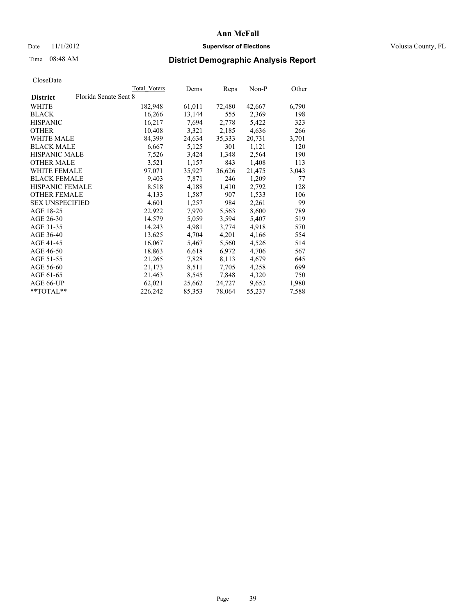## Date 11/1/2012 **Supervisor of Elections Supervisor of Elections** Volusia County, FL

# Time 08:48 AM **District Demographic Analysis Report**

| Total Voters          | Dems   | <b>Reps</b> | Non-P  | Other |
|-----------------------|--------|-------------|--------|-------|
| Florida Senate Seat 8 |        |             |        |       |
| 182,948               | 61,011 | 72,480      | 42,667 | 6,790 |
| 16,266                | 13,144 | 555         | 2,369  | 198   |
| 16,217                | 7,694  | 2,778       | 5,422  | 323   |
| 10,408                | 3,321  | 2,185       | 4,636  | 266   |
| 84,399                | 24,634 | 35,333      | 20,731 | 3,701 |
| 6,667                 | 5,125  | 301         | 1,121  | 120   |
| 7,526                 | 3,424  | 1,348       | 2,564  | 190   |
| 3,521                 | 1,157  | 843         | 1,408  | 113   |
| 97,071                | 35,927 | 36,626      | 21,475 | 3,043 |
| 9,403                 | 7,871  | 246         | 1,209  | 77    |
| 8,518                 | 4,188  | 1,410       | 2,792  | 128   |
| 4,133                 | 1,587  | 907         | 1,533  | 106   |
| 4,601                 | 1,257  | 984         | 2,261  | 99    |
| 22,922                | 7,970  | 5,563       | 8,600  | 789   |
| 14,579                | 5,059  | 3,594       | 5,407  | 519   |
| 14,243                | 4,981  | 3,774       | 4,918  | 570   |
| 13,625                | 4,704  | 4,201       | 4,166  | 554   |
| 16,067                | 5,467  | 5,560       | 4,526  | 514   |
| 18,863                | 6,618  | 6,972       | 4,706  | 567   |
| 21,265                | 7,828  | 8,113       | 4,679  | 645   |
| 21,173                | 8,511  | 7,705       | 4,258  | 699   |
| 21,463                | 8,545  | 7,848       | 4,320  | 750   |
| 62,021                | 25,662 | 24,727      | 9,652  | 1,980 |
| 226,242               | 85,353 | 78,064      | 55,237 | 7,588 |
|                       |        |             |        |       |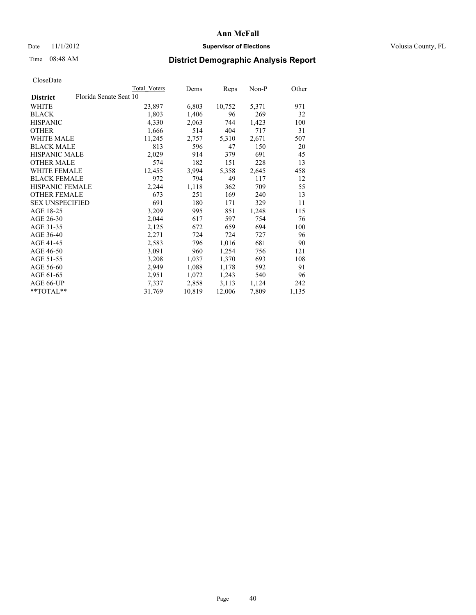## Date 11/1/2012 **Supervisor of Elections Supervisor of Elections** Volusia County, FL

# Time 08:48 AM **District Demographic Analysis Report**

|                        | Total Voters           | Dems   | <b>Reps</b> | Non-P | Other |
|------------------------|------------------------|--------|-------------|-------|-------|
| <b>District</b>        | Florida Senate Seat 10 |        |             |       |       |
| <b>WHITE</b>           | 23,897                 | 6,803  | 10,752      | 5,371 | 971   |
| <b>BLACK</b>           | 1,803                  | 1,406  | 96          | 269   | 32    |
| <b>HISPANIC</b>        | 4,330                  | 2,063  | 744         | 1,423 | 100   |
| <b>OTHER</b>           | 1,666                  | 514    | 404         | 717   | 31    |
| WHITE MALE             | 11,245                 | 2,757  | 5,310       | 2,671 | 507   |
| <b>BLACK MALE</b>      | 813                    | 596    | 47          | 150   | 20    |
| <b>HISPANIC MALE</b>   | 2,029                  | 914    | 379         | 691   | 45    |
| <b>OTHER MALE</b>      | 574                    | 182    | 151         | 228   | 13    |
| WHITE FEMALE           | 12,455                 | 3,994  | 5,358       | 2,645 | 458   |
| <b>BLACK FEMALE</b>    | 972                    | 794    | 49          | 117   | 12    |
| HISPANIC FEMALE        | 2,244                  | 1,118  | 362         | 709   | 55    |
| <b>OTHER FEMALE</b>    | 673                    | 251    | 169         | 240   | 13    |
| <b>SEX UNSPECIFIED</b> | 691                    | 180    | 171         | 329   | 11    |
| AGE 18-25              | 3,209                  | 995    | 851         | 1,248 | 115   |
| AGE 26-30              | 2,044                  | 617    | 597         | 754   | 76    |
| AGE 31-35              | 2,125                  | 672    | 659         | 694   | 100   |
| AGE 36-40              | 2,271                  | 724    | 724         | 727   | 96    |
| AGE 41-45              | 2,583                  | 796    | 1,016       | 681   | 90    |
| AGE 46-50              | 3,091                  | 960    | 1,254       | 756   | 121   |
| AGE 51-55              | 3,208                  | 1,037  | 1,370       | 693   | 108   |
| AGE 56-60              | 2,949                  | 1,088  | 1,178       | 592   | 91    |
| AGE 61-65              | 2,951                  | 1,072  | 1,243       | 540   | 96    |
| AGE 66-UP              | 7,337                  | 2,858  | 3,113       | 1,124 | 242   |
| $*$ TOTAL $*$          | 31,769                 | 10,819 | 12,006      | 7,809 | 1,135 |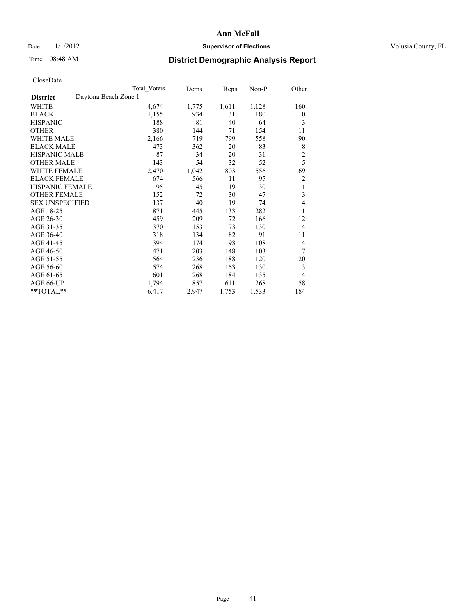## Date 11/1/2012 **Supervisor of Elections Supervisor of Elections** Volusia County, FL

# Time 08:48 AM **District Demographic Analysis Report**

|                                         | <b>Total Voters</b> | Dems  | Reps  | Non-P | Other          |
|-----------------------------------------|---------------------|-------|-------|-------|----------------|
| Daytona Beach Zone 1<br><b>District</b> |                     |       |       |       |                |
| WHITE                                   | 4,674               | 1,775 | 1,611 | 1,128 | 160            |
| <b>BLACK</b>                            | 1,155               | 934   | 31    | 180   | 10             |
| <b>HISPANIC</b>                         | 188                 | 81    | 40    | 64    | 3              |
| <b>OTHER</b>                            | 380                 | 144   | 71    | 154   | 11             |
| WHITE MALE                              | 2,166               | 719   | 799   | 558   | 90             |
| <b>BLACK MALE</b>                       | 473                 | 362   | 20    | 83    | 8              |
| <b>HISPANIC MALE</b>                    | 87                  | 34    | 20    | 31    | $\overline{c}$ |
| <b>OTHER MALE</b>                       | 143                 | 54    | 32    | 52    | 5              |
| WHITE FEMALE                            | 2,470               | 1,042 | 803   | 556   | 69             |
| <b>BLACK FEMALE</b>                     | 674                 | 566   | 11    | 95    | $\overline{2}$ |
| <b>HISPANIC FEMALE</b>                  | 95                  | 45    | 19    | 30    | 1              |
| <b>OTHER FEMALE</b>                     | 152                 | 72    | 30    | 47    | 3              |
| <b>SEX UNSPECIFIED</b>                  | 137                 | 40    | 19    | 74    | $\overline{4}$ |
| AGE 18-25                               | 871                 | 445   | 133   | 282   | 11             |
| AGE 26-30                               | 459                 | 209   | 72    | 166   | 12             |
| AGE 31-35                               | 370                 | 153   | 73    | 130   | 14             |
| AGE 36-40                               | 318                 | 134   | 82    | 91    | 11             |
| AGE 41-45                               | 394                 | 174   | 98    | 108   | 14             |
| AGE 46-50                               | 471                 | 203   | 148   | 103   | 17             |
| AGE 51-55                               | 564                 | 236   | 188   | 120   | 20             |
| AGE 56-60                               | 574                 | 268   | 163   | 130   | 13             |
| AGE 61-65                               | 601                 | 268   | 184   | 135   | 14             |
| AGE 66-UP                               | 1,794               | 857   | 611   | 268   | 58             |
| **TOTAL**                               | 6,417               | 2,947 | 1,753 | 1,533 | 184            |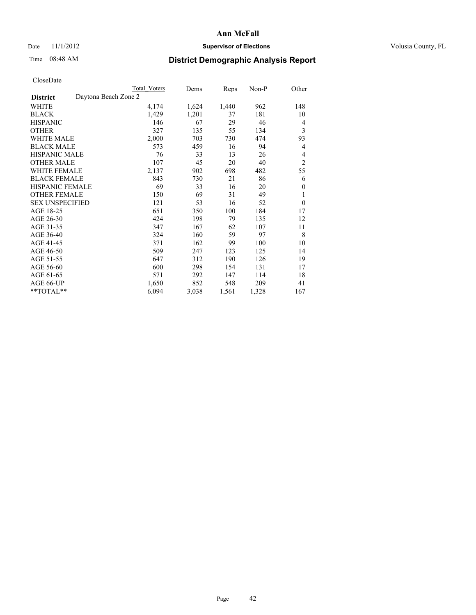# Date 11/1/2012 **Supervisor of Elections Supervisor of Elections** Volusia County, FL

# Time 08:48 AM **District Demographic Analysis Report**

|                        |                      | Total Voters | Dems  | Reps  | Non-P | Other          |
|------------------------|----------------------|--------------|-------|-------|-------|----------------|
| <b>District</b>        | Daytona Beach Zone 2 |              |       |       |       |                |
| WHITE                  |                      | 4,174        | 1,624 | 1,440 | 962   | 148            |
| <b>BLACK</b>           |                      | 1,429        | 1,201 | 37    | 181   | 10             |
| <b>HISPANIC</b>        |                      | 146          | 67    | 29    | 46    | 4              |
| <b>OTHER</b>           |                      | 327          | 135   | 55    | 134   | 3              |
| WHITE MALE             |                      | 2,000        | 703   | 730   | 474   | 93             |
| <b>BLACK MALE</b>      |                      | 573          | 459   | 16    | 94    | 4              |
| <b>HISPANIC MALE</b>   |                      | 76           | 33    | 13    | 26    | 4              |
| <b>OTHER MALE</b>      |                      | 107          | 45    | 20    | 40    | $\overline{2}$ |
| WHITE FEMALE           |                      | 2,137        | 902   | 698   | 482   | 55             |
| <b>BLACK FEMALE</b>    |                      | 843          | 730   | 21    | 86    | 6              |
| <b>HISPANIC FEMALE</b> |                      | 69           | 33    | 16    | 20    | $\mathbf{0}$   |
| <b>OTHER FEMALE</b>    |                      | 150          | 69    | 31    | 49    | 1              |
| <b>SEX UNSPECIFIED</b> |                      | 121          | 53    | 16    | 52    | $\theta$       |
| AGE 18-25              |                      | 651          | 350   | 100   | 184   | 17             |
| AGE 26-30              |                      | 424          | 198   | 79    | 135   | 12             |
| AGE 31-35              |                      | 347          | 167   | 62    | 107   | 11             |
| AGE 36-40              |                      | 324          | 160   | 59    | 97    | 8              |
| AGE 41-45              |                      | 371          | 162   | 99    | 100   | 10             |
| AGE 46-50              |                      | 509          | 247   | 123   | 125   | 14             |
| AGE 51-55              |                      | 647          | 312   | 190   | 126   | 19             |
| AGE 56-60              |                      | 600          | 298   | 154   | 131   | 17             |
| AGE 61-65              |                      | 571          | 292   | 147   | 114   | 18             |
| AGE 66-UP              |                      | 1,650        | 852   | 548   | 209   | 41             |
| **TOTAL**              |                      | 6,094        | 3,038 | 1,561 | 1,328 | 167            |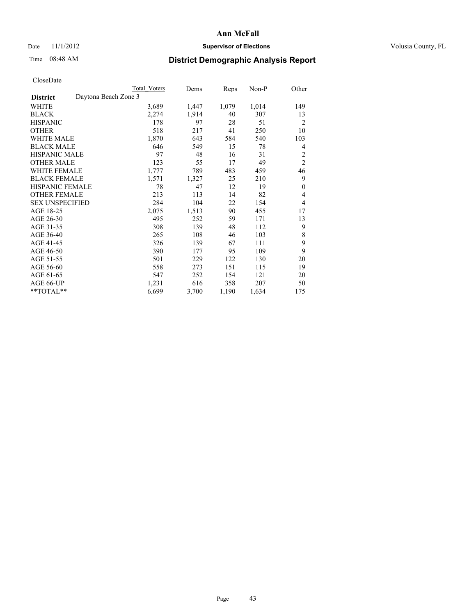# Date 11/1/2012 **Supervisor of Elections Supervisor of Elections** Volusia County, FL

# Time 08:48 AM **District Demographic Analysis Report**

| <b>Total Voters</b>  | Dems  | Reps  | Non-P | Other            |
|----------------------|-------|-------|-------|------------------|
| Daytona Beach Zone 3 |       |       |       |                  |
| 3,689                | 1,447 | 1,079 | 1,014 | 149              |
| 2,274                | 1,914 | 40    | 307   | 13               |
| 178                  | 97    | 28    | 51    | $\overline{2}$   |
| 518                  | 217   | 41    | 250   | 10               |
| 1,870                | 643   | 584   | 540   | 103              |
| 646                  | 549   | 15    | 78    | 4                |
| 97                   | 48    | 16    | 31    | 2                |
| 123                  | 55    | 17    | 49    | $\overline{2}$   |
| 1,777                | 789   | 483   | 459   | 46               |
| 1,571                | 1,327 | 25    | 210   | 9                |
| 78                   | 47    | 12    | 19    | $\boldsymbol{0}$ |
| 213                  | 113   | 14    | 82    | 4                |
| 284                  | 104   | 22    | 154   | 4                |
| 2,075                | 1,513 | 90    | 455   | 17               |
| 495                  | 252   | 59    | 171   | 13               |
| 308                  | 139   | 48    | 112   | 9                |
| 265                  | 108   | 46    | 103   | 8                |
| 326                  | 139   | 67    | 111   | 9                |
| 390                  | 177   | 95    | 109   | 9                |
| 501                  | 229   | 122   | 130   | 20               |
| 558                  | 273   | 151   | 115   | 19               |
| 547                  | 252   | 154   | 121   | 20               |
| 1,231                | 616   | 358   | 207   | 50               |
| 6,699                | 3,700 | 1,190 | 1,634 | 175              |
|                      |       |       |       |                  |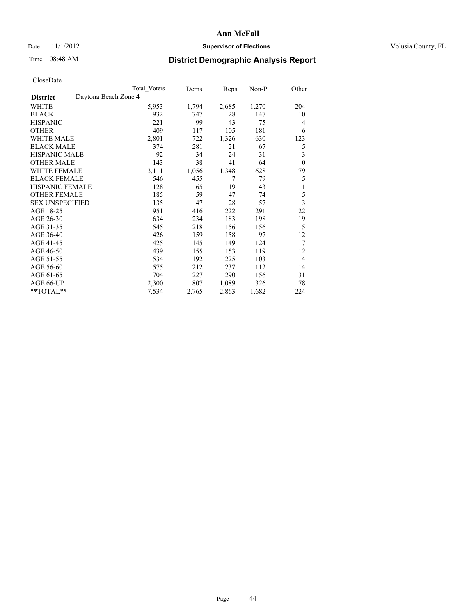## Date 11/1/2012 **Supervisor of Elections Supervisor of Elections** Volusia County, FL

# Time 08:48 AM **District Demographic Analysis Report**

|                                         | <b>Total Voters</b> | Dems  | Reps  | Non-P | Other                   |
|-----------------------------------------|---------------------|-------|-------|-------|-------------------------|
| Daytona Beach Zone 4<br><b>District</b> |                     |       |       |       |                         |
| WHITE                                   | 5,953               | 1,794 | 2,685 | 1,270 | 204                     |
| <b>BLACK</b>                            | 932                 | 747   | 28    | 147   | 10                      |
| <b>HISPANIC</b>                         | 221                 | 99    | 43    | 75    | $\overline{4}$          |
| <b>OTHER</b>                            | 409                 | 117   | 105   | 181   | 6                       |
| WHITE MALE                              | 2,801               | 722   | 1,326 | 630   | 123                     |
| <b>BLACK MALE</b>                       | 374                 | 281   | 21    | 67    | 5                       |
| HISPANIC MALE                           | 92                  | 34    | 24    | 31    | 3                       |
| <b>OTHER MALE</b>                       | 143                 | 38    | 41    | 64    | $\theta$                |
| <b>WHITE FEMALE</b>                     | 3,111               | 1,056 | 1,348 | 628   | 79                      |
| <b>BLACK FEMALE</b>                     | 546                 | 455   | 7     | 79    | 5                       |
| <b>HISPANIC FEMALE</b>                  | 128                 | 65    | 19    | 43    | 1                       |
| <b>OTHER FEMALE</b>                     | 185                 | 59    | 47    | 74    | 5                       |
| <b>SEX UNSPECIFIED</b>                  | 135                 | 47    | 28    | 57    | $\overline{\mathbf{3}}$ |
| AGE 18-25                               | 951                 | 416   | 222   | 291   | 22                      |
| AGE 26-30                               | 634                 | 234   | 183   | 198   | 19                      |
| AGE 31-35                               | 545                 | 218   | 156   | 156   | 15                      |
| AGE 36-40                               | 426                 | 159   | 158   | 97    | 12                      |
| AGE 41-45                               | 425                 | 145   | 149   | 124   | 7                       |
| AGE 46-50                               | 439                 | 155   | 153   | 119   | 12                      |
| AGE 51-55                               | 534                 | 192   | 225   | 103   | 14                      |
| AGE 56-60                               | 575                 | 212   | 237   | 112   | 14                      |
| AGE 61-65                               | 704                 | 227   | 290   | 156   | 31                      |
| AGE 66-UP                               | 2,300               | 807   | 1,089 | 326   | 78                      |
| **TOTAL**                               | 7,534               | 2,765 | 2,863 | 1,682 | 224                     |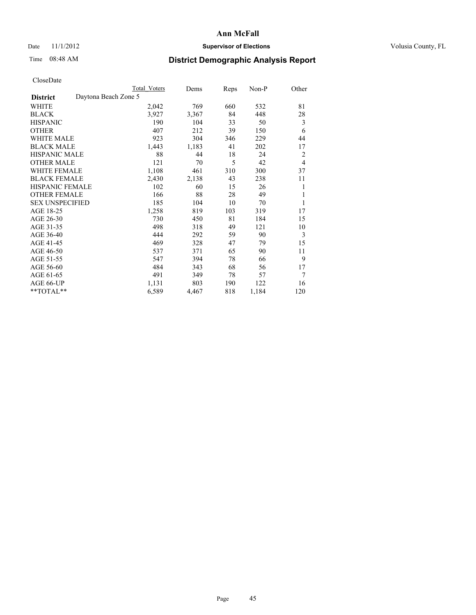## Date 11/1/2012 **Supervisor of Elections Supervisor of Elections** Volusia County, FL

# Time 08:48 AM **District Demographic Analysis Report**

|                        | <b>Total Voters</b>  | Dems     | Reps | Non-P | Other          |
|------------------------|----------------------|----------|------|-------|----------------|
| <b>District</b>        | Daytona Beach Zone 5 |          |      |       |                |
| WHITE                  | 2,042                | 769      | 660  | 532   | 81             |
| <b>BLACK</b>           | 3,927                | 3,367    | 84   | 448   | 28             |
| <b>HISPANIC</b>        | 190                  | 104      | 33   | 50    | 3              |
| <b>OTHER</b>           | 407                  | 212      | 39   | 150   | 6              |
| <b>WHITE MALE</b>      | 923                  | 304      | 346  | 229   | 44             |
| <b>BLACK MALE</b>      | 1,443                | 1,183    | 41   | 202   | 17             |
| <b>HISPANIC MALE</b>   |                      | 88<br>44 | 18   | 24    | 2              |
| <b>OTHER MALE</b>      | 121                  | 70       | 5    | 42    | $\overline{4}$ |
| <b>WHITE FEMALE</b>    | 1,108                | 461      | 310  | 300   | 37             |
| <b>BLACK FEMALE</b>    | 2,430                | 2,138    | 43   | 238   | 11             |
| <b>HISPANIC FEMALE</b> | 102                  | 60       | 15   | 26    | 1              |
| <b>OTHER FEMALE</b>    | 166                  | 88       | 28   | 49    | 1              |
| <b>SEX UNSPECIFIED</b> | 185                  | 104      | 10   | 70    | 1              |
| AGE 18-25              | 1,258                | 819      | 103  | 319   | 17             |
| AGE 26-30              | 730                  | 450      | 81   | 184   | 15             |
| AGE 31-35              | 498                  | 318      | 49   | 121   | 10             |
| AGE 36-40              | 444                  | 292      | 59   | 90    | 3              |
| AGE 41-45              | 469                  | 328      | 47   | 79    | 15             |
| AGE 46-50              | 537                  | 371      | 65   | 90    | 11             |
| AGE 51-55              | 547                  | 394      | 78   | 66    | 9              |
| AGE 56-60              | 484                  | 343      | 68   | 56    | 17             |
| AGE 61-65              | 491                  | 349      | 78   | 57    | 7              |
| AGE 66-UP              | 1,131                | 803      | 190  | 122   | 16             |
| **TOTAL**              | 6,589                | 4,467    | 818  | 1,184 | 120            |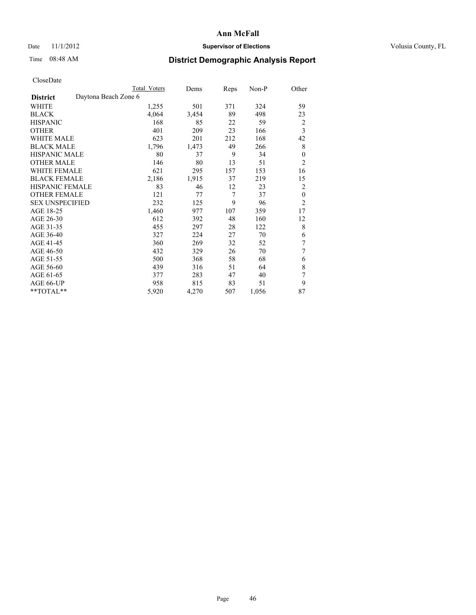# Date 11/1/2012 **Supervisor of Elections Supervisor of Elections** Volusia County, FL

# Time 08:48 AM **District Demographic Analysis Report**

|                        | Total Voters         | Dems  | Reps | Non-P | Other          |
|------------------------|----------------------|-------|------|-------|----------------|
| <b>District</b>        | Daytona Beach Zone 6 |       |      |       |                |
| WHITE                  | 1,255                | 501   | 371  | 324   | 59             |
| <b>BLACK</b>           | 4,064                | 3,454 | 89   | 498   | 23             |
| <b>HISPANIC</b>        | 168                  | 85    | 22   | 59    | $\overline{2}$ |
| <b>OTHER</b>           | 401                  | 209   | 23   | 166   | 3              |
| <b>WHITE MALE</b>      | 623                  | 201   | 212  | 168   | 42             |
| <b>BLACK MALE</b>      | 1,796                | 1,473 | 49   | 266   | 8              |
| HISPANIC MALE          | 80                   | 37    | 9    | 34    | $\theta$       |
| <b>OTHER MALE</b>      | 146                  | 80    | 13   | 51    | $\overline{2}$ |
| <b>WHITE FEMALE</b>    | 621                  | 295   | 157  | 153   | 16             |
| <b>BLACK FEMALE</b>    | 2,186                | 1,915 | 37   | 219   | 15             |
| <b>HISPANIC FEMALE</b> | 83                   | 46    | 12   | 23    | $\overline{2}$ |
| <b>OTHER FEMALE</b>    | 121                  | 77    | 7    | 37    | $\theta$       |
| <b>SEX UNSPECIFIED</b> | 232                  | 125   | 9    | 96    | $\overline{2}$ |
| AGE 18-25              | 1,460                | 977   | 107  | 359   | 17             |
| AGE 26-30              | 612                  | 392   | 48   | 160   | 12             |
| AGE 31-35              | 455                  | 297   | 28   | 122   | 8              |
| AGE 36-40              | 327                  | 224   | 27   | 70    | 6              |
| AGE 41-45              | 360                  | 269   | 32   | 52    | 7              |
| AGE 46-50              | 432                  | 329   | 26   | 70    | $\overline{7}$ |
| AGE 51-55              | 500                  | 368   | 58   | 68    | 6              |
| AGE 56-60              | 439                  | 316   | 51   | 64    | 8              |
| AGE 61-65              | 377                  | 283   | 47   | 40    | 7              |
| AGE 66-UP              | 958                  | 815   | 83   | 51    | 9              |
| **TOTAL**              | 5,920                | 4,270 | 507  | 1,056 | 87             |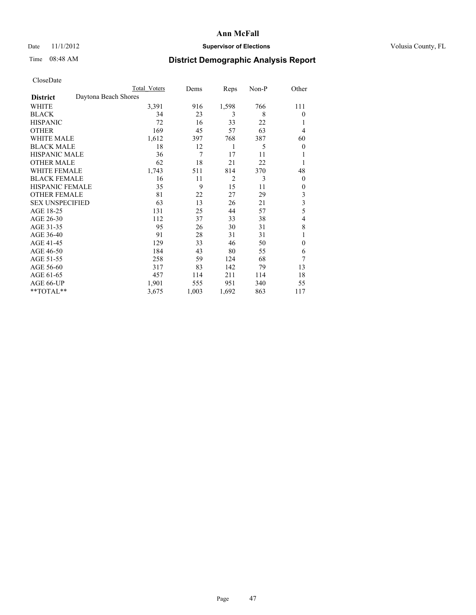# Date 11/1/2012 **Supervisor of Elections Supervisor of Elections** Volusia County, FL

# Time 08:48 AM **District Demographic Analysis Report**

|                        | <b>Total Voters</b>  | Dems  | Reps           | Non-P | Other          |
|------------------------|----------------------|-------|----------------|-------|----------------|
| <b>District</b>        | Daytona Beach Shores |       |                |       |                |
| WHITE                  | 3,391                | 916   | 1,598          | 766   | 111            |
| <b>BLACK</b>           | 34                   | 23    | 3              | 8     | $\Omega$       |
| <b>HISPANIC</b>        | 72                   | 16    | 33             | 22    | 1              |
| <b>OTHER</b>           | 169                  | 45    | 57             | 63    | $\overline{4}$ |
| WHITE MALE             | 1,612                | 397   | 768            | 387   | 60             |
| <b>BLACK MALE</b>      | 18                   | 12    | 1              | 5     | $\overline{0}$ |
| <b>HISPANIC MALE</b>   | 36                   | 7     | 17             | 11    |                |
| <b>OTHER MALE</b>      | 62                   | 18    | 21             | 22    | 1              |
| WHITE FEMALE           | 1,743                | 511   | 814            | 370   | 48             |
| <b>BLACK FEMALE</b>    | 16                   | 11    | $\overline{2}$ | 3     | $\overline{0}$ |
| <b>HISPANIC FEMALE</b> | 35                   | 9     | 15             | 11    | $\Omega$       |
| <b>OTHER FEMALE</b>    | 81                   | 22    | 27             | 29    | 3              |
| <b>SEX UNSPECIFIED</b> | 63                   | 13    | 26             | 21    | 3              |
| AGE 18-25              | 131                  | 25    | 44             | 57    | 5              |
| AGE 26-30              | 112                  | 37    | 33             | 38    | 4              |
| AGE 31-35              | 95                   | 26    | 30             | 31    | 8              |
| AGE 36-40              | 91                   | 28    | 31             | 31    | 1              |
| AGE 41-45              | 129                  | 33    | 46             | 50    | $\theta$       |
| AGE 46-50              | 184                  | 43    | 80             | 55    | 6              |
| AGE 51-55              | 258                  | 59    | 124            | 68    | 7              |
| AGE 56-60              | 317                  | 83    | 142            | 79    | 13             |
| AGE 61-65              | 457                  | 114   | 211            | 114   | 18             |
| AGE 66-UP              | 1,901                | 555   | 951            | 340   | 55             |
| $**TOTAL**$            | 3,675                | 1,003 | 1,692          | 863   | 117            |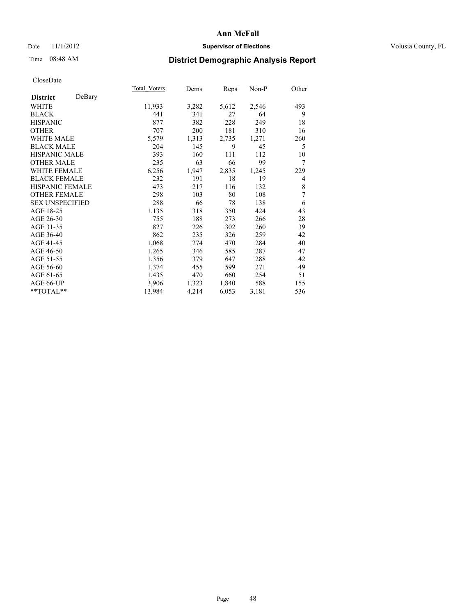## Date 11/1/2012 **Supervisor of Elections Supervisor of Elections** Volusia County, FL

# Time 08:48 AM **District Demographic Analysis Report**

|                        |        | Total Voters | Dems  | <b>Reps</b> | Non-P | Other |
|------------------------|--------|--------------|-------|-------------|-------|-------|
| <b>District</b>        | DeBary |              |       |             |       |       |
| WHITE                  |        | 11,933       | 3,282 | 5,612       | 2,546 | 493   |
| <b>BLACK</b>           |        | 441          | 341   | 27          | 64    | 9     |
| <b>HISPANIC</b>        |        | 877          | 382   | 228         | 249   | 18    |
| <b>OTHER</b>           |        | 707          | 200   | 181         | 310   | 16    |
| WHITE MALE             |        | 5,579        | 1,313 | 2,735       | 1,271 | 260   |
| <b>BLACK MALE</b>      |        | 204          | 145   | 9           | 45    | 5     |
| <b>HISPANIC MALE</b>   |        | 393          | 160   | 111         | 112   | 10    |
| <b>OTHER MALE</b>      |        | 235          | 63    | 66          | 99    | 7     |
| <b>WHITE FEMALE</b>    |        | 6,256        | 1,947 | 2,835       | 1,245 | 229   |
| <b>BLACK FEMALE</b>    |        | 232          | 191   | 18          | 19    | 4     |
| <b>HISPANIC FEMALE</b> |        | 473          | 217   | 116         | 132   | 8     |
| <b>OTHER FEMALE</b>    |        | 298          | 103   | 80          | 108   | 7     |
| <b>SEX UNSPECIFIED</b> |        | 288          | 66    | 78          | 138   | 6     |
| AGE 18-25              |        | 1,135        | 318   | 350         | 424   | 43    |
| AGE 26-30              |        | 755          | 188   | 273         | 266   | 28    |
| AGE 31-35              |        | 827          | 226   | 302         | 260   | 39    |
| AGE 36-40              |        | 862          | 235   | 326         | 259   | 42    |
| AGE 41-45              |        | 1,068        | 274   | 470         | 284   | 40    |
| AGE 46-50              |        | 1,265        | 346   | 585         | 287   | 47    |
| AGE 51-55              |        | 1,356        | 379   | 647         | 288   | 42    |
| AGE 56-60              |        | 1,374        | 455   | 599         | 271   | 49    |
| AGE 61-65              |        | 1,435        | 470   | 660         | 254   | 51    |
| AGE 66-UP              |        | 3,906        | 1,323 | 1,840       | 588   | 155   |
| $**TOTAL**$            |        | 13,984       | 4,214 | 6,053       | 3,181 | 536   |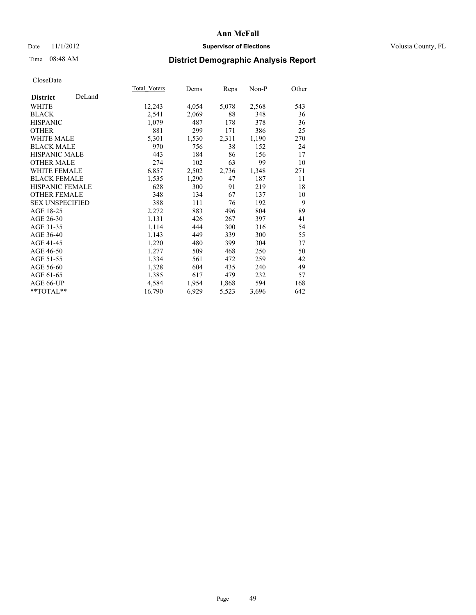## Date 11/1/2012 **Supervisor of Elections Supervisor of Elections** Volusia County, FL

# Time 08:48 AM **District Demographic Analysis Report**

|                        |        | Total Voters | Dems  | <b>Reps</b> | Non-P | Other |
|------------------------|--------|--------------|-------|-------------|-------|-------|
| <b>District</b>        | DeLand |              |       |             |       |       |
| <b>WHITE</b>           |        | 12,243       | 4,054 | 5,078       | 2,568 | 543   |
| <b>BLACK</b>           |        | 2,541        | 2,069 | 88          | 348   | 36    |
| <b>HISPANIC</b>        |        | 1,079        | 487   | 178         | 378   | 36    |
| <b>OTHER</b>           |        | 881          | 299   | 171         | 386   | 25    |
| <b>WHITE MALE</b>      |        | 5,301        | 1,530 | 2,311       | 1,190 | 270   |
| <b>BLACK MALE</b>      |        | 970          | 756   | 38          | 152   | 24    |
| HISPANIC MALE          |        | 443          | 184   | 86          | 156   | 17    |
| <b>OTHER MALE</b>      |        | 274          | 102   | 63          | 99    | 10    |
| <b>WHITE FEMALE</b>    |        | 6,857        | 2,502 | 2,736       | 1,348 | 271   |
| <b>BLACK FEMALE</b>    |        | 1,535        | 1,290 | 47          | 187   | 11    |
| <b>HISPANIC FEMALE</b> |        | 628          | 300   | 91          | 219   | 18    |
| <b>OTHER FEMALE</b>    |        | 348          | 134   | 67          | 137   | 10    |
| <b>SEX UNSPECIFIED</b> |        | 388          | 111   | 76          | 192   | 9     |
| AGE 18-25              |        | 2,272        | 883   | 496         | 804   | 89    |
| AGE 26-30              |        | 1,131        | 426   | 267         | 397   | 41    |
| AGE 31-35              |        | 1,114        | 444   | 300         | 316   | 54    |
| AGE 36-40              |        | 1,143        | 449   | 339         | 300   | 55    |
| AGE 41-45              |        | 1,220        | 480   | 399         | 304   | 37    |
| AGE 46-50              |        | 1,277        | 509   | 468         | 250   | 50    |
| AGE 51-55              |        | 1,334        | 561   | 472         | 259   | 42    |
| AGE 56-60              |        | 1,328        | 604   | 435         | 240   | 49    |
| AGE 61-65              |        | 1,385        | 617   | 479         | 232   | 57    |
| AGE 66-UP              |        | 4,584        | 1,954 | 1,868       | 594   | 168   |
| **TOTAL**              |        | 16,790       | 6,929 | 5,523       | 3,696 | 642   |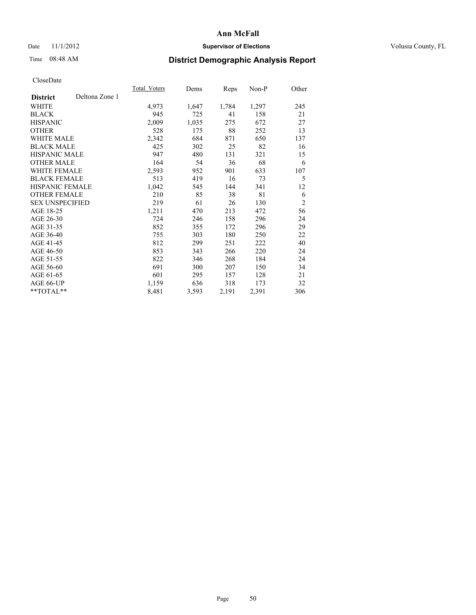# Date 11/1/2012 **Supervisor of Elections Supervisor of Elections** Volusia County, FL

# Time 08:48 AM **District Demographic Analysis Report**

|                        |                | Total Voters | Dems  | <b>Reps</b> | Non-P | Other          |
|------------------------|----------------|--------------|-------|-------------|-------|----------------|
| <b>District</b>        | Deltona Zone 1 |              |       |             |       |                |
| WHITE                  |                | 4,973        | 1,647 | 1,784       | 1,297 | 245            |
| <b>BLACK</b>           |                | 945          | 725   | 41          | 158   | 21             |
| <b>HISPANIC</b>        |                | 2,009        | 1,035 | 275         | 672   | 27             |
| <b>OTHER</b>           |                | 528          | 175   | 88          | 252   | 13             |
| <b>WHITE MALE</b>      |                | 2,342        | 684   | 871         | 650   | 137            |
| <b>BLACK MALE</b>      |                | 425          | 302   | 25          | 82    | 16             |
| <b>HISPANIC MALE</b>   |                | 947          | 480   | 131         | 321   | 15             |
| <b>OTHER MALE</b>      |                | 164          | 54    | 36          | 68    | 6              |
| <b>WHITE FEMALE</b>    |                | 2,593        | 952   | 901         | 633   | 107            |
| <b>BLACK FEMALE</b>    |                | 513          | 419   | 16          | 73    | 5              |
| HISPANIC FEMALE        |                | 1,042        | 545   | 144         | 341   | 12             |
| <b>OTHER FEMALE</b>    |                | 210          | 85    | 38          | 81    | 6              |
| <b>SEX UNSPECIFIED</b> |                | 219          | 61    | 26          | 130   | $\overline{2}$ |
| AGE 18-25              |                | 1,211        | 470   | 213         | 472   | 56             |
| AGE 26-30              |                | 724          | 246   | 158         | 296   | 24             |
| AGE 31-35              |                | 852          | 355   | 172         | 296   | 29             |
| AGE 36-40              |                | 755          | 303   | 180         | 250   | 22             |
| AGE 41-45              |                | 812          | 299   | 251         | 222   | 40             |
| AGE 46-50              |                | 853          | 343   | 266         | 220   | 24             |
| AGE 51-55              |                | 822          | 346   | 268         | 184   | 24             |
| AGE 56-60              |                | 691          | 300   | 207         | 150   | 34             |
| AGE 61-65              |                | 601          | 295   | 157         | 128   | 21             |
| AGE 66-UP              |                | 1,159        | 636   | 318         | 173   | 32             |
| **TOTAL**              |                | 8,481        | 3,593 | 2,191       | 2,391 | 306            |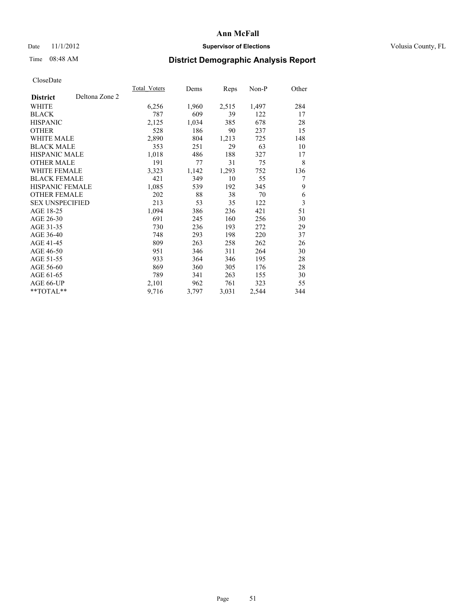# Date 11/1/2012 **Supervisor of Elections Supervisor of Elections** Volusia County, FL

# Time 08:48 AM **District Demographic Analysis Report**

|                                   | Total Voters | Dems  | <b>Reps</b> | Non-P | Other |
|-----------------------------------|--------------|-------|-------------|-------|-------|
| Deltona Zone 2<br><b>District</b> |              |       |             |       |       |
| WHITE                             | 6,256        | 1,960 | 2,515       | 1,497 | 284   |
| <b>BLACK</b>                      | 787          | 609   | 39          | 122   | 17    |
| <b>HISPANIC</b>                   | 2,125        | 1,034 | 385         | 678   | 28    |
| <b>OTHER</b>                      | 528          | 186   | 90          | 237   | 15    |
| <b>WHITE MALE</b>                 | 2,890        | 804   | 1,213       | 725   | 148   |
| <b>BLACK MALE</b>                 | 353          | 251   | 29          | 63    | 10    |
| <b>HISPANIC MALE</b>              | 1,018        | 486   | 188         | 327   | 17    |
| <b>OTHER MALE</b>                 | 191          | 77    | 31          | 75    | 8     |
| <b>WHITE FEMALE</b>               | 3,323        | 1,142 | 1,293       | 752   | 136   |
| <b>BLACK FEMALE</b>               | 421          | 349   | 10          | 55    | 7     |
| <b>HISPANIC FEMALE</b>            | 1,085        | 539   | 192         | 345   | 9     |
| <b>OTHER FEMALE</b>               | 202          | 88    | 38          | 70    | 6     |
| <b>SEX UNSPECIFIED</b>            | 213          | 53    | 35          | 122   | 3     |
| AGE 18-25                         | 1,094        | 386   | 236         | 421   | 51    |
| AGE 26-30                         | 691          | 245   | 160         | 256   | 30    |
| AGE 31-35                         | 730          | 236   | 193         | 272   | 29    |
| AGE 36-40                         | 748          | 293   | 198         | 220   | 37    |
| AGE 41-45                         | 809          | 263   | 258         | 262   | 26    |
| AGE 46-50                         | 951          | 346   | 311         | 264   | 30    |
| AGE 51-55                         | 933          | 364   | 346         | 195   | 28    |
| AGE 56-60                         | 869          | 360   | 305         | 176   | 28    |
| AGE 61-65                         | 789          | 341   | 263         | 155   | 30    |
| AGE 66-UP                         | 2,101        | 962   | 761         | 323   | 55    |
| **TOTAL**                         | 9,716        | 3,797 | 3,031       | 2,544 | 344   |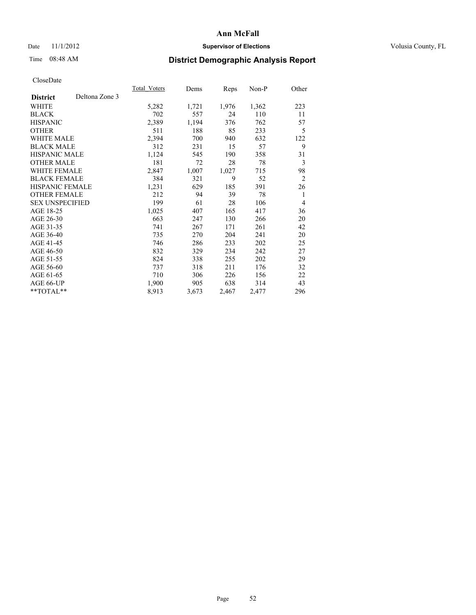# Date 11/1/2012 **Supervisor of Elections Supervisor of Elections** Volusia County, FL

# Time 08:48 AM **District Demographic Analysis Report**

|                                   | Total Voters | Dems  | <b>Reps</b> | Non-P | Other          |
|-----------------------------------|--------------|-------|-------------|-------|----------------|
| Deltona Zone 3<br><b>District</b> |              |       |             |       |                |
| WHITE                             | 5,282        | 1,721 | 1,976       | 1,362 | 223            |
| <b>BLACK</b>                      | 702          | 557   | 24          | 110   | 11             |
| <b>HISPANIC</b>                   | 2,389        | 1,194 | 376         | 762   | 57             |
| <b>OTHER</b>                      | 511          | 188   | 85          | 233   | 5              |
| WHITE MALE                        | 2,394        | 700   | 940         | 632   | 122            |
| <b>BLACK MALE</b>                 | 312          | 231   | 15          | 57    | 9              |
| <b>HISPANIC MALE</b>              | 1,124        | 545   | 190         | 358   | 31             |
| <b>OTHER MALE</b>                 | 181          | 72    | 28          | 78    | 3              |
| <b>WHITE FEMALE</b>               | 2,847        | 1,007 | 1,027       | 715   | 98             |
| <b>BLACK FEMALE</b>               | 384          | 321   | 9           | 52    | $\overline{2}$ |
| <b>HISPANIC FEMALE</b>            | 1,231        | 629   | 185         | 391   | 26             |
| <b>OTHER FEMALE</b>               | 212          | 94    | 39          | 78    | 1              |
| <b>SEX UNSPECIFIED</b>            | 199          | 61    | 28          | 106   | 4              |
| AGE 18-25                         | 1,025        | 407   | 165         | 417   | 36             |
| AGE 26-30                         | 663          | 247   | 130         | 266   | 20             |
| AGE 31-35                         | 741          | 267   | 171         | 261   | 42             |
| AGE 36-40                         | 735          | 270   | 204         | 241   | 20             |
| AGE 41-45                         | 746          | 286   | 233         | 202   | 25             |
| AGE 46-50                         | 832          | 329   | 234         | 242   | 27             |
| AGE 51-55                         | 824          | 338   | 255         | 202   | 29             |
| AGE 56-60                         | 737          | 318   | 211         | 176   | 32             |
| AGE 61-65                         | 710          | 306   | 226         | 156   | 22             |
| AGE 66-UP                         | 1,900        | 905   | 638         | 314   | 43             |
| **TOTAL**                         | 8.913        | 3,673 | 2,467       | 2,477 | 296            |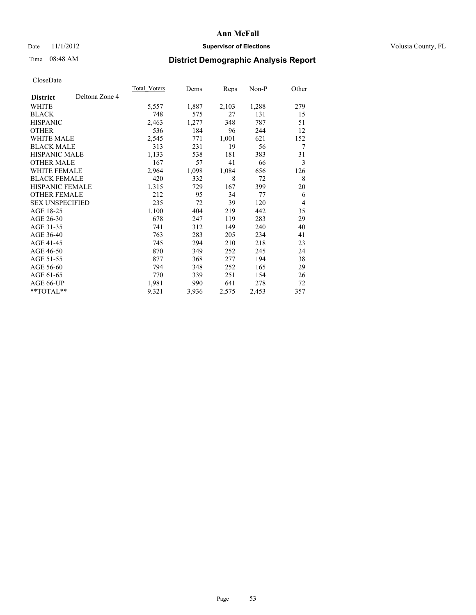# Date 11/1/2012 **Supervisor of Elections Supervisor of Elections** Volusia County, FL

# Time 08:48 AM **District Demographic Analysis Report**

|                        |                | Total Voters | Dems  | Reps  | Non-P | Other |
|------------------------|----------------|--------------|-------|-------|-------|-------|
| <b>District</b>        | Deltona Zone 4 |              |       |       |       |       |
| WHITE                  |                | 5,557        | 1,887 | 2,103 | 1,288 | 279   |
| <b>BLACK</b>           |                | 748          | 575   | 27    | 131   | 15    |
| <b>HISPANIC</b>        |                | 2,463        | 1,277 | 348   | 787   | 51    |
| <b>OTHER</b>           |                | 536          | 184   | 96    | 244   | 12    |
| <b>WHITE MALE</b>      |                | 2,545        | 771   | 1,001 | 621   | 152   |
| <b>BLACK MALE</b>      |                | 313          | 231   | 19    | 56    | 7     |
| HISPANIC MALE          |                | 1,133        | 538   | 181   | 383   | 31    |
| <b>OTHER MALE</b>      |                | 167          | 57    | 41    | 66    | 3     |
| <b>WHITE FEMALE</b>    |                | 2,964        | 1,098 | 1,084 | 656   | 126   |
| <b>BLACK FEMALE</b>    |                | 420          | 332   | 8     | 72    | 8     |
| <b>HISPANIC FEMALE</b> |                | 1,315        | 729   | 167   | 399   | 20    |
| <b>OTHER FEMALE</b>    |                | 212          | 95    | 34    | 77    | 6     |
| <b>SEX UNSPECIFIED</b> |                | 235          | 72    | 39    | 120   | 4     |
| AGE 18-25              |                | 1,100        | 404   | 219   | 442   | 35    |
| AGE 26-30              |                | 678          | 247   | 119   | 283   | 29    |
| AGE 31-35              |                | 741          | 312   | 149   | 240   | 40    |
| AGE 36-40              |                | 763          | 283   | 205   | 234   | 41    |
| AGE 41-45              |                | 745          | 294   | 210   | 218   | 23    |
| AGE 46-50              |                | 870          | 349   | 252   | 245   | 24    |
| AGE 51-55              |                | 877          | 368   | 277   | 194   | 38    |
| AGE 56-60              |                | 794          | 348   | 252   | 165   | 29    |
| AGE 61-65              |                | 770          | 339   | 251   | 154   | 26    |
| AGE 66-UP              |                | 1,981        | 990   | 641   | 278   | 72    |
| **TOTAL**              |                | 9,321        | 3,936 | 2,575 | 2,453 | 357   |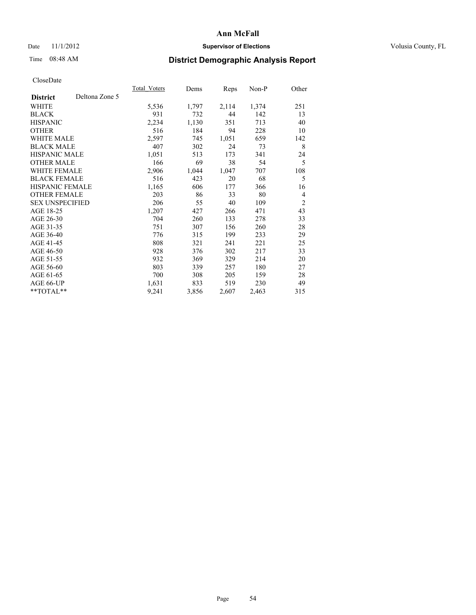# Date 11/1/2012 **Supervisor of Elections Supervisor of Elections** Volusia County, FL

# Time 08:48 AM **District Demographic Analysis Report**

|                        |                | <b>Total Voters</b> | Dems  | <b>Reps</b> | Non-P | Other          |
|------------------------|----------------|---------------------|-------|-------------|-------|----------------|
| <b>District</b>        | Deltona Zone 5 |                     |       |             |       |                |
| WHITE                  |                | 5,536               | 1,797 | 2,114       | 1,374 | 251            |
| <b>BLACK</b>           |                | 931                 | 732   | 44          | 142   | 13             |
| <b>HISPANIC</b>        |                | 2,234               | 1,130 | 351         | 713   | 40             |
| <b>OTHER</b>           |                | 516                 | 184   | 94          | 228   | 10             |
| <b>WHITE MALE</b>      |                | 2,597               | 745   | 1,051       | 659   | 142            |
| <b>BLACK MALE</b>      |                | 407                 | 302   | 24          | 73    | 8              |
| <b>HISPANIC MALE</b>   |                | 1,051               | 513   | 173         | 341   | 24             |
| <b>OTHER MALE</b>      |                | 166                 | 69    | 38          | 54    | 5              |
| WHITE FEMALE           |                | 2,906               | 1,044 | 1,047       | 707   | 108            |
| <b>BLACK FEMALE</b>    |                | 516                 | 423   | 20          | 68    | 5              |
| HISPANIC FEMALE        |                | 1,165               | 606   | 177         | 366   | 16             |
| <b>OTHER FEMALE</b>    |                | 203                 | 86    | 33          | 80    | $\overline{4}$ |
| <b>SEX UNSPECIFIED</b> |                | 206                 | 55    | 40          | 109   | $\overline{2}$ |
| AGE 18-25              |                | 1,207               | 427   | 266         | 471   | 43             |
| AGE 26-30              |                | 704                 | 260   | 133         | 278   | 33             |
| AGE 31-35              |                | 751                 | 307   | 156         | 260   | 28             |
| AGE 36-40              |                | 776                 | 315   | 199         | 233   | 29             |
| AGE 41-45              |                | 808                 | 321   | 241         | 221   | 25             |
| AGE 46-50              |                | 928                 | 376   | 302         | 217   | 33             |
| AGE 51-55              |                | 932                 | 369   | 329         | 214   | 20             |
| AGE 56-60              |                | 803                 | 339   | 257         | 180   | 27             |
| AGE 61-65              |                | 700                 | 308   | 205         | 159   | 28             |
| AGE 66-UP              |                | 1,631               | 833   | 519         | 230   | 49             |
| **TOTAL**              |                | 9,241               | 3,856 | 2,607       | 2,463 | 315            |
|                        |                |                     |       |             |       |                |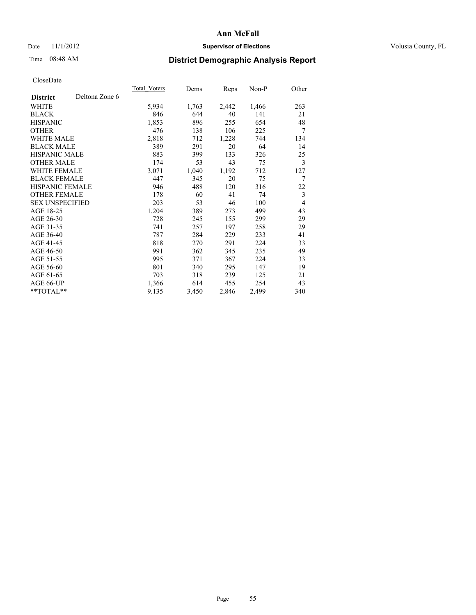# Date 11/1/2012 **Supervisor of Elections Supervisor of Elections** Volusia County, FL

# Time 08:48 AM **District Demographic Analysis Report**

|                        |                | <b>Total Voters</b> | Dems  | Reps  | $Non-P$ | Other |
|------------------------|----------------|---------------------|-------|-------|---------|-------|
| <b>District</b>        | Deltona Zone 6 |                     |       |       |         |       |
| WHITE                  |                | 5,934               | 1,763 | 2,442 | 1,466   | 263   |
| <b>BLACK</b>           |                | 846                 | 644   | 40    | 141     | 21    |
| <b>HISPANIC</b>        |                | 1,853               | 896   | 255   | 654     | 48    |
| <b>OTHER</b>           |                | 476                 | 138   | 106   | 225     | 7     |
| WHITE MALE             |                | 2,818               | 712   | 1,228 | 744     | 134   |
| <b>BLACK MALE</b>      |                | 389                 | 291   | 20    | 64      | 14    |
| <b>HISPANIC MALE</b>   |                | 883                 | 399   | 133   | 326     | 25    |
| <b>OTHER MALE</b>      |                | 174                 | 53    | 43    | 75      | 3     |
| <b>WHITE FEMALE</b>    |                | 3,071               | 1,040 | 1,192 | 712     | 127   |
| <b>BLACK FEMALE</b>    |                | 447                 | 345   | 20    | 75      | 7     |
| HISPANIC FEMALE        |                | 946                 | 488   | 120   | 316     | 22    |
| <b>OTHER FEMALE</b>    |                | 178                 | 60    | 41    | 74      | 3     |
| <b>SEX UNSPECIFIED</b> |                | 203                 | 53    | 46    | 100     | 4     |
| AGE 18-25              |                | 1,204               | 389   | 273   | 499     | 43    |
| AGE 26-30              |                | 728                 | 245   | 155   | 299     | 29    |
| AGE 31-35              |                | 741                 | 257   | 197   | 258     | 29    |
| AGE 36-40              |                | 787                 | 284   | 229   | 233     | 41    |
| AGE 41-45              |                | 818                 | 270   | 291   | 224     | 33    |
| AGE 46-50              |                | 991                 | 362   | 345   | 235     | 49    |
| AGE 51-55              |                | 995                 | 371   | 367   | 224     | 33    |
| AGE 56-60              |                | 801                 | 340   | 295   | 147     | 19    |
| AGE 61-65              |                | 703                 | 318   | 239   | 125     | 21    |
| AGE 66-UP              |                | 1,366               | 614   | 455   | 254     | 43    |
| **TOTAL**              |                | 9,135               | 3,450 | 2,846 | 2,499   | 340   |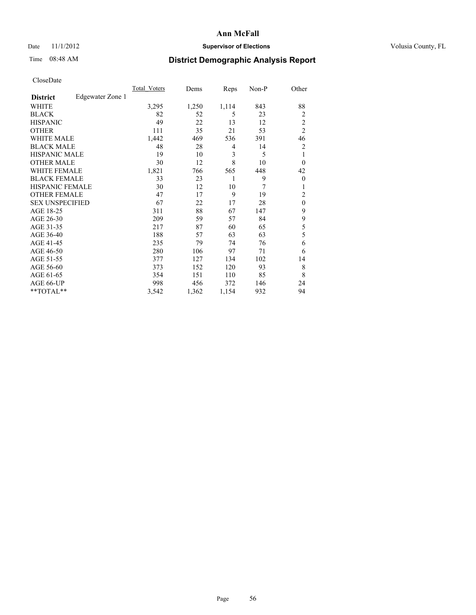# Date 11/1/2012 **Supervisor of Elections Supervisor of Elections** Volusia County, FL

# Time 08:48 AM **District Demographic Analysis Report**

|                        |                  | <b>Total Voters</b> | Dems  | Reps  | Non-P | Other          |
|------------------------|------------------|---------------------|-------|-------|-------|----------------|
| <b>District</b>        | Edgewater Zone 1 |                     |       |       |       |                |
| WHITE                  |                  | 3,295               | 1,250 | 1,114 | 843   | 88             |
| <b>BLACK</b>           |                  | 82                  | 52    | 5     | 23    | $\overline{2}$ |
| <b>HISPANIC</b>        |                  | 49                  | 22    | 13    | 12    | $\overline{c}$ |
| <b>OTHER</b>           |                  | 111                 | 35    | 21    | 53    | $\overline{2}$ |
| WHITE MALE             |                  | 1,442               | 469   | 536   | 391   | 46             |
| <b>BLACK MALE</b>      |                  | 48                  | 28    | 4     | 14    | 2              |
| <b>HISPANIC MALE</b>   |                  | 19                  | 10    | 3     | 5     | 1              |
| <b>OTHER MALE</b>      |                  | 30                  | 12    | 8     | 10    | $\theta$       |
| WHITE FEMALE           |                  | 1,821               | 766   | 565   | 448   | 42             |
| <b>BLACK FEMALE</b>    |                  | 33                  | 23    | 1     | 9     | $\theta$       |
| <b>HISPANIC FEMALE</b> |                  | 30                  | 12    | 10    | 7     | 1              |
| <b>OTHER FEMALE</b>    |                  | 47                  | 17    | 9     | 19    | 2              |
| <b>SEX UNSPECIFIED</b> |                  | 67                  | 22    | 17    | 28    | $\mathbf{0}$   |
| AGE 18-25              |                  | 311                 | 88    | 67    | 147   | 9              |
| AGE 26-30              |                  | 209                 | 59    | 57    | 84    | 9              |
| AGE 31-35              |                  | 217                 | 87    | 60    | 65    | 5              |
| AGE 36-40              |                  | 188                 | 57    | 63    | 63    | 5              |
| AGE 41-45              |                  | 235                 | 79    | 74    | 76    | 6              |
| AGE 46-50              |                  | 280                 | 106   | 97    | 71    | 6              |
| AGE 51-55              |                  | 377                 | 127   | 134   | 102   | 14             |
| AGE 56-60              |                  | 373                 | 152   | 120   | 93    | 8              |
| AGE 61-65              |                  | 354                 | 151   | 110   | 85    | 8              |
| AGE 66-UP              |                  | 998                 | 456   | 372   | 146   | 24             |
| **TOTAL**              |                  | 3,542               | 1,362 | 1,154 | 932   | 94             |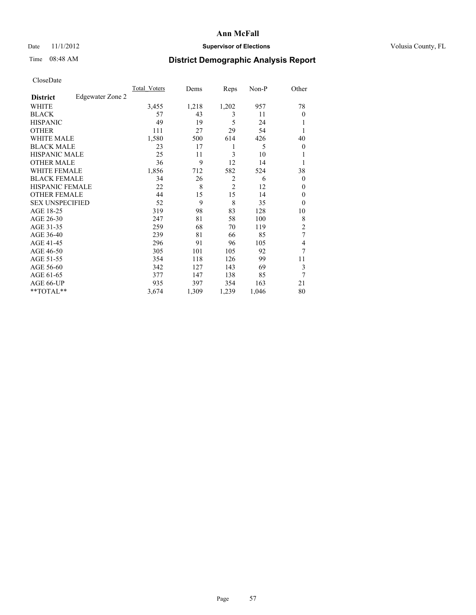# Date 11/1/2012 **Supervisor of Elections Supervisor of Elections** Volusia County, FL

# Time 08:48 AM **District Demographic Analysis Report**

|                        |                  | <b>Total Voters</b> | Dems  | Reps           | Non-P | Other          |
|------------------------|------------------|---------------------|-------|----------------|-------|----------------|
| <b>District</b>        | Edgewater Zone 2 |                     |       |                |       |                |
| WHITE                  |                  | 3,455               | 1,218 | 1,202          | 957   | 78             |
| <b>BLACK</b>           |                  | 57                  | 43    | 3              | 11    | $\Omega$       |
| <b>HISPANIC</b>        |                  | 49                  | 19    | 5              | 24    |                |
| <b>OTHER</b>           |                  | 111                 | 27    | 29             | 54    |                |
| WHITE MALE             |                  | 1,580               | 500   | 614            | 426   | 40             |
| <b>BLACK MALE</b>      |                  | 23                  | 17    | 1              | 5     | $\overline{0}$ |
| <b>HISPANIC MALE</b>   |                  | 25                  | 11    | 3              | 10    |                |
| <b>OTHER MALE</b>      |                  | 36                  | 9     | 12             | 14    |                |
| WHITE FEMALE           |                  | 1,856               | 712   | 582            | 524   | 38             |
| <b>BLACK FEMALE</b>    |                  | 34                  | 26    | $\overline{2}$ | 6     | $\overline{0}$ |
| <b>HISPANIC FEMALE</b> |                  | 22                  | 8     | $\overline{2}$ | 12    | $\Omega$       |
| <b>OTHER FEMALE</b>    |                  | 44                  | 15    | 15             | 14    | $\Omega$       |
| <b>SEX UNSPECIFIED</b> |                  | 52                  | 9     | 8              | 35    | $\theta$       |
| AGE 18-25              |                  | 319                 | 98    | 83             | 128   | 10             |
| AGE 26-30              |                  | 247                 | 81    | 58             | 100   | 8              |
| AGE 31-35              |                  | 259                 | 68    | 70             | 119   | $\overline{2}$ |
| AGE 36-40              |                  | 239                 | 81    | 66             | 85    | 7              |
| AGE 41-45              |                  | 296                 | 91    | 96             | 105   | 4              |
| AGE 46-50              |                  | 305                 | 101   | 105            | 92    | 7              |
| AGE 51-55              |                  | 354                 | 118   | 126            | 99    | 11             |
| AGE 56-60              |                  | 342                 | 127   | 143            | 69    | 3              |
| AGE 61-65              |                  | 377                 | 147   | 138            | 85    | 7              |
| AGE 66-UP              |                  | 935                 | 397   | 354            | 163   | 21             |
| **TOTAL**              |                  | 3,674               | 1,309 | 1,239          | 1,046 | 80             |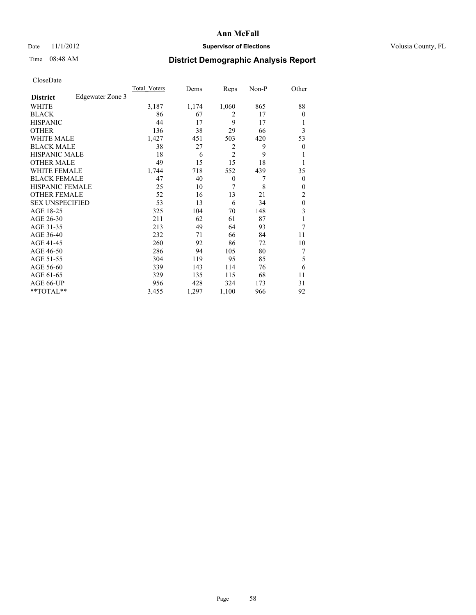# Date 11/1/2012 **Supervisor of Elections Supervisor of Elections** Volusia County, FL

# Time 08:48 AM **District Demographic Analysis Report**

|                        |                  | <b>Total Voters</b> | Dems  | Reps           | Non-P | Other            |
|------------------------|------------------|---------------------|-------|----------------|-------|------------------|
| <b>District</b>        | Edgewater Zone 3 |                     |       |                |       |                  |
| WHITE                  |                  | 3,187               | 1,174 | 1,060          | 865   | 88               |
| <b>BLACK</b>           |                  | 86                  | 67    | 2              | 17    | $\theta$         |
| <b>HISPANIC</b>        |                  | 44                  | 17    | 9              | 17    | 1                |
| <b>OTHER</b>           |                  | 136                 | 38    | 29             | 66    | 3                |
| WHITE MALE             |                  | 1,427               | 451   | 503            | 420   | 53               |
| <b>BLACK MALE</b>      |                  | 38                  | 27    | 2              | 9     | $\boldsymbol{0}$ |
| <b>HISPANIC MALE</b>   |                  | 18                  | 6     | $\overline{2}$ | 9     | 1                |
| <b>OTHER MALE</b>      |                  | 49                  | 15    | 15             | 18    | 1                |
| <b>WHITE FEMALE</b>    |                  | 1,744               | 718   | 552            | 439   | 35               |
| <b>BLACK FEMALE</b>    |                  | 47                  | 40    | $\theta$       | 7     | $\overline{0}$   |
| <b>HISPANIC FEMALE</b> |                  | 25                  | 10    | 7              | 8     | $\theta$         |
| <b>OTHER FEMALE</b>    |                  | 52                  | 16    | 13             | 21    | $\overline{c}$   |
| <b>SEX UNSPECIFIED</b> |                  | 53                  | 13    | 6              | 34    | $\mathbf{0}$     |
| AGE 18-25              |                  | 325                 | 104   | 70             | 148   | 3                |
| AGE 26-30              |                  | 211                 | 62    | 61             | 87    | 1                |
| AGE 31-35              |                  | 213                 | 49    | 64             | 93    | 7                |
| AGE 36-40              |                  | 232                 | 71    | 66             | 84    | 11               |
| AGE 41-45              |                  | 260                 | 92    | 86             | 72    | 10               |
| AGE 46-50              |                  | 286                 | 94    | 105            | 80    | 7                |
| AGE 51-55              |                  | 304                 | 119   | 95             | 85    | 5                |
| AGE 56-60              |                  | 339                 | 143   | 114            | 76    | 6                |
| AGE 61-65              |                  | 329                 | 135   | 115            | 68    | 11               |
| AGE 66-UP              |                  | 956                 | 428   | 324            | 173   | 31               |
| **TOTAL**              |                  | 3,455               | 1,297 | 1,100          | 966   | 92               |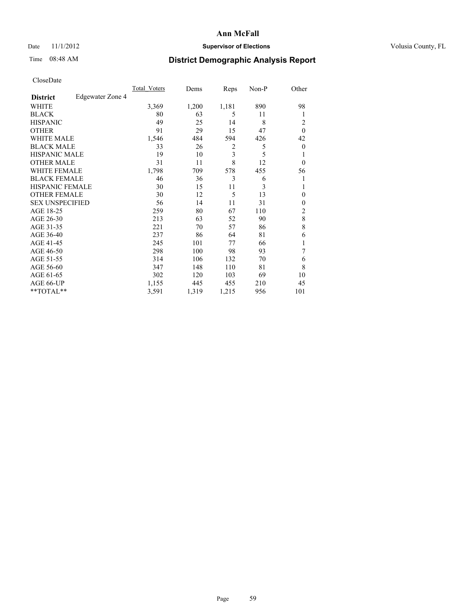# Date 11/1/2012 **Supervisor of Elections Supervisor of Elections** Volusia County, FL

# Time 08:48 AM **District Demographic Analysis Report**

|                        |                  | <b>Total Voters</b> | Dems  | Reps                    | Non-P | Other            |
|------------------------|------------------|---------------------|-------|-------------------------|-------|------------------|
| <b>District</b>        | Edgewater Zone 4 |                     |       |                         |       |                  |
| WHITE                  |                  | 3,369               | 1,200 | 1,181                   | 890   | 98               |
| <b>BLACK</b>           |                  | 80                  | 63    | 5                       | 11    | 1                |
| <b>HISPANIC</b>        |                  | 49                  | 25    | 14                      | 8     | 2                |
| <b>OTHER</b>           |                  | 91                  | 29    | 15                      | 47    | $\theta$         |
| WHITE MALE             |                  | 1,546               | 484   | 594                     | 426   | 42               |
| <b>BLACK MALE</b>      |                  | 33                  | 26    | 2                       | 5     | $\boldsymbol{0}$ |
| <b>HISPANIC MALE</b>   |                  | 19                  | 10    | $\overline{\mathbf{3}}$ | 5     | 1                |
| <b>OTHER MALE</b>      |                  | 31                  | 11    | 8                       | 12    | $\theta$         |
| WHITE FEMALE           |                  | 1,798               | 709   | 578                     | 455   | 56               |
| <b>BLACK FEMALE</b>    |                  | 46                  | 36    | 3                       | 6     | 1                |
| <b>HISPANIC FEMALE</b> |                  | 30                  | 15    | 11                      | 3     | 1                |
| <b>OTHER FEMALE</b>    |                  | 30                  | 12    | 5                       | 13    | $\theta$         |
| <b>SEX UNSPECIFIED</b> |                  | 56                  | 14    | 11                      | 31    | $\mathbf{0}$     |
| AGE 18-25              |                  | 259                 | 80    | 67                      | 110   | $\overline{c}$   |
| AGE 26-30              |                  | 213                 | 63    | 52                      | 90    | $\,8\,$          |
| AGE 31-35              |                  | 221                 | 70    | 57                      | 86    | 8                |
| AGE 36-40              |                  | 237                 | 86    | 64                      | 81    | 6                |
| AGE 41-45              |                  | 245                 | 101   | 77                      | 66    |                  |
| AGE 46-50              |                  | 298                 | 100   | 98                      | 93    | 7                |
| AGE 51-55              |                  | 314                 | 106   | 132                     | 70    | 6                |
| AGE 56-60              |                  | 347                 | 148   | 110                     | 81    | 8                |
| AGE 61-65              |                  | 302                 | 120   | 103                     | 69    | 10               |
| AGE 66-UP              |                  | 1,155               | 445   | 455                     | 210   | 45               |
| **TOTAL**              |                  | 3,591               | 1,319 | 1,215                   | 956   | 101              |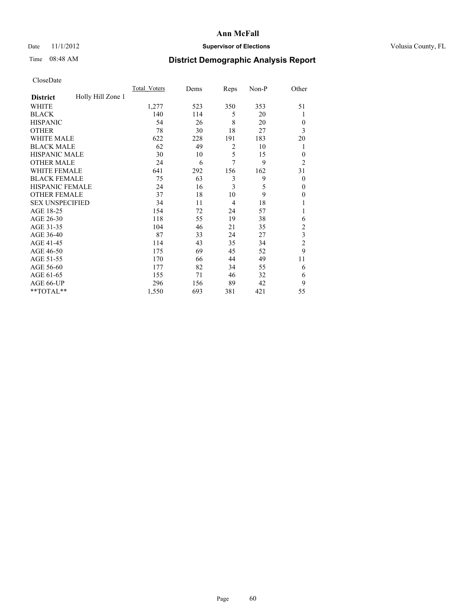# Date 11/1/2012 **Supervisor of Elections Supervisor of Elections** Volusia County, FL

# Time 08:48 AM **District Demographic Analysis Report**

|                        |                   | <b>Total Voters</b> | Dems | Reps           | Non-P | Other          |
|------------------------|-------------------|---------------------|------|----------------|-------|----------------|
| <b>District</b>        | Holly Hill Zone 1 |                     |      |                |       |                |
| WHITE                  |                   | 1,277               | 523  | 350            | 353   | 51             |
| <b>BLACK</b>           |                   | 140                 | 114  | 5              | 20    | 1              |
| <b>HISPANIC</b>        |                   | 54                  | 26   | 8              | 20    | $\overline{0}$ |
| <b>OTHER</b>           |                   | 78                  | 30   | 18             | 27    | 3              |
| WHITE MALE             |                   | 622                 | 228  | 191            | 183   | 20             |
| <b>BLACK MALE</b>      |                   | 62                  | 49   | $\overline{2}$ | 10    | 1              |
| <b>HISPANIC MALE</b>   |                   | 30                  | 10   | 5              | 15    | $\mathbf{0}$   |
| <b>OTHER MALE</b>      |                   | 24                  | 6    | 7              | 9     | $\overline{2}$ |
| WHITE FEMALE           |                   | 641                 | 292  | 156            | 162   | 31             |
| <b>BLACK FEMALE</b>    |                   | 75                  | 63   | 3              | 9     | $\overline{0}$ |
| <b>HISPANIC FEMALE</b> |                   | 24                  | 16   | 3              | 5     | $\theta$       |
| <b>OTHER FEMALE</b>    |                   | 37                  | 18   | 10             | 9     | $\theta$       |
| <b>SEX UNSPECIFIED</b> |                   | 34                  | 11   | $\overline{4}$ | 18    |                |
| AGE 18-25              |                   | 154                 | 72   | 24             | 57    |                |
| AGE 26-30              |                   | 118                 | 55   | 19             | 38    | 6              |
| AGE 31-35              |                   | 104                 | 46   | 21             | 35    | $\overline{c}$ |
| AGE 36-40              |                   | 87                  | 33   | 24             | 27    | 3              |
| AGE 41-45              |                   | 114                 | 43   | 35             | 34    | $\overline{c}$ |
| AGE 46-50              |                   | 175                 | 69   | 45             | 52    | 9              |
| AGE 51-55              |                   | 170                 | 66   | 44             | 49    | 11             |
| AGE 56-60              |                   | 177                 | 82   | 34             | 55    | 6              |
| AGE 61-65              |                   | 155                 | 71   | 46             | 32    | 6              |
| AGE 66-UP              |                   | 296                 | 156  | 89             | 42    | 9              |
| **TOTAL**              |                   | 1,550               | 693  | 381            | 421   | 55             |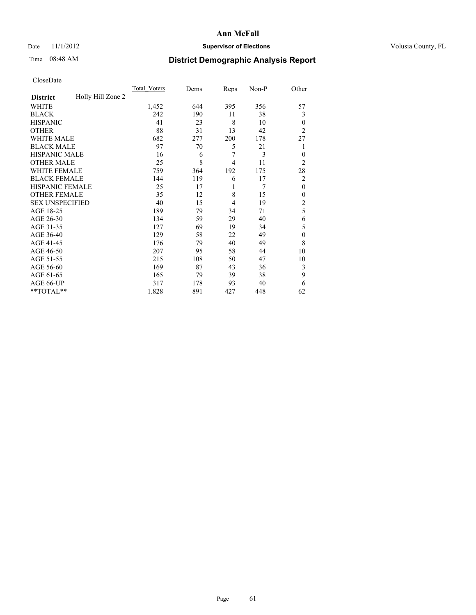# Date 11/1/2012 **Supervisor of Elections Supervisor of Elections** Volusia County, FL

# Time 08:48 AM **District Demographic Analysis Report**

|                        |                   | <b>Total Voters</b> | Dems | Reps | Non-P | Other                   |
|------------------------|-------------------|---------------------|------|------|-------|-------------------------|
| <b>District</b>        | Holly Hill Zone 2 |                     |      |      |       |                         |
| WHITE                  |                   | 1,452               | 644  | 395  | 356   | 57                      |
| <b>BLACK</b>           |                   | 242                 | 190  | 11   | 38    | 3                       |
| <b>HISPANIC</b>        |                   | 41                  | 23   | 8    | 10    | $\mathbf{0}$            |
| <b>OTHER</b>           |                   | 88                  | 31   | 13   | 42    | $\overline{2}$          |
| WHITE MALE             |                   | 682                 | 277  | 200  | 178   | 27                      |
| <b>BLACK MALE</b>      |                   | 97                  | 70   | 5    | 21    | 1                       |
| <b>HISPANIC MALE</b>   |                   | 16                  | 6    | 7    | 3     | $\mathbf{0}$            |
| <b>OTHER MALE</b>      |                   | 25                  | 8    | 4    | 11    | $\overline{2}$          |
| WHITE FEMALE           |                   | 759                 | 364  | 192  | 175   | 28                      |
| <b>BLACK FEMALE</b>    |                   | 144                 | 119  | 6    | 17    | $\overline{c}$          |
| <b>HISPANIC FEMALE</b> |                   | 25                  | 17   | 1    | 7     | $\mathbf{0}$            |
| <b>OTHER FEMALE</b>    |                   | 35                  | 12   | 8    | 15    | $\theta$                |
| <b>SEX UNSPECIFIED</b> |                   | 40                  | 15   | 4    | 19    | $\overline{\mathbf{c}}$ |
| AGE 18-25              |                   | 189                 | 79   | 34   | 71    | 5                       |
| AGE 26-30              |                   | 134                 | 59   | 29   | 40    | 6                       |
| AGE 31-35              |                   | 127                 | 69   | 19   | 34    | 5                       |
| AGE 36-40              |                   | 129                 | 58   | 22   | 49    | $\mathbf{0}$            |
| AGE 41-45              |                   | 176                 | 79   | 40   | 49    | 8                       |
| AGE 46-50              |                   | 207                 | 95   | 58   | 44    | 10                      |
| AGE 51-55              |                   | 215                 | 108  | 50   | 47    | 10                      |
| AGE 56-60              |                   | 169                 | 87   | 43   | 36    | 3                       |
| AGE 61-65              |                   | 165                 | 79   | 39   | 38    | 9                       |
| AGE 66-UP              |                   | 317                 | 178  | 93   | 40    | 6                       |
| **TOTAL**              |                   | 1,828               | 891  | 427  | 448   | 62                      |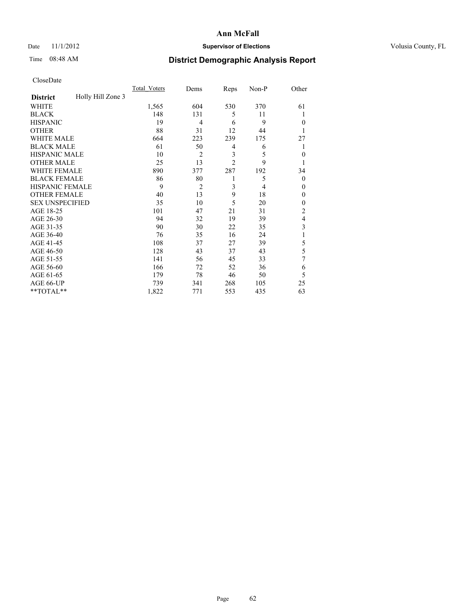# Date 11/1/2012 **Supervisor of Elections Supervisor of Elections** Volusia County, FL

# Time 08:48 AM **District Demographic Analysis Report**

|                        |                   | <b>Total Voters</b> | Dems           | Reps                    | Non-P          | Other          |
|------------------------|-------------------|---------------------|----------------|-------------------------|----------------|----------------|
| <b>District</b>        | Holly Hill Zone 3 |                     |                |                         |                |                |
| <b>WHITE</b>           |                   | 1,565               | 604            | 530                     | 370            | 61             |
| <b>BLACK</b>           |                   | 148                 | 131            | 5                       | 11             | 1              |
| <b>HISPANIC</b>        |                   | 19                  | $\overline{4}$ | 6                       | 9              | $\theta$       |
| <b>OTHER</b>           |                   | 88                  | 31             | 12                      | 44             |                |
| WHITE MALE             |                   | 664                 | 223            | 239                     | 175            | 27             |
| <b>BLACK MALE</b>      |                   | 61                  | 50             | 4                       | 6              | 1              |
| <b>HISPANIC MALE</b>   |                   | 10                  | $\overline{2}$ | $\overline{\mathbf{3}}$ | 5              | $\mathbf{0}$   |
| <b>OTHER MALE</b>      |                   | 25                  | 13             | $\overline{2}$          | 9              | 1              |
| WHITE FEMALE           |                   | 890                 | 377            | 287                     | 192            | 34             |
| <b>BLACK FEMALE</b>    |                   | 86                  | 80             | 1                       | 5              | $\theta$       |
| <b>HISPANIC FEMALE</b> |                   | 9                   | $\overline{2}$ | 3                       | $\overline{4}$ | $\theta$       |
| <b>OTHER FEMALE</b>    |                   | 40                  | 13             | 9                       | 18             | $\theta$       |
| <b>SEX UNSPECIFIED</b> |                   | 35                  | 10             | 5                       | 20             | $\theta$       |
| AGE 18-25              |                   | 101                 | 47             | 21                      | 31             | $\overline{c}$ |
| AGE 26-30              |                   | 94                  | 32             | 19                      | 39             | 4              |
| AGE 31-35              |                   | 90                  | 30             | 22                      | 35             | 3              |
| AGE 36-40              |                   | 76                  | 35             | 16                      | 24             | 1              |
| AGE 41-45              |                   | 108                 | 37             | 27                      | 39             | 5              |
| AGE 46-50              |                   | 128                 | 43             | 37                      | 43             | 5              |
| AGE 51-55              |                   | 141                 | 56             | 45                      | 33             | 7              |
| AGE 56-60              |                   | 166                 | 72             | 52                      | 36             | 6              |
| AGE 61-65              |                   | 179                 | 78             | 46                      | 50             | 5              |
| AGE 66-UP              |                   | 739                 | 341            | 268                     | 105            | 25             |
| **TOTAL**              |                   | 1,822               | 771            | 553                     | 435            | 63             |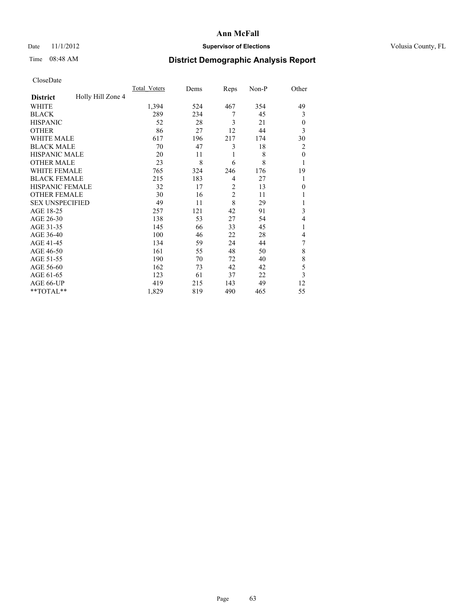# Date 11/1/2012 **Supervisor of Elections Supervisor of Elections** Volusia County, FL

# Time 08:48 AM **District Demographic Analysis Report**

|                        |                   | <b>Total Voters</b> | Dems | Reps           | Non-P | Other          |
|------------------------|-------------------|---------------------|------|----------------|-------|----------------|
| <b>District</b>        | Holly Hill Zone 4 |                     |      |                |       |                |
| WHITE                  |                   | 1,394               | 524  | 467            | 354   | 49             |
| <b>BLACK</b>           |                   | 289                 | 234  | 7              | 45    | 3              |
| <b>HISPANIC</b>        |                   | 52                  | 28   | 3              | 21    | $\overline{0}$ |
| <b>OTHER</b>           |                   | 86                  | 27   | 12             | 44    | 3              |
| WHITE MALE             |                   | 617                 | 196  | 217            | 174   | 30             |
| <b>BLACK MALE</b>      |                   | 70                  | 47   | 3              | 18    | $\overline{2}$ |
| <b>HISPANIC MALE</b>   |                   | 20                  | 11   | 1              | 8     | $\mathbf{0}$   |
| <b>OTHER MALE</b>      |                   | 23                  | 8    | 6              | 8     | 1              |
| WHITE FEMALE           |                   | 765                 | 324  | 246            | 176   | 19             |
| <b>BLACK FEMALE</b>    |                   | 215                 | 183  | 4              | 27    | 1              |
| <b>HISPANIC FEMALE</b> |                   | 32                  | 17   | $\overline{2}$ | 13    | $\Omega$       |
| <b>OTHER FEMALE</b>    |                   | 30                  | 16   | $\overline{c}$ | 11    |                |
| <b>SEX UNSPECIFIED</b> |                   | 49                  | 11   | 8              | 29    |                |
| AGE 18-25              |                   | 257                 | 121  | 42             | 91    | 3              |
| AGE 26-30              |                   | 138                 | 53   | 27             | 54    | 4              |
| AGE 31-35              |                   | 145                 | 66   | 33             | 45    |                |
| AGE 36-40              |                   | 100                 | 46   | 22             | 28    | 4              |
| AGE 41-45              |                   | 134                 | 59   | 24             | 44    | 7              |
| AGE 46-50              |                   | 161                 | 55   | 48             | 50    | 8              |
| AGE 51-55              |                   | 190                 | 70   | 72             | 40    | 8              |
| AGE 56-60              |                   | 162                 | 73   | 42             | 42    | 5              |
| AGE 61-65              |                   | 123                 | 61   | 37             | 22    | 3              |
| AGE 66-UP              |                   | 419                 | 215  | 143            | 49    | 12             |
| **TOTAL**              |                   | 1,829               | 819  | 490            | 465   | 55             |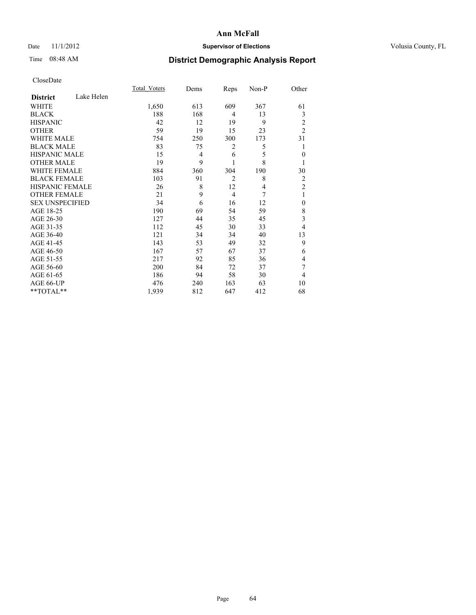# Date 11/1/2012 **Supervisor of Elections Supervisor of Elections** Volusia County, FL

# Time 08:48 AM **District Demographic Analysis Report**

|                        |            | <b>Total Voters</b> | Dems           | Reps           | Non-P | Other          |
|------------------------|------------|---------------------|----------------|----------------|-------|----------------|
| <b>District</b>        | Lake Helen |                     |                |                |       |                |
| <b>WHITE</b>           |            | 1,650               | 613            | 609            | 367   | 61             |
| <b>BLACK</b>           |            | 188                 | 168            | 4              | 13    | 3              |
| <b>HISPANIC</b>        |            | 42                  | 12             | 19             | 9     | $\overline{c}$ |
| <b>OTHER</b>           |            | 59                  | 19             | 15             | 23    | $\overline{2}$ |
| WHITE MALE             |            | 754                 | 250            | 300            | 173   | 31             |
| <b>BLACK MALE</b>      |            | 83                  | 75             | 2              | 5     | 1              |
| <b>HISPANIC MALE</b>   |            | 15                  | $\overline{4}$ | 6              | 5     | $\mathbf{0}$   |
| <b>OTHER MALE</b>      |            | 19                  | 9              | 1              | 8     | 1              |
| <b>WHITE FEMALE</b>    |            | 884                 | 360            | 304            | 190   | 30             |
| <b>BLACK FEMALE</b>    |            | 103                 | 91             | $\overline{2}$ | 8     | $\overline{c}$ |
| <b>HISPANIC FEMALE</b> |            | 26                  | 8              | 12             | 4     | $\overline{2}$ |
| <b>OTHER FEMALE</b>    |            | 21                  | 9              | $\overline{4}$ | 7     | 1              |
| <b>SEX UNSPECIFIED</b> |            | 34                  | 6              | 16             | 12    | $\mathbf{0}$   |
| AGE 18-25              |            | 190                 | 69             | 54             | 59    | 8              |
| AGE 26-30              |            | 127                 | 44             | 35             | 45    | 3              |
| AGE 31-35              |            | 112                 | 45             | 30             | 33    | 4              |
| AGE 36-40              |            | 121                 | 34             | 34             | 40    | 13             |
| AGE 41-45              |            | 143                 | 53             | 49             | 32    | 9              |
| AGE 46-50              |            | 167                 | 57             | 67             | 37    | 6              |
| AGE 51-55              |            | 217                 | 92             | 85             | 36    | 4              |
| AGE 56-60              |            | 200                 | 84             | 72             | 37    | 7              |
| AGE 61-65              |            | 186                 | 94             | 58             | 30    | 4              |
| AGE 66-UP              |            | 476                 | 240            | 163            | 63    | 10             |
| **TOTAL**              |            | 1,939               | 812            | 647            | 412   | 68             |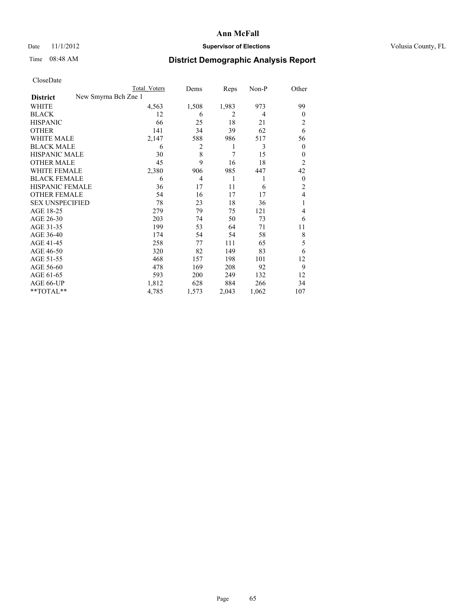# Date 11/1/2012 **Supervisor of Elections Supervisor of Elections** Volusia County, FL

# Time 08:48 AM **District Demographic Analysis Report**

|                        |                      | <b>Total Voters</b> | Dems           | Reps           | Non-P | Other            |
|------------------------|----------------------|---------------------|----------------|----------------|-------|------------------|
| <b>District</b>        | New Smyrna Bch Zne 1 |                     |                |                |       |                  |
| WHITE                  |                      | 4,563               | 1,508          | 1,983          | 973   | 99               |
| <b>BLACK</b>           |                      | 12                  | 6              | $\overline{2}$ | 4     | $\Omega$         |
| <b>HISPANIC</b>        |                      | 66                  | 25             | 18             | 21    | 2                |
| <b>OTHER</b>           |                      | 141                 | 34             | 39             | 62    | 6                |
| WHITE MALE             |                      | 2,147               | 588            | 986            | 517   | 56               |
| <b>BLACK MALE</b>      |                      | 6                   | 2              | 1              | 3     | $\boldsymbol{0}$ |
| <b>HISPANIC MALE</b>   |                      | 30                  | 8              | 7              | 15    | $\theta$         |
| <b>OTHER MALE</b>      |                      | 45                  | 9              | 16             | 18    | $\overline{2}$   |
| <b>WHITE FEMALE</b>    |                      | 2,380               | 906            | 985            | 447   | 42               |
| <b>BLACK FEMALE</b>    |                      | 6                   | $\overline{4}$ | 1              | 1     | $\overline{0}$   |
| <b>HISPANIC FEMALE</b> |                      | 36                  | 17             | 11             | 6     | $\overline{c}$   |
| <b>OTHER FEMALE</b>    |                      | 54                  | 16             | 17             | 17    | 4                |
| <b>SEX UNSPECIFIED</b> |                      | 78                  | 23             | 18             | 36    | 1                |
| AGE 18-25              |                      | 279                 | 79             | 75             | 121   | 4                |
| AGE 26-30              |                      | 203                 | 74             | 50             | 73    | 6                |
| AGE 31-35              |                      | 199                 | 53             | 64             | 71    | 11               |
| AGE 36-40              |                      | 174                 | 54             | 54             | 58    | 8                |
| AGE 41-45              |                      | 258                 | 77             | 111            | 65    | 5                |
| AGE 46-50              |                      | 320                 | 82             | 149            | 83    | 6                |
| AGE 51-55              |                      | 468                 | 157            | 198            | 101   | 12               |
| AGE 56-60              |                      | 478                 | 169            | 208            | 92    | 9                |
| AGE 61-65              |                      | 593                 | 200            | 249            | 132   | 12               |
| AGE 66-UP              |                      | 1,812               | 628            | 884            | 266   | 34               |
| **TOTAL**              |                      | 4,785               | 1,573          | 2,043          | 1,062 | 107              |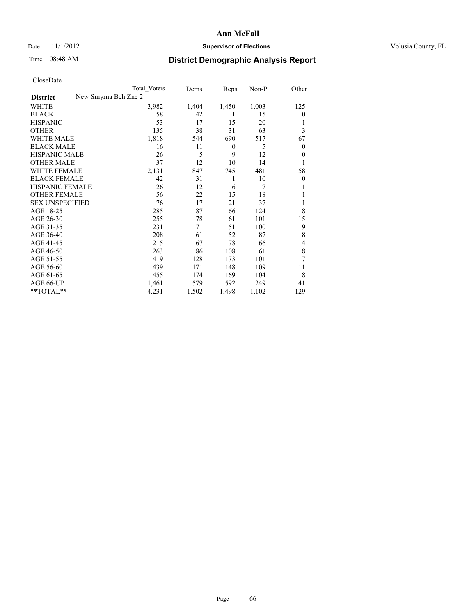# Date 11/1/2012 **Supervisor of Elections Supervisor of Elections** Volusia County, FL

# Time 08:48 AM **District Demographic Analysis Report**

|                                         | <b>Total Voters</b> | Dems  | Reps     | Non-P | Other          |
|-----------------------------------------|---------------------|-------|----------|-------|----------------|
| New Smyrna Bch Zne 2<br><b>District</b> |                     |       |          |       |                |
| WHITE                                   | 3,982               | 1,404 | 1,450    | 1,003 | 125            |
| <b>BLACK</b>                            | 58                  | 42    | 1        | 15    | $\Omega$       |
| <b>HISPANIC</b>                         | 53                  | 17    | 15       | 20    |                |
| <b>OTHER</b>                            | 135                 | 38    | 31       | 63    | 3              |
| WHITE MALE                              | 1,818               | 544   | 690      | 517   | 67             |
| <b>BLACK MALE</b>                       | 16                  | 11    | $\theta$ | 5     | $\overline{0}$ |
| <b>HISPANIC MALE</b>                    | 26                  | 5     | 9        | 12    | $\overline{0}$ |
| <b>OTHER MALE</b>                       | 37                  | 12    | 10       | 14    | 1              |
| WHITE FEMALE                            | 2,131               | 847   | 745      | 481   | 58             |
| <b>BLACK FEMALE</b>                     | 42                  | 31    | 1        | 10    | $\overline{0}$ |
| <b>HISPANIC FEMALE</b>                  | 26                  | 12    | 6        | 7     |                |
| <b>OTHER FEMALE</b>                     | 56                  | 22    | 15       | 18    |                |
| <b>SEX UNSPECIFIED</b>                  | 76                  | 17    | 21       | 37    |                |
| AGE 18-25                               | 285                 | 87    | 66       | 124   | 8              |
| AGE 26-30                               | 255                 | 78    | 61       | 101   | 15             |
| AGE 31-35                               | 231                 | 71    | 51       | 100   | 9              |
| AGE 36-40                               | 208                 | 61    | 52       | 87    | 8              |
| AGE 41-45                               | 215                 | 67    | 78       | 66    | 4              |
| AGE 46-50                               | 263                 | 86    | 108      | 61    | 8              |
| AGE 51-55                               | 419                 | 128   | 173      | 101   | 17             |
| AGE 56-60                               | 439                 | 171   | 148      | 109   | 11             |
| AGE 61-65                               | 455                 | 174   | 169      | 104   | 8              |
| AGE 66-UP                               | 1,461               | 579   | 592      | 249   | 41             |
| $**TOTAL**$                             | 4,231               | 1,502 | 1,498    | 1,102 | 129            |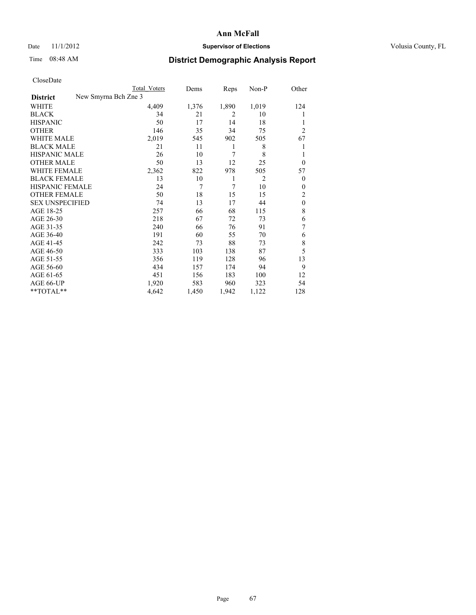# Date 11/1/2012 **Supervisor of Elections Supervisor of Elections** Volusia County, FL

# Time 08:48 AM **District Demographic Analysis Report**

|                                         | Total Voters | Dems  | Reps           | Non-P          | Other          |
|-----------------------------------------|--------------|-------|----------------|----------------|----------------|
| New Smyrna Bch Zne 3<br><b>District</b> |              |       |                |                |                |
| WHITE                                   | 4,409        | 1,376 | 1,890          | 1,019          | 124            |
| <b>BLACK</b>                            | 34           | 21    | $\overline{2}$ | 10             |                |
| <b>HISPANIC</b>                         | 50           | 17    | 14             | 18             |                |
| <b>OTHER</b>                            | 146          | 35    | 34             | 75             | $\overline{2}$ |
| WHITE MALE                              | 2,019        | 545   | 902            | 505            | 67             |
| <b>BLACK MALE</b>                       | 21           | 11    | 1              | 8              | 1              |
| <b>HISPANIC MALE</b>                    | 26           | 10    | 7              | 8              | 1              |
| <b>OTHER MALE</b>                       | 50           | 13    | 12             | 25             | $\overline{0}$ |
| WHITE FEMALE                            | 2,362        | 822   | 978            | 505            | 57             |
| <b>BLACK FEMALE</b>                     | 13           | 10    | 1              | $\overline{2}$ | $\overline{0}$ |
| <b>HISPANIC FEMALE</b>                  | 24           | 7     | 7              | 10             | $\Omega$       |
| <b>OTHER FEMALE</b>                     | 50           | 18    | 15             | 15             | 2              |
| <b>SEX UNSPECIFIED</b>                  | 74           | 13    | 17             | 44             | $\mathbf{0}$   |
| AGE 18-25                               | 257          | 66    | 68             | 115            | 8              |
| AGE 26-30                               | 218          | 67    | 72             | 73             | 6              |
| AGE 31-35                               | 240          | 66    | 76             | 91             | 7              |
| AGE 36-40                               | 191          | 60    | 55             | 70             | 6              |
| AGE 41-45                               | 242          | 73    | 88             | 73             | 8              |
| AGE 46-50                               | 333          | 103   | 138            | 87             | 5              |
| AGE 51-55                               | 356          | 119   | 128            | 96             | 13             |
| AGE 56-60                               | 434          | 157   | 174            | 94             | 9              |
| AGE 61-65                               | 451          | 156   | 183            | 100            | 12             |
| AGE 66-UP                               | 1,920        | 583   | 960            | 323            | 54             |
| $**TOTAL**$                             | 4,642        | 1,450 | 1,942          | 1,122          | 128            |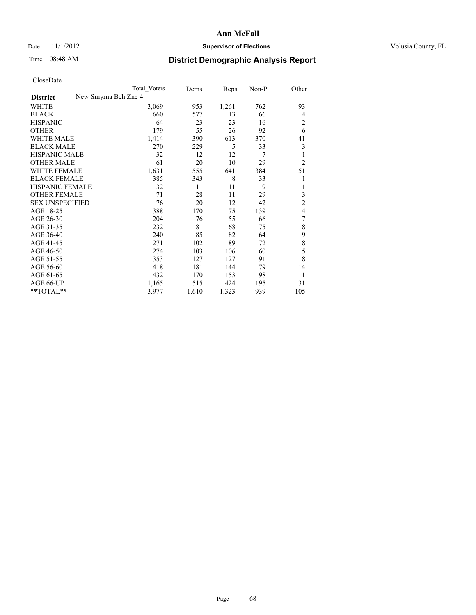## Date 11/1/2012 **Supervisor of Elections Supervisor of Elections** Volusia County, FL

# Time 08:48 AM **District Demographic Analysis Report**

| Total Voters | Dems                 | Reps  | Non-P | Other          |
|--------------|----------------------|-------|-------|----------------|
|              |                      |       |       |                |
| 3,069        | 953                  | 1,261 | 762   | 93             |
| 660          | 577                  | 13    | 66    | $\overline{4}$ |
| 64           | 23                   | 23    | 16    | $\overline{c}$ |
| 179          | 55                   | 26    | 92    | 6              |
| 1,414        | 390                  | 613   | 370   | 41             |
| 270          | 229                  | 5     | 33    | 3              |
| 32           | 12                   | 12    | 7     | 1              |
| 61           | 20                   | 10    | 29    | $\overline{2}$ |
| 1,631        | 555                  | 641   | 384   | 51             |
| 385          | 343                  | 8     | 33    | 1              |
| 32           | 11                   | 11    | 9     | 1              |
| 71           | 28                   | 11    | 29    | 3              |
| 76           | 20                   | 12    | 42    | $\overline{c}$ |
| 388          | 170                  | 75    | 139   | $\overline{4}$ |
| 204          | 76                   | 55    | 66    | 7              |
| 232          | 81                   | 68    | 75    | 8              |
| 240          | 85                   | 82    | 64    | 9              |
| 271          | 102                  | 89    | 72    | $\,$ 8 $\,$    |
| 274          | 103                  | 106   | 60    | 5              |
| 353          | 127                  | 127   | 91    | 8              |
| 418          | 181                  | 144   | 79    | 14             |
| 432          | 170                  | 153   | 98    | 11             |
| 1,165        | 515                  | 424   | 195   | 31             |
| 3,977        | 1,610                | 1,323 | 939   | 105            |
|              | New Smyrna Bch Zne 4 |       |       |                |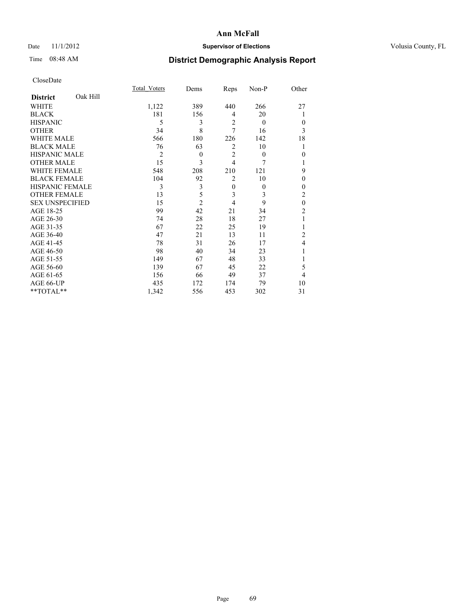# Date 11/1/2012 **Supervisor of Elections Supervisor of Elections** Volusia County, FL

# Time 08:48 AM **District Demographic Analysis Report**

|                        |          | <b>Total Voters</b> | Dems           | Reps           | Non-P    | Other          |
|------------------------|----------|---------------------|----------------|----------------|----------|----------------|
| <b>District</b>        | Oak Hill |                     |                |                |          |                |
| WHITE                  |          | 1,122               | 389            | 440            | 266      | 27             |
| <b>BLACK</b>           |          | 181                 | 156            | 4              | 20       | 1              |
| <b>HISPANIC</b>        |          | 5                   | 3              | $\overline{2}$ | $\theta$ | $\Omega$       |
| <b>OTHER</b>           |          | 34                  | 8              | 7              | 16       | 3              |
| WHITE MALE             |          | 566                 | 180            | 226            | 142      | 18             |
| <b>BLACK MALE</b>      |          | 76                  | 63             | 2              | 10       | 1              |
| <b>HISPANIC MALE</b>   |          | $\overline{2}$      | $\theta$       | $\overline{2}$ | $\theta$ | $\Omega$       |
| <b>OTHER MALE</b>      |          | 15                  | 3              | $\overline{4}$ | 7        | 1              |
| <b>WHITE FEMALE</b>    |          | 548                 | 208            | 210            | 121      | 9              |
| <b>BLACK FEMALE</b>    |          | 104                 | 92             | $\overline{2}$ | 10       | $\theta$       |
| <b>HISPANIC FEMALE</b> |          | 3                   | 3              | $\mathbf{0}$   | $\theta$ | $\Omega$       |
| <b>OTHER FEMALE</b>    |          | 13                  | 5              | 3              | 3        | $\overline{c}$ |
| <b>SEX UNSPECIFIED</b> |          | 15                  | $\overline{2}$ | 4              | 9        | $\mathbf{0}$   |
| AGE 18-25              |          | 99                  | 42             | 21             | 34       | $\overline{c}$ |
| AGE 26-30              |          | 74                  | 28             | 18             | 27       | 1              |
| AGE 31-35              |          | 67                  | 22             | 25             | 19       |                |
| AGE 36-40              |          | 47                  | 21             | 13             | 11       | $\overline{c}$ |
| AGE 41-45              |          | 78                  | 31             | 26             | 17       | 4              |
| AGE 46-50              |          | 98                  | 40             | 34             | 23       | 1              |
| AGE 51-55              |          | 149                 | 67             | 48             | 33       |                |
| AGE 56-60              |          | 139                 | 67             | 45             | 22       | 5              |
| AGE 61-65              |          | 156                 | 66             | 49             | 37       | $\overline{4}$ |
| AGE 66-UP              |          | 435                 | 172            | 174            | 79       | 10             |
| **TOTAL**              |          | 1,342               | 556            | 453            | 302      | 31             |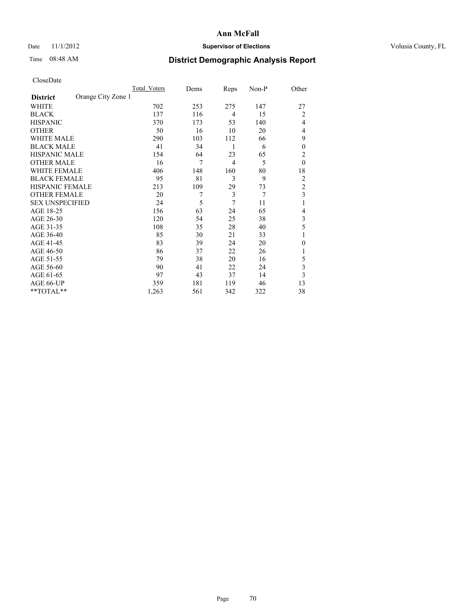## Date 11/1/2012 **Supervisor of Elections Supervisor of Elections** Volusia County, FL

# Time 08:48 AM **District Demographic Analysis Report**

| <b>UIUSUDUI</b> U      |                    |              |      |                |       |                |
|------------------------|--------------------|--------------|------|----------------|-------|----------------|
|                        |                    | Total Voters | Dems | Reps           | Non-P | Other          |
| <b>District</b>        | Orange City Zone 1 |              |      |                |       |                |
| WHITE                  |                    | 702          | 253  | 275            | 147   | 27             |
| <b>BLACK</b>           |                    | 137          | 116  | $\overline{4}$ | 15    | $\overline{2}$ |
| <b>HISPANIC</b>        |                    | 370          | 173  | 53             | 140   | 4              |
| <b>OTHER</b>           |                    | 50           | 16   | 10             | 20    | $\overline{4}$ |
| WHITE MALE             |                    | 290          | 103  | 112            | 66    | 9              |
| <b>BLACK MALE</b>      |                    | 41           | 34   | 1              | 6     | $\theta$       |
| <b>HISPANIC MALE</b>   |                    | 154          | 64   | 23             | 65    | $\overline{c}$ |
| <b>OTHER MALE</b>      |                    | 16           | 7    | $\overline{4}$ | 5     | $\theta$       |
| WHITE FEMALE           |                    | 406          | 148  | 160            | 80    | 18             |
| <b>BLACK FEMALE</b>    |                    | 95           | 81   | 3              | 9     | 2              |
| HISPANIC FEMALE        |                    | 213          | 109  | 29             | 73    | $\overline{c}$ |
| <b>OTHER FEMALE</b>    |                    | 20           | 7    | 3              | 7     | 3              |
| <b>SEX UNSPECIFIED</b> |                    | 24           | 5    | 7              | 11    | 1              |
| AGE 18-25              |                    | 156          | 63   | 24             | 65    | 4              |
| AGE 26-30              |                    | 120          | 54   | 25             | 38    | 3              |
| AGE 31-35              |                    | 108          | 35   | 28             | 40    | 5              |
| AGE 36-40              |                    | 85           | 30   | 21             | 33    |                |
| AGE 41-45              |                    | 83           | 39   | 24             | 20    | $\overline{0}$ |
| AGE 46-50              |                    | 86           | 37   | 22             | 26    | 1              |
| AGE 51-55              |                    | 79           | 38   | 20             | 16    | 5              |
| AGE 56-60              |                    | 90           | 41   | 22             | 24    | 3              |
| AGE 61-65              |                    | 97           | 43   | 37             | 14    | 3              |
| AGE 66-UP              |                    | 359          | 181  | 119            | 46    | 13             |
| $*$ TOTAL $*$          |                    | 1,263        | 561  | 342            | 322   | 38             |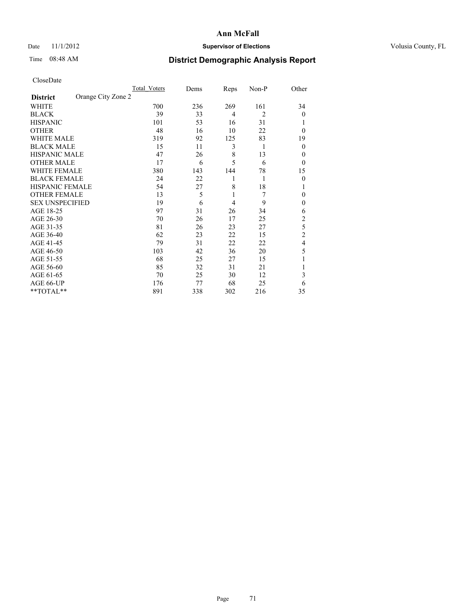# Date 11/1/2012 **Supervisor of Elections Supervisor of Elections** Volusia County, FL

# Time 08:48 AM **District Demographic Analysis Report**

|                        |                    | Total Voters | Dems | Reps           | Non-P          | Other          |
|------------------------|--------------------|--------------|------|----------------|----------------|----------------|
| <b>District</b>        | Orange City Zone 2 |              |      |                |                |                |
| WHITE                  |                    | 700          | 236  | 269            | 161            | 34             |
| <b>BLACK</b>           |                    | 39           | 33   | $\overline{4}$ | $\overline{2}$ | $\theta$       |
| <b>HISPANIC</b>        |                    | 101          | 53   | 16             | 31             |                |
| <b>OTHER</b>           |                    | 48           | 16   | 10             | 22             | $\theta$       |
| WHITE MALE             |                    | 319          | 92   | 125            | 83             | 19             |
| <b>BLACK MALE</b>      |                    | 15           | 11   | 3              | 1              | $\theta$       |
| <b>HISPANIC MALE</b>   |                    | 47           | 26   | 8              | 13             | 0              |
| <b>OTHER MALE</b>      |                    | 17           | 6    | 5              | 6              | $\theta$       |
| WHITE FEMALE           |                    | 380          | 143  | 144            | 78             | 15             |
| <b>BLACK FEMALE</b>    |                    | 24           | 22   | 1              | 1              | $\theta$       |
| <b>HISPANIC FEMALE</b> |                    | 54           | 27   | 8              | 18             |                |
| <b>OTHER FEMALE</b>    |                    | 13           | 5    | 1              | 7              | 0              |
| <b>SEX UNSPECIFIED</b> |                    | 19           | 6    | 4              | 9              | $\mathbf{0}$   |
| AGE 18-25              |                    | 97           | 31   | 26             | 34             | 6              |
| AGE 26-30              |                    | 70           | 26   | 17             | 25             | $\overline{c}$ |
| AGE 31-35              |                    | 81           | 26   | 23             | 27             | 5              |
| AGE 36-40              |                    | 62           | 23   | 22             | 15             | $\overline{c}$ |
| AGE 41-45              |                    | 79           | 31   | 22             | 22             | 4              |
| AGE 46-50              |                    | 103          | 42   | 36             | 20             | 5              |
| AGE 51-55              |                    | 68           | 25   | 27             | 15             |                |
| AGE 56-60              |                    | 85           | 32   | 31             | 21             |                |
| AGE 61-65              |                    | 70           | 25   | 30             | 12             | 3              |
| AGE 66-UP              |                    | 176          | 77   | 68             | 25             | 6              |
| $**TOTAL**$            |                    | 891          | 338  | 302            | 216            | 35             |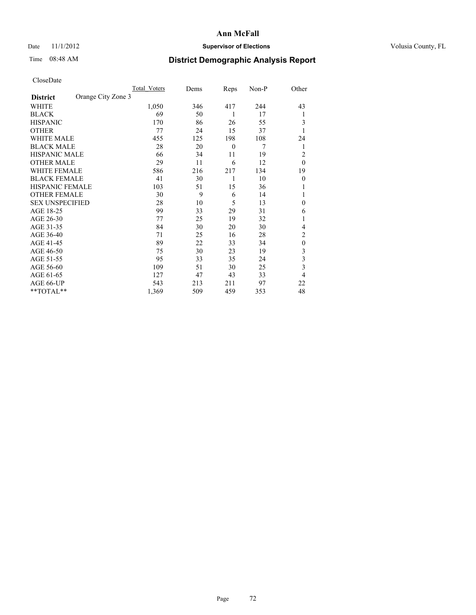# Date 11/1/2012 **Supervisor of Elections Supervisor of Elections** Volusia County, FL

# Time 08:48 AM **District Demographic Analysis Report**

|                        |                    | Total Voters | Dems | Reps             | Non-P | Other            |
|------------------------|--------------------|--------------|------|------------------|-------|------------------|
| <b>District</b>        | Orange City Zone 3 |              |      |                  |       |                  |
| WHITE                  |                    | 1,050        | 346  | 417              | 244   | 43               |
| <b>BLACK</b>           |                    | 69           | 50   | 1                | 17    | 1                |
| <b>HISPANIC</b>        |                    | 170          | 86   | 26               | 55    | 3                |
| <b>OTHER</b>           |                    | 77           | 24   | 15               | 37    |                  |
| WHITE MALE             |                    | 455          | 125  | 198              | 108   | 24               |
| <b>BLACK MALE</b>      |                    | 28           | 20   | $\boldsymbol{0}$ | 7     | 1                |
| <b>HISPANIC MALE</b>   |                    | 66           | 34   | 11               | 19    | 2                |
| <b>OTHER MALE</b>      |                    | 29           | 11   | 6                | 12    | $\theta$         |
| WHITE FEMALE           |                    | 586          | 216  | 217              | 134   | 19               |
| <b>BLACK FEMALE</b>    |                    | 41           | 30   | 1                | 10    | $\mathbf{0}$     |
| <b>HISPANIC FEMALE</b> |                    | 103          | 51   | 15               | 36    |                  |
| <b>OTHER FEMALE</b>    |                    | 30           | 9    | 6                | 14    |                  |
| <b>SEX UNSPECIFIED</b> |                    | 28           | 10   | 5                | 13    | $\mathbf{0}$     |
| AGE 18-25              |                    | 99           | 33   | 29               | 31    | 6                |
| AGE 26-30              |                    | 77           | 25   | 19               | 32    | 1                |
| AGE 31-35              |                    | 84           | 30   | 20               | 30    | 4                |
| AGE 36-40              |                    | 71           | 25   | 16               | 28    | $\overline{c}$   |
| AGE 41-45              |                    | 89           | 22   | 33               | 34    | $\boldsymbol{0}$ |
| AGE 46-50              |                    | 75           | 30   | 23               | 19    | 3                |
| AGE 51-55              |                    | 95           | 33   | 35               | 24    | 3                |
| AGE 56-60              |                    | 109          | 51   | 30               | 25    | 3                |
| AGE 61-65              |                    | 127          | 47   | 43               | 33    | 4                |
| AGE 66-UP              |                    | 543          | 213  | 211              | 97    | 22               |
| $**TOTAL**$            |                    | 1,369        | 509  | 459              | 353   | 48               |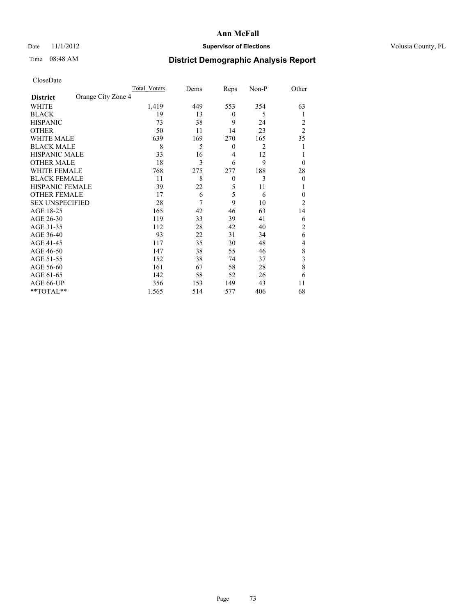## Date 11/1/2012 **Supervisor of Elections Supervisor of Elections** Volusia County, FL

# Time 08:48 AM **District Demographic Analysis Report**

|                        |                    | <b>Total Voters</b> | Dems | Reps             | Non-P | Other          |
|------------------------|--------------------|---------------------|------|------------------|-------|----------------|
| <b>District</b>        | Orange City Zone 4 |                     |      |                  |       |                |
| WHITE                  |                    | 1,419               | 449  | 553              | 354   | 63             |
| <b>BLACK</b>           |                    | 19                  | 13   | $\mathbf{0}$     | 5     | 1              |
| <b>HISPANIC</b>        |                    | 73                  | 38   | 9                | 24    | 2              |
| <b>OTHER</b>           |                    | 50                  | 11   | 14               | 23    | $\overline{2}$ |
| WHITE MALE             |                    | 639                 | 169  | 270              | 165   | 35             |
| <b>BLACK MALE</b>      |                    | 8                   | 5    | $\boldsymbol{0}$ | 2     | 1              |
| <b>HISPANIC MALE</b>   |                    | 33                  | 16   | 4                | 12    |                |
| <b>OTHER MALE</b>      |                    | 18                  | 3    | 6                | 9     | $\theta$       |
| WHITE FEMALE           |                    | 768                 | 275  | 277              | 188   | 28             |
| <b>BLACK FEMALE</b>    |                    | 11                  | 8    | $\mathbf{0}$     | 3     | $\theta$       |
| HISPANIC FEMALE        |                    | 39                  | 22   | 5                | 11    | 1              |
| <b>OTHER FEMALE</b>    |                    | 17                  | 6    | 5                | 6     | $\theta$       |
| <b>SEX UNSPECIFIED</b> |                    | 28                  | 7    | 9                | 10    | $\overline{2}$ |
| AGE 18-25              |                    | 165                 | 42   | 46               | 63    | 14             |
| AGE 26-30              |                    | 119                 | 33   | 39               | 41    | 6              |
| AGE 31-35              |                    | 112                 | 28   | 42               | 40    | $\overline{2}$ |
| AGE 36-40              |                    | 93                  | 22   | 31               | 34    | 6              |
| AGE 41-45              |                    | 117                 | 35   | 30               | 48    | 4              |
| AGE 46-50              |                    | 147                 | 38   | 55               | 46    | 8              |
| AGE 51-55              |                    | 152                 | 38   | 74               | 37    | 3              |
| AGE 56-60              |                    | 161                 | 67   | 58               | 28    | 8              |
| AGE 61-65              |                    | 142                 | 58   | 52               | 26    | 6              |
| AGE 66-UP              |                    | 356                 | 153  | 149              | 43    | 11             |
| **TOTAL**              |                    | 1,565               | 514  | 577              | 406   | 68             |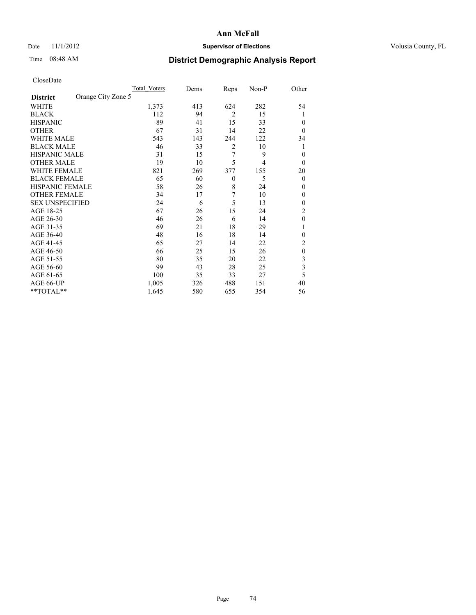## Date 11/1/2012 **Supervisor of Elections Supervisor of Elections** Volusia County, FL

# Time 08:48 AM **District Demographic Analysis Report**

|                        |                    | Total Voters | Dems | Reps           | Non-P          | Other                   |
|------------------------|--------------------|--------------|------|----------------|----------------|-------------------------|
| <b>District</b>        | Orange City Zone 5 |              |      |                |                |                         |
| WHITE                  |                    | 1,373        | 413  | 624            | 282            | 54                      |
| <b>BLACK</b>           |                    | 112          | 94   | $\overline{2}$ | 15             | 1                       |
| <b>HISPANIC</b>        |                    | 89           | 41   | 15             | 33             | $\Omega$                |
| <b>OTHER</b>           |                    | 67           | 31   | 14             | 22             | $\Omega$                |
| WHITE MALE             |                    | 543          | 143  | 244            | 122            | 34                      |
| <b>BLACK MALE</b>      |                    | 46           | 33   | $\overline{2}$ | 10             | 1                       |
| <b>HISPANIC MALE</b>   |                    | 31           | 15   | 7              | 9              | $\overline{0}$          |
| <b>OTHER MALE</b>      |                    | 19           | 10   | 5              | $\overline{4}$ | $\overline{0}$          |
| WHITE FEMALE           |                    | 821          | 269  | 377            | 155            | 20                      |
| <b>BLACK FEMALE</b>    |                    | 65           | 60   | $\theta$       | 5              | $\overline{0}$          |
| <b>HISPANIC FEMALE</b> |                    | 58           | 26   | 8              | 24             | $\Omega$                |
| <b>OTHER FEMALE</b>    |                    | 34           | 17   | 7              | 10             | $\Omega$                |
| <b>SEX UNSPECIFIED</b> |                    | 24           | 6    | 5              | 13             | $\overline{0}$          |
| AGE 18-25              |                    | 67           | 26   | 15             | 24             | $\overline{2}$          |
| AGE 26-30              |                    | 46           | 26   | 6              | 14             | $\mathbf{0}$            |
| AGE 31-35              |                    | 69           | 21   | 18             | 29             |                         |
| AGE 36-40              |                    | 48           | 16   | 18             | 14             | $\overline{0}$          |
| AGE 41-45              |                    | 65           | 27   | 14             | 22             | 2                       |
| AGE 46-50              |                    | 66           | 25   | 15             | 26             | $\theta$                |
| AGE 51-55              |                    | 80           | 35   | 20             | 22             | 3                       |
| AGE 56-60              |                    | 99           | 43   | 28             | 25             | $\overline{\mathbf{3}}$ |
| AGE 61-65              |                    | 100          | 35   | 33             | 27             | 5                       |
| AGE 66-UP              |                    | 1,005        | 326  | 488            | 151            | 40                      |
| **TOTAL**              |                    | 1,645        | 580  | 655            | 354            | 56                      |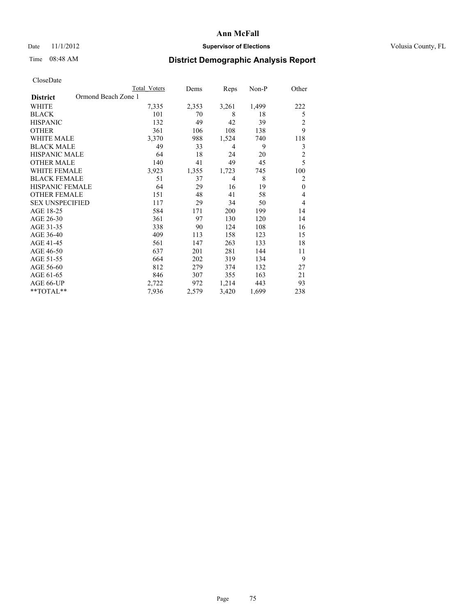## Date 11/1/2012 **Supervisor of Elections Supervisor of Elections** Volusia County, FL

# Time 08:48 AM **District Demographic Analysis Report**

|                        | <b>Total Voters</b> | Dems  | Reps  | Non-P | Other          |
|------------------------|---------------------|-------|-------|-------|----------------|
| <b>District</b>        | Ormond Beach Zone 1 |       |       |       |                |
| WHITE                  | 7,335               | 2,353 | 3,261 | 1,499 | 222            |
| <b>BLACK</b>           | 101                 | 70    | 8     | 18    | 5              |
| <b>HISPANIC</b>        | 132                 | 49    | 42    | 39    | 2              |
| <b>OTHER</b>           | 361                 | 106   | 108   | 138   | 9              |
| WHITE MALE             | 3,370               | 988   | 1,524 | 740   | 118            |
| <b>BLACK MALE</b>      | 49                  | 33    | 4     | 9     | 3              |
| <b>HISPANIC MALE</b>   | 64                  | 18    | 24    | 20    | $\overline{2}$ |
| <b>OTHER MALE</b>      | 140                 | 41    | 49    | 45    | 5              |
| WHITE FEMALE           | 3,923               | 1,355 | 1,723 | 745   | 100            |
| <b>BLACK FEMALE</b>    | 51                  | 37    | 4     | 8     | 2              |
| <b>HISPANIC FEMALE</b> | 64                  | 29    | 16    | 19    | $\mathbf{0}$   |
| <b>OTHER FEMALE</b>    | 151                 | 48    | 41    | 58    | 4              |
| <b>SEX UNSPECIFIED</b> | 117                 | 29    | 34    | 50    | 4              |
| AGE 18-25              | 584                 | 171   | 200   | 199   | 14             |
| AGE 26-30              | 361                 | 97    | 130   | 120   | 14             |
| AGE 31-35              | 338                 | 90    | 124   | 108   | 16             |
| AGE 36-40              | 409                 | 113   | 158   | 123   | 15             |
| AGE 41-45              | 561                 | 147   | 263   | 133   | 18             |
| AGE 46-50              | 637                 | 201   | 281   | 144   | 11             |
| AGE 51-55              | 664                 | 202   | 319   | 134   | 9              |
| AGE 56-60              | 812                 | 279   | 374   | 132   | 27             |
| AGE 61-65              | 846                 | 307   | 355   | 163   | 21             |
| AGE 66-UP              | 2,722               | 972   | 1,214 | 443   | 93             |
| **TOTAL**              | 7,936               | 2,579 | 3,420 | 1,699 | 238            |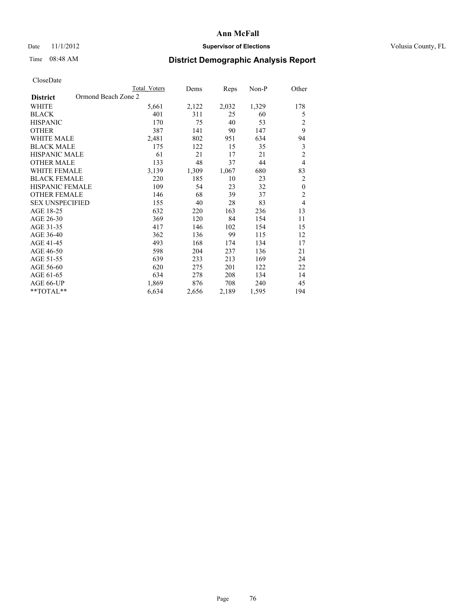## Date 11/1/2012 **Supervisor of Elections Supervisor of Elections** Volusia County, FL

# Time 08:48 AM **District Demographic Analysis Report**

|                        | <b>Total Voters</b> | Dems  | Reps  | Non-P | Other          |
|------------------------|---------------------|-------|-------|-------|----------------|
| <b>District</b>        | Ormond Beach Zone 2 |       |       |       |                |
| WHITE                  | 5,661               | 2,122 | 2,032 | 1,329 | 178            |
| <b>BLACK</b>           | 401                 | 311   | 25    | 60    | 5              |
| <b>HISPANIC</b>        | 170                 | 75    | 40    | 53    | $\overline{2}$ |
| <b>OTHER</b>           | 387                 | 141   | 90    | 147   | 9              |
| WHITE MALE             | 2,481               | 802   | 951   | 634   | 94             |
| <b>BLACK MALE</b>      | 175                 | 122   | 15    | 35    | 3              |
| <b>HISPANIC MALE</b>   | 61                  | 21    | 17    | 21    | $\overline{2}$ |
| <b>OTHER MALE</b>      | 133                 | 48    | 37    | 44    | $\overline{4}$ |
| WHITE FEMALE           | 3,139               | 1,309 | 1,067 | 680   | 83             |
| <b>BLACK FEMALE</b>    | 220                 | 185   | 10    | 23    | $\overline{2}$ |
| <b>HISPANIC FEMALE</b> | 109                 | 54    | 23    | 32    | $\mathbf{0}$   |
| <b>OTHER FEMALE</b>    | 146                 | 68    | 39    | 37    | $\overline{c}$ |
| <b>SEX UNSPECIFIED</b> | 155                 | 40    | 28    | 83    | $\overline{4}$ |
| AGE 18-25              | 632                 | 220   | 163   | 236   | 13             |
| AGE 26-30              | 369                 | 120   | 84    | 154   | 11             |
| AGE 31-35              | 417                 | 146   | 102   | 154   | 15             |
| AGE 36-40              | 362                 | 136   | 99    | 115   | 12             |
| AGE 41-45              | 493                 | 168   | 174   | 134   | 17             |
| AGE 46-50              | 598                 | 204   | 237   | 136   | 21             |
| AGE 51-55              | 639                 | 233   | 213   | 169   | 24             |
| AGE 56-60              | 620                 | 275   | 201   | 122   | 22             |
| AGE 61-65              | 634                 | 278   | 208   | 134   | 14             |
| AGE 66-UP              | 1,869               | 876   | 708   | 240   | 45             |
| **TOTAL**              | 6,634               | 2,656 | 2,189 | 1,595 | 194            |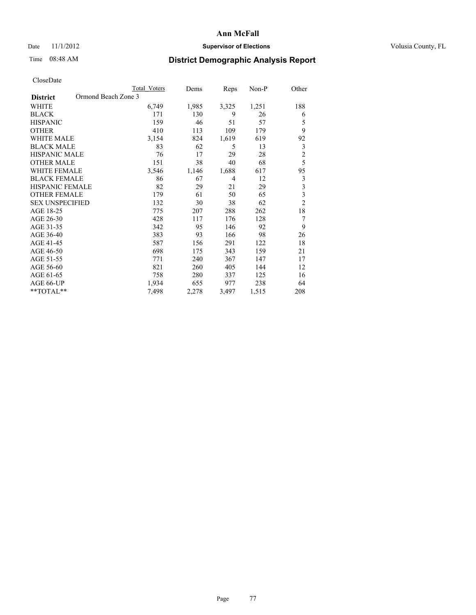### Date 11/1/2012 **Supervisor of Elections Supervisor of Elections** Volusia County, FL

# Time 08:48 AM **District Demographic Analysis Report**

|                                        | <b>Total Voters</b> | Dems  | Reps  | Non-P | Other                   |
|----------------------------------------|---------------------|-------|-------|-------|-------------------------|
| Ormond Beach Zone 3<br><b>District</b> |                     |       |       |       |                         |
| <b>WHITE</b>                           | 6,749               | 1,985 | 3,325 | 1,251 | 188                     |
| <b>BLACK</b>                           | 171                 | 130   | 9     | 26    | 6                       |
| <b>HISPANIC</b>                        | 159                 | 46    | 51    | 57    | 5                       |
| <b>OTHER</b>                           | 410                 | 113   | 109   | 179   | 9                       |
| <b>WHITE MALE</b>                      | 3,154               | 824   | 1,619 | 619   | 92                      |
| <b>BLACK MALE</b>                      | 83                  | 62    | 5     | 13    | 3                       |
| HISPANIC MALE                          | 76                  | 17    | 29    | 28    | $\overline{c}$          |
| <b>OTHER MALE</b>                      | 151                 | 38    | 40    | 68    | 5                       |
| <b>WHITE FEMALE</b>                    | 3,546               | 1,146 | 1,688 | 617   | 95                      |
| <b>BLACK FEMALE</b>                    | 86                  | 67    | 4     | 12    | 3                       |
| <b>HISPANIC FEMALE</b>                 | 82                  | 29    | 21    | 29    | $\overline{\mathbf{3}}$ |
| <b>OTHER FEMALE</b>                    | 179                 | 61    | 50    | 65    | $\overline{\mathbf{3}}$ |
| <b>SEX UNSPECIFIED</b>                 | 132                 | 30    | 38    | 62    | $\overline{c}$          |
| AGE 18-25                              | 775                 | 207   | 288   | 262   | 18                      |
| AGE 26-30                              | 428                 | 117   | 176   | 128   | 7                       |
| AGE 31-35                              | 342                 | 95    | 146   | 92    | 9                       |
| AGE 36-40                              | 383                 | 93    | 166   | 98    | 26                      |
| AGE 41-45                              | 587                 | 156   | 291   | 122   | 18                      |
| AGE 46-50                              | 698                 | 175   | 343   | 159   | 21                      |
| AGE 51-55                              | 771                 | 240   | 367   | 147   | 17                      |
| AGE 56-60                              | 821                 | 260   | 405   | 144   | 12                      |
| AGE 61-65                              | 758                 | 280   | 337   | 125   | 16                      |
| AGE 66-UP                              | 1,934               | 655   | 977   | 238   | 64                      |
| **TOTAL**                              | 7,498               | 2,278 | 3,497 | 1,515 | 208                     |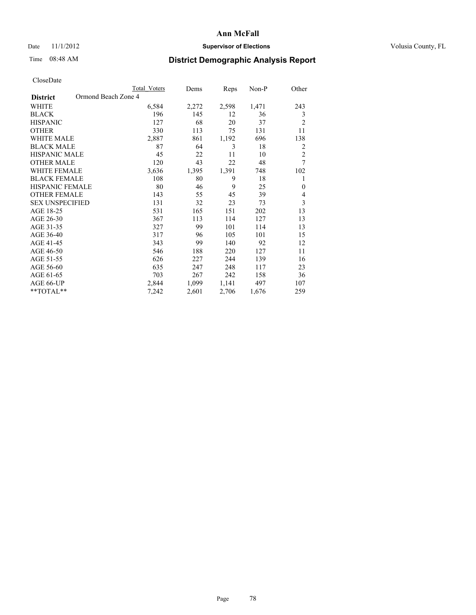## Date 11/1/2012 **Supervisor of Elections Supervisor of Elections** Volusia County, FL

# Time 08:48 AM **District Demographic Analysis Report**

|                        | Total Voters        | Dems  | Reps  | Non-P | Other          |
|------------------------|---------------------|-------|-------|-------|----------------|
| <b>District</b>        | Ormond Beach Zone 4 |       |       |       |                |
| WHITE                  | 6,584               | 2,272 | 2,598 | 1,471 | 243            |
| <b>BLACK</b>           | 196                 | 145   | 12    | 36    | 3              |
| <b>HISPANIC</b>        | 127                 | 68    | 20    | 37    | $\overline{2}$ |
| <b>OTHER</b>           | 330                 | 113   | 75    | 131   | 11             |
| WHITE MALE             | 2,887               | 861   | 1,192 | 696   | 138            |
| <b>BLACK MALE</b>      | 87                  | 64    | 3     | 18    | $\overline{2}$ |
| <b>HISPANIC MALE</b>   | 45                  | 22    | 11    | 10    | $\overline{2}$ |
| <b>OTHER MALE</b>      | 120                 | 43    | 22    | 48    | 7              |
| WHITE FEMALE           | 3,636               | 1,395 | 1,391 | 748   | 102            |
| <b>BLACK FEMALE</b>    | 108                 | 80    | 9     | 18    | 1              |
| <b>HISPANIC FEMALE</b> | 80                  | 46    | 9     | 25    | $\theta$       |
| <b>OTHER FEMALE</b>    | 143                 | 55    | 45    | 39    | 4              |
| <b>SEX UNSPECIFIED</b> | 131                 | 32    | 23    | 73    | $\mathfrak{Z}$ |
| AGE 18-25              | 531                 | 165   | 151   | 202   | 13             |
| AGE 26-30              | 367                 | 113   | 114   | 127   | 13             |
| AGE 31-35              | 327                 | 99    | 101   | 114   | 13             |
| AGE 36-40              | 317                 | 96    | 105   | 101   | 15             |
| AGE 41-45              | 343                 | 99    | 140   | 92    | 12             |
| AGE 46-50              | 546                 | 188   | 220   | 127   | 11             |
| AGE 51-55              | 626                 | 227   | 244   | 139   | 16             |
| AGE 56-60              | 635                 | 247   | 248   | 117   | 23             |
| AGE 61-65              | 703                 | 267   | 242   | 158   | 36             |
| AGE 66-UP              | 2,844               | 1,099 | 1,141 | 497   | 107            |
| **TOTAL**              | 7,242               | 2,601 | 2,706 | 1,676 | 259            |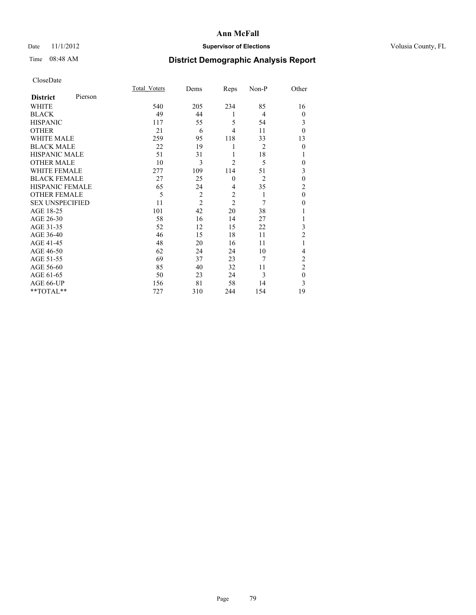## Date 11/1/2012 **Supervisor of Elections Supervisor of Elections** Volusia County, FL

# Time 08:48 AM **District Demographic Analysis Report**

|                        |         | <b>Total Voters</b> | Dems           | Reps           | Non-P          | Other            |
|------------------------|---------|---------------------|----------------|----------------|----------------|------------------|
| <b>District</b>        | Pierson |                     |                |                |                |                  |
| <b>WHITE</b>           |         | 540                 | 205            | 234            | 85             | 16               |
| <b>BLACK</b>           |         | 49                  | 44             | 1              | 4              | $\overline{0}$   |
| <b>HISPANIC</b>        |         | 117                 | 55             | 5              | 54             | 3                |
| <b>OTHER</b>           |         | 21                  | 6              | 4              | 11             | $\theta$         |
| WHITE MALE             |         | 259                 | 95             | 118            | 33             | 13               |
| <b>BLACK MALE</b>      |         | 22                  | 19             | 1              | $\overline{2}$ | $\mathbf{0}$     |
| <b>HISPANIC MALE</b>   |         | 51                  | 31             | 1              | 18             | 1                |
| <b>OTHER MALE</b>      |         | 10                  | 3              | $\overline{2}$ | 5              | 0                |
| WHITE FEMALE           |         | 277                 | 109            | 114            | 51             | 3                |
| <b>BLACK FEMALE</b>    |         | 27                  | 25             | $\mathbf{0}$   | $\overline{2}$ | $\mathbf{0}$     |
| <b>HISPANIC FEMALE</b> |         | 65                  | 24             | $\overline{4}$ | 35             | $\overline{c}$   |
| <b>OTHER FEMALE</b>    |         | 5                   | $\overline{c}$ | $\overline{c}$ | 1              | $\theta$         |
| <b>SEX UNSPECIFIED</b> |         | 11                  | $\overline{2}$ | $\overline{2}$ | 7              | $\boldsymbol{0}$ |
| AGE 18-25              |         | 101                 | 42             | 20             | 38             |                  |
| AGE 26-30              |         | 58                  | 16             | 14             | 27             | 1                |
| AGE 31-35              |         | 52                  | 12             | 15             | 22             | 3                |
| AGE 36-40              |         | 46                  | 15             | 18             | 11             | $\overline{2}$   |
| AGE 41-45              |         | 48                  | 20             | 16             | 11             |                  |
| AGE 46-50              |         | 62                  | 24             | 24             | 10             | 4                |
| AGE 51-55              |         | 69                  | 37             | 23             | 7              | 2                |
| AGE 56-60              |         | 85                  | 40             | 32             | 11             | $\overline{c}$   |
| AGE 61-65              |         | 50                  | 23             | 24             | 3              | $\theta$         |
| AGE 66-UP              |         | 156                 | 81             | 58             | 14             | 3                |
| **TOTAL**              |         | 727                 | 310            | 244            | 154            | 19               |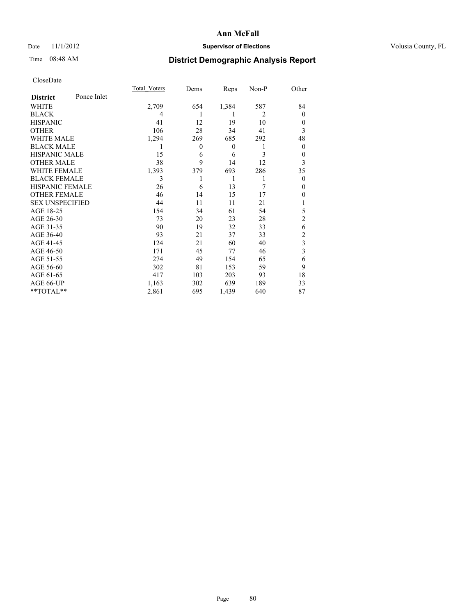### Date 11/1/2012 **Supervisor of Elections Supervisor of Elections** Volusia County, FL

# Time 08:48 AM **District Demographic Analysis Report**

|                        |             | <b>Total Voters</b> | Dems           | Reps             | Non-P          | Other          |
|------------------------|-------------|---------------------|----------------|------------------|----------------|----------------|
| <b>District</b>        | Ponce Inlet |                     |                |                  |                |                |
| WHITE                  |             | 2,709               | 654            | 1,384            | 587            | 84             |
| <b>BLACK</b>           |             | 4                   |                | 1                | $\overline{2}$ | $\Omega$       |
| <b>HISPANIC</b>        |             | 41                  | 12             | 19               | 10             | $\Omega$       |
| <b>OTHER</b>           |             | 106                 | 28             | 34               | 41             | 3              |
| WHITE MALE             |             | 1,294               | 269            | 685              | 292            | 48             |
| <b>BLACK MALE</b>      |             | 1                   | $\overline{0}$ | $\boldsymbol{0}$ | 1              | $\overline{0}$ |
| <b>HISPANIC MALE</b>   |             | 15                  | 6              | 6                | 3              | 0              |
| <b>OTHER MALE</b>      |             | 38                  | 9              | 14               | 12             | 3              |
| WHITE FEMALE           |             | 1,393               | 379            | 693              | 286            | 35             |
| <b>BLACK FEMALE</b>    |             | 3                   |                | 1                | 1              | $\overline{0}$ |
| <b>HISPANIC FEMALE</b> |             | 26                  | 6              | 13               | 7              | $\Omega$       |
| <b>OTHER FEMALE</b>    |             | 46                  | 14             | 15               | 17             | $\theta$       |
| <b>SEX UNSPECIFIED</b> |             | 44                  | 11             | 11               | 21             |                |
| AGE 18-25              |             | 154                 | 34             | 61               | 54             | 5              |
| AGE 26-30              |             | 73                  | 20             | 23               | 28             | $\overline{2}$ |
| AGE 31-35              |             | 90                  | 19             | 32               | 33             | 6              |
| AGE 36-40              |             | 93                  | 21             | 37               | 33             | $\overline{c}$ |
| AGE 41-45              |             | 124                 | 21             | 60               | 40             | 3              |
| AGE 46-50              |             | 171                 | 45             | 77               | 46             | 3              |
| AGE 51-55              |             | 274                 | 49             | 154              | 65             | 6              |
| AGE 56-60              |             | 302                 | 81             | 153              | 59             | 9              |
| AGE 61-65              |             | 417                 | 103            | 203              | 93             | 18             |
| AGE 66-UP              |             | 1,163               | 302            | 639              | 189            | 33             |
| **TOTAL**              |             | 2,861               | 695            | 1,439            | 640            | 87             |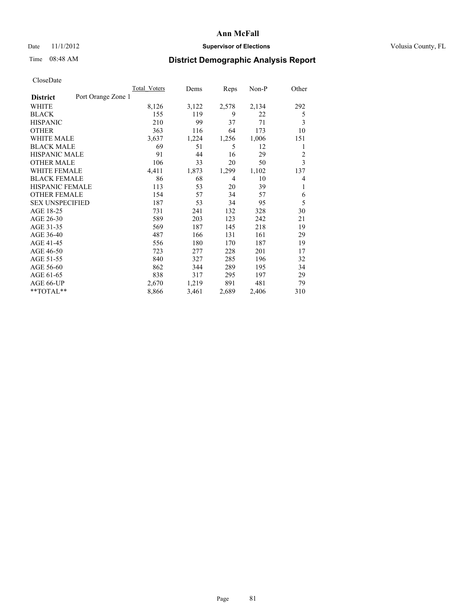### Date 11/1/2012 **Supervisor of Elections Supervisor of Elections** Volusia County, FL

# Time 08:48 AM **District Demographic Analysis Report**

|                                       | Total Voters | Dems  | Reps           | Non-P | Other          |
|---------------------------------------|--------------|-------|----------------|-------|----------------|
| Port Orange Zone 1<br><b>District</b> |              |       |                |       |                |
| WHITE                                 | 8,126        | 3,122 | 2,578          | 2,134 | 292            |
| <b>BLACK</b>                          | 155          | 119   | 9              | 22    | 5              |
| <b>HISPANIC</b>                       | 210          | 99    | 37             | 71    | 3              |
| <b>OTHER</b>                          | 363          | 116   | 64             | 173   | 10             |
| WHITE MALE                            | 3,637        | 1,224 | 1,256          | 1,006 | 151            |
| <b>BLACK MALE</b>                     | 69           | 51    | 5              | 12    | 1              |
| <b>HISPANIC MALE</b>                  | 91           | 44    | 16             | 29    | $\overline{c}$ |
| <b>OTHER MALE</b>                     | 106          | 33    | 20             | 50    | 3              |
| WHITE FEMALE                          | 4,411        | 1,873 | 1,299          | 1,102 | 137            |
| <b>BLACK FEMALE</b>                   | 86           | 68    | $\overline{4}$ | 10    | 4              |
| <b>HISPANIC FEMALE</b>                | 113          | 53    | 20             | 39    | 1              |
| <b>OTHER FEMALE</b>                   | 154          | 57    | 34             | 57    | 6              |
| <b>SEX UNSPECIFIED</b>                | 187          | 53    | 34             | 95    | 5              |
| AGE 18-25                             | 731          | 241   | 132            | 328   | 30             |
| AGE 26-30                             | 589          | 203   | 123            | 242   | 21             |
| AGE 31-35                             | 569          | 187   | 145            | 218   | 19             |
| AGE 36-40                             | 487          | 166   | 131            | 161   | 29             |
| AGE 41-45                             | 556          | 180   | 170            | 187   | 19             |
| AGE 46-50                             | 723          | 277   | 228            | 201   | 17             |
| AGE 51-55                             | 840          | 327   | 285            | 196   | 32             |
| AGE 56-60                             | 862          | 344   | 289            | 195   | 34             |
| AGE 61-65                             | 838          | 317   | 295            | 197   | 29             |
| AGE 66-UP                             | 2,670        | 1,219 | 891            | 481   | 79             |
| **TOTAL**                             | 8,866        | 3,461 | 2,689          | 2,406 | 310            |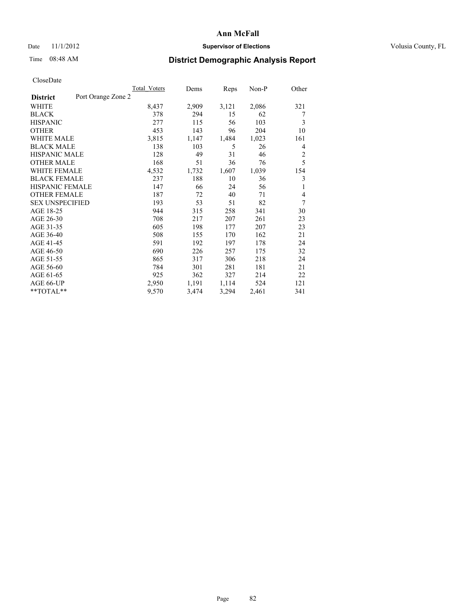## Date 11/1/2012 **Supervisor of Elections Supervisor of Elections** Volusia County, FL

# Time 08:48 AM **District Demographic Analysis Report**

|                        |                    | Total Voters | Dems  | Reps  | Non-P | Other |
|------------------------|--------------------|--------------|-------|-------|-------|-------|
| <b>District</b>        | Port Orange Zone 2 |              |       |       |       |       |
| WHITE                  |                    | 8,437        | 2,909 | 3,121 | 2,086 | 321   |
| <b>BLACK</b>           |                    | 378          | 294   | 15    | 62    | 7     |
| <b>HISPANIC</b>        |                    | 277          | 115   | 56    | 103   | 3     |
| <b>OTHER</b>           |                    | 453          | 143   | 96    | 204   | 10    |
| WHITE MALE             |                    | 3,815        | 1,147 | 1,484 | 1,023 | 161   |
| <b>BLACK MALE</b>      |                    | 138          | 103   | 5     | 26    | 4     |
| <b>HISPANIC MALE</b>   |                    | 128          | 49    | 31    | 46    | 2     |
| <b>OTHER MALE</b>      |                    | 168          | 51    | 36    | 76    | 5     |
| <b>WHITE FEMALE</b>    |                    | 4,532        | 1,732 | 1,607 | 1,039 | 154   |
| <b>BLACK FEMALE</b>    |                    | 237          | 188   | 10    | 36    | 3     |
| HISPANIC FEMALE        |                    | 147          | 66    | 24    | 56    | 1     |
| <b>OTHER FEMALE</b>    |                    | 187          | 72    | 40    | 71    | 4     |
| <b>SEX UNSPECIFIED</b> |                    | 193          | 53    | 51    | 82    | 7     |
| AGE 18-25              |                    | 944          | 315   | 258   | 341   | 30    |
| AGE 26-30              |                    | 708          | 217   | 207   | 261   | 23    |
| AGE 31-35              |                    | 605          | 198   | 177   | 207   | 23    |
| AGE 36-40              |                    | 508          | 155   | 170   | 162   | 21    |
| AGE 41-45              |                    | 591          | 192   | 197   | 178   | 24    |
| AGE 46-50              |                    | 690          | 226   | 257   | 175   | 32    |
| AGE 51-55              |                    | 865          | 317   | 306   | 218   | 24    |
| AGE 56-60              |                    | 784          | 301   | 281   | 181   | 21    |
| AGE 61-65              |                    | 925          | 362   | 327   | 214   | 22    |
| AGE 66-UP              |                    | 2,950        | 1,191 | 1,114 | 524   | 121   |
| **TOTAL**              |                    | 9,570        | 3,474 | 3,294 | 2,461 | 341   |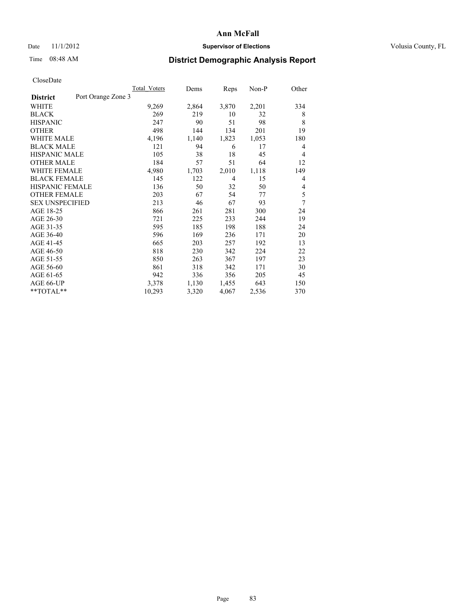### Date 11/1/2012 **Supervisor of Elections Supervisor of Elections** Volusia County, FL

# Time 08:48 AM **District Demographic Analysis Report**

| Total Voters | Dems               | Reps           | Non-P | Other |
|--------------|--------------------|----------------|-------|-------|
|              |                    |                |       |       |
| 9,269        | 2,864              | 3,870          | 2,201 | 334   |
| 269          | 219                | 10             | 32    | 8     |
| 247          | 90                 | 51             | 98    | 8     |
| 498          | 144                | 134            | 201   | 19    |
| 4,196        | 1,140              | 1,823          | 1,053 | 180   |
| 121          | 94                 | 6              | 17    | 4     |
| 105          | 38                 | 18             | 45    | 4     |
| 184          | 57                 | 51             | 64    | 12    |
| 4,980        | 1,703              | 2,010          | 1,118 | 149   |
| 145          | 122                | $\overline{4}$ | 15    | 4     |
| 136          | 50                 | 32             | 50    | 4     |
| 203          | 67                 | 54             | 77    | 5     |
| 213          | 46                 | 67             | 93    | 7     |
| 866          | 261                | 281            | 300   | 24    |
| 721          | 225                | 233            | 244   | 19    |
| 595          | 185                | 198            | 188   | 24    |
| 596          | 169                | 236            | 171   | 20    |
| 665          | 203                | 257            | 192   | 13    |
| 818          | 230                | 342            | 224   | 22    |
| 850          | 263                | 367            | 197   | 23    |
| 861          | 318                | 342            | 171   | 30    |
| 942          | 336                | 356            | 205   | 45    |
| 3,378        | 1,130              | 1,455          | 643   | 150   |
| 10,293       | 3,320              | 4,067          | 2,536 | 370   |
|              | Port Orange Zone 3 |                |       |       |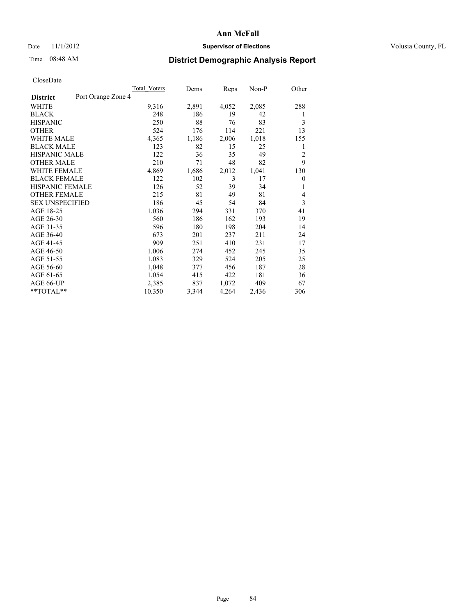### Date 11/1/2012 **Supervisor of Elections Supervisor of Elections** Volusia County, FL

# Time 08:48 AM **District Demographic Analysis Report**

|                        | <b>Total Voters</b> | Dems  | Reps  | Non-P | Other          |
|------------------------|---------------------|-------|-------|-------|----------------|
| <b>District</b>        | Port Orange Zone 4  |       |       |       |                |
| WHITE                  | 9,316               | 2,891 | 4,052 | 2,085 | 288            |
| <b>BLACK</b>           | 248                 | 186   | 19    | 42    | 1              |
| <b>HISPANIC</b>        | 250                 | 88    | 76    | 83    | 3              |
| <b>OTHER</b>           | 524                 | 176   | 114   | 221   | 13             |
| <b>WHITE MALE</b>      | 4,365               | 1,186 | 2,006 | 1,018 | 155            |
| <b>BLACK MALE</b>      | 123                 | 82    | 15    | 25    | 1              |
| <b>HISPANIC MALE</b>   | 122                 | 36    | 35    | 49    | $\overline{c}$ |
| <b>OTHER MALE</b>      | 210                 | 71    | 48    | 82    | 9              |
| <b>WHITE FEMALE</b>    | 4,869               | 1,686 | 2,012 | 1,041 | 130            |
| <b>BLACK FEMALE</b>    | 122                 | 102   | 3     | 17    | $\mathbf{0}$   |
| HISPANIC FEMALE        | 126                 | 52    | 39    | 34    | 1              |
| <b>OTHER FEMALE</b>    | 215                 | 81    | 49    | 81    | 4              |
| <b>SEX UNSPECIFIED</b> | 186                 | 45    | 54    | 84    | 3              |
| AGE 18-25              | 1,036               | 294   | 331   | 370   | 41             |
| AGE 26-30              | 560                 | 186   | 162   | 193   | 19             |
| AGE 31-35              | 596                 | 180   | 198   | 204   | 14             |
| AGE 36-40              | 673                 | 201   | 237   | 211   | 24             |
| AGE 41-45              | 909                 | 251   | 410   | 231   | 17             |
| AGE 46-50              | 1,006               | 274   | 452   | 245   | 35             |
| AGE 51-55              | 1,083               | 329   | 524   | 205   | 25             |
| AGE 56-60              | 1,048               | 377   | 456   | 187   | 28             |
| AGE 61-65              | 1,054               | 415   | 422   | 181   | 36             |
| AGE 66-UP              | 2,385               | 837   | 1,072 | 409   | 67             |
| $*$ $TOTAL**$          | 10,350              | 3,344 | 4,264 | 2,436 | 306            |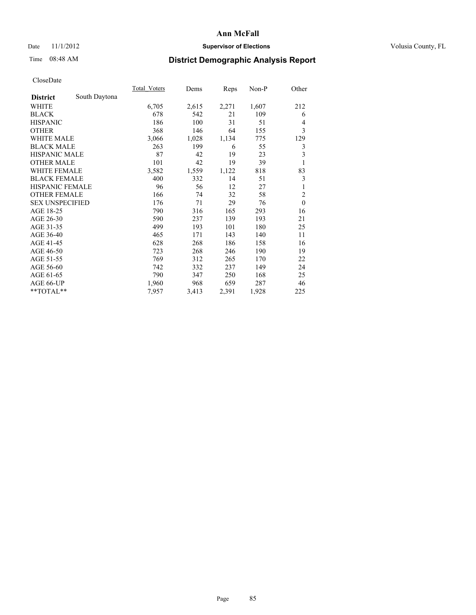## Date 11/1/2012 **Supervisor of Elections Supervisor of Elections** Volusia County, FL

# Time 08:48 AM **District Demographic Analysis Report**

|                        |               | Total Voters | Dems  | Reps  | Non-P | Other                   |
|------------------------|---------------|--------------|-------|-------|-------|-------------------------|
| <b>District</b>        | South Daytona |              |       |       |       |                         |
| WHITE                  |               | 6,705        | 2,615 | 2,271 | 1,607 | 212                     |
| <b>BLACK</b>           |               | 678          | 542   | 21    | 109   | 6                       |
| <b>HISPANIC</b>        |               | 186          | 100   | 31    | 51    | 4                       |
| <b>OTHER</b>           |               | 368          | 146   | 64    | 155   | $\mathfrak{Z}$          |
| WHITE MALE             |               | 3,066        | 1,028 | 1,134 | 775   | 129                     |
| <b>BLACK MALE</b>      |               | 263          | 199   | 6     | 55    | 3                       |
| <b>HISPANIC MALE</b>   |               | 87           | 42    | 19    | 23    | $\overline{\mathbf{3}}$ |
| <b>OTHER MALE</b>      |               | 101          | 42    | 19    | 39    | 1                       |
| WHITE FEMALE           |               | 3,582        | 1,559 | 1,122 | 818   | 83                      |
| <b>BLACK FEMALE</b>    |               | 400          | 332   | 14    | 51    | 3                       |
| <b>HISPANIC FEMALE</b> |               | 96           | 56    | 12    | 27    | 1                       |
| <b>OTHER FEMALE</b>    |               | 166          | 74    | 32    | 58    | $\overline{2}$          |
| <b>SEX UNSPECIFIED</b> |               | 176          | 71    | 29    | 76    | $\mathbf{0}$            |
| AGE 18-25              |               | 790          | 316   | 165   | 293   | 16                      |
| AGE 26-30              |               | 590          | 237   | 139   | 193   | 21                      |
| AGE 31-35              |               | 499          | 193   | 101   | 180   | 25                      |
| AGE 36-40              |               | 465          | 171   | 143   | 140   | 11                      |
| AGE 41-45              |               | 628          | 268   | 186   | 158   | 16                      |
| AGE 46-50              |               | 723          | 268   | 246   | 190   | 19                      |
| AGE 51-55              |               | 769          | 312   | 265   | 170   | 22                      |
| AGE 56-60              |               | 742          | 332   | 237   | 149   | 24                      |
| AGE 61-65              |               | 790          | 347   | 250   | 168   | 25                      |
| AGE 66-UP              |               | 1,960        | 968   | 659   | 287   | 46                      |
| **TOTAL**              |               | 7,957        | 3,413 | 2,391 | 1,928 | 225                     |